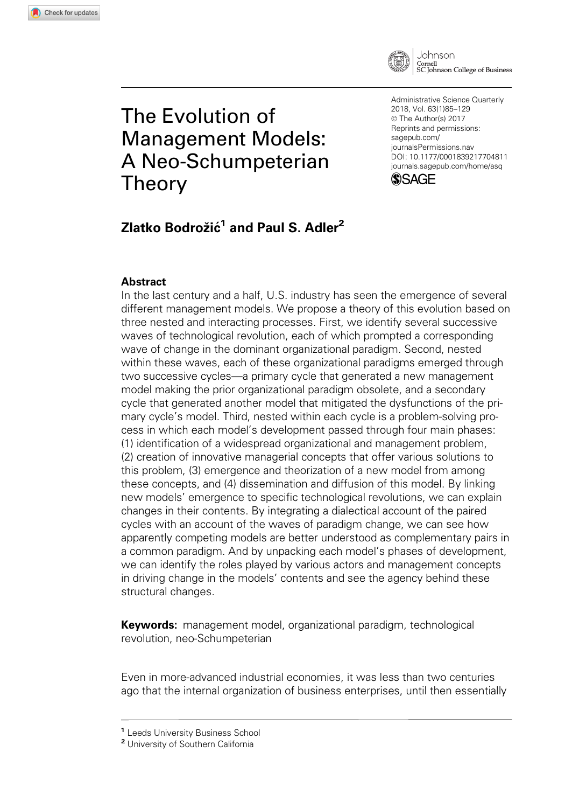

# The Evolution of Management Models: A Neo-Schumpeterian Theory

Administrative Science Quarterly 2018, Vol. 63(1)85–129 © The Author(s) 2017 Reprints and permissions: [sagepub.com/](us.sagepub.com/en-us/journals-permissions) [journalsPermissions.nav](us.sagepub.com/en-us/journals-permissions) [DOI: 10.1177/0001839217704811](https://doi.dox.org/10.1177/0001839217704811) <journals.sagepub.com/home/asq>



# Zlatko Bodrožić<sup>1</sup> and Paul S. Adler<sup>2</sup>

### Abstract

In the last century and a half, U.S. industry has seen the emergence of several different management models. We propose a theory of this evolution based on three nested and interacting processes. First, we identify several successive waves of technological revolution, each of which prompted a corresponding wave of change in the dominant organizational paradigm. Second, nested within these waves, each of these organizational paradigms emerged through two successive cycles—a primary cycle that generated a new management model making the prior organizational paradigm obsolete, and a secondary cycle that generated another model that mitigated the dysfunctions of the primary cycle's model. Third, nested within each cycle is a problem-solving process in which each model's development passed through four main phases: (1) identification of a widespread organizational and management problem, (2) creation of innovative managerial concepts that offer various solutions to this problem, (3) emergence and theorization of a new model from among these concepts, and (4) dissemination and diffusion of this model. By linking new models' emergence to specific technological revolutions, we can explain changes in their contents. By integrating a dialectical account of the paired cycles with an account of the waves of paradigm change, we can see how apparently competing models are better understood as complementary pairs in a common paradigm. And by unpacking each model's phases of development, we can identify the roles played by various actors and management concepts in driving change in the models' contents and see the agency behind these structural changes.

Keywords: management model, organizational paradigm, technological revolution, neo-Schumpeterian

Even in more-advanced industrial economies, it was less than two centuries ago that the internal organization of business enterprises, until then essentially

<sup>1</sup> Leeds University Business School

<sup>2</sup> University of Southern California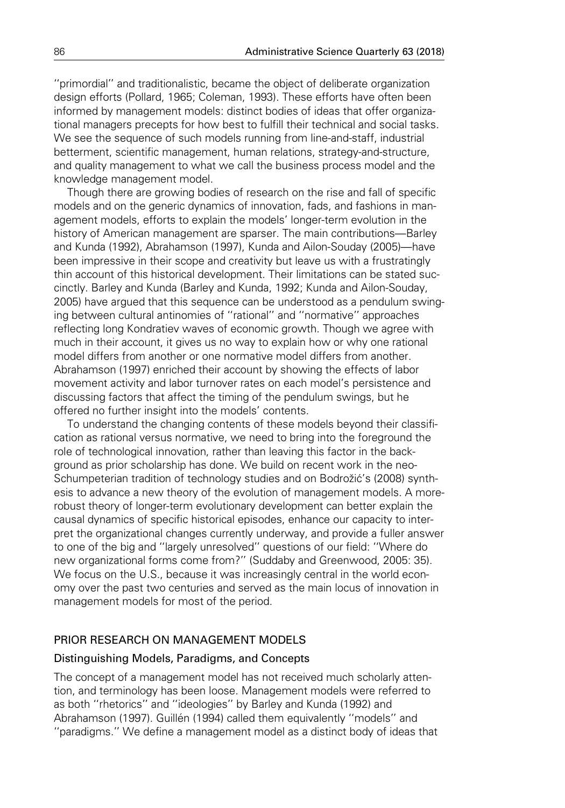''primordial'' and traditionalistic, became the object of deliberate organization design efforts (Pollard, 1965; Coleman, 1993). These efforts have often been informed by management models: distinct bodies of ideas that offer organizational managers precepts for how best to fulfill their technical and social tasks. We see the sequence of such models running from line-and-staff, industrial betterment, scientific management, human relations, strategy-and-structure, and quality management to what we call the business process model and the knowledge management model.

Though there are growing bodies of research on the rise and fall of specific models and on the generic dynamics of innovation, fads, and fashions in management models, efforts to explain the models' longer-term evolution in the history of American management are sparser. The main contributions—Barley and Kunda (1992), Abrahamson (1997), Kunda and Ailon-Souday (2005)—have been impressive in their scope and creativity but leave us with a frustratingly thin account of this historical development. Their limitations can be stated succinctly. Barley and Kunda (Barley and Kunda, 1992; Kunda and Ailon-Souday, 2005) have argued that this sequence can be understood as a pendulum swinging between cultural antinomies of ''rational'' and ''normative'' approaches reflecting long Kondratiev waves of economic growth. Though we agree with much in their account, it gives us no way to explain how or why one rational model differs from another or one normative model differs from another. Abrahamson (1997) enriched their account by showing the effects of labor movement activity and labor turnover rates on each model's persistence and discussing factors that affect the timing of the pendulum swings, but he offered no further insight into the models' contents.

To understand the changing contents of these models beyond their classification as rational versus normative, we need to bring into the foreground the role of technological innovation, rather than leaving this factor in the background as prior scholarship has done. We build on recent work in the neo-Schumpeterian tradition of technology studies and on Bodrožić's (2008) synthesis to advance a new theory of the evolution of management models. A morerobust theory of longer-term evolutionary development can better explain the causal dynamics of specific historical episodes, enhance our capacity to interpret the organizational changes currently underway, and provide a fuller answer to one of the big and ''largely unresolved'' questions of our field: ''Where do new organizational forms come from?'' (Suddaby and Greenwood, 2005: 35). We focus on the U.S., because it was increasingly central in the world economy over the past two centuries and served as the main locus of innovation in management models for most of the period.

### PRIOR RESEARCH ON MANAGEMENT MODELS

### Distinguishing Models, Paradigms, and Concepts

The concept of a management model has not received much scholarly attention, and terminology has been loose. Management models were referred to as both ''rhetorics'' and ''ideologies'' by Barley and Kunda (1992) and Abrahamson (1997). Guillén (1994) called them equivalently "models" and ''paradigms.'' We define a management model as a distinct body of ideas that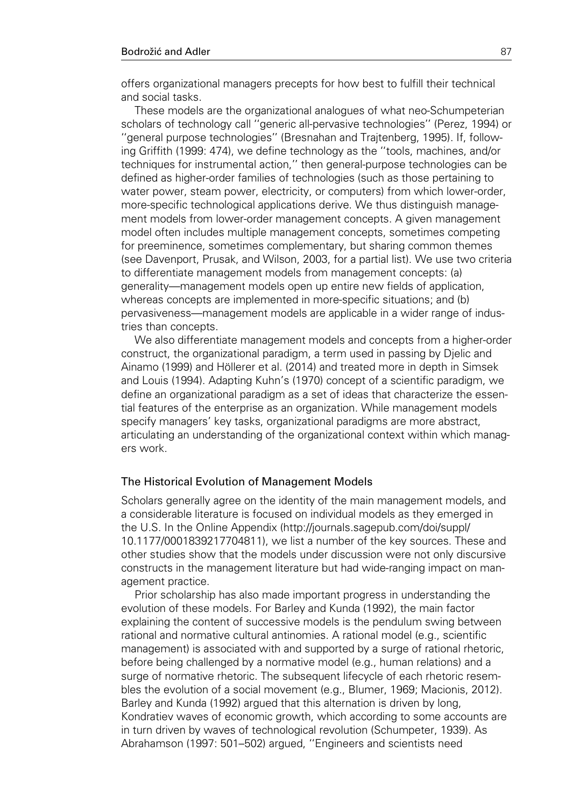offers organizational managers precepts for how best to fulfill their technical and social tasks.

These models are the organizational analogues of what neo-Schumpeterian scholars of technology call ''generic all-pervasive technologies'' (Perez, 1994) or ''general purpose technologies'' (Bresnahan and Trajtenberg, 1995). If, following Griffith (1999: 474), we define technology as the ''tools, machines, and/or techniques for instrumental action,'' then general-purpose technologies can be defined as higher-order families of technologies (such as those pertaining to water power, steam power, electricity, or computers) from which lower-order, more-specific technological applications derive. We thus distinguish management models from lower-order management concepts. A given management model often includes multiple management concepts, sometimes competing for preeminence, sometimes complementary, but sharing common themes (see Davenport, Prusak, and Wilson, 2003, for a partial list). We use two criteria to differentiate management models from management concepts: (a) generality—management models open up entire new fields of application, whereas concepts are implemented in more-specific situations; and (b) pervasiveness—management models are applicable in a wider range of industries than concepts.

We also differentiate management models and concepts from a higher-order construct, the organizational paradigm, a term used in passing by Djelic and Ainamo (1999) and Höllerer et al. (2014) and treated more in depth in Simsek and Louis (1994). Adapting Kuhn's (1970) concept of a scientific paradigm, we define an organizational paradigm as a set of ideas that characterize the essential features of the enterprise as an organization. While management models specify managers' key tasks, organizational paradigms are more abstract, articulating an understanding of the organizational context within which managers work.

### The Historical Evolution of Management Models

Scholars generally agree on the identity of the main management models, and a considerable literature is focused on individual models as they emerged in the U.S. In the Online Appendix (http://journals.sagepub.com/doi/suppl/ 10.1177/0001839217704811), we list a number of the key sources. These and other studies show that the models under discussion were not only discursive constructs in the management literature but had wide-ranging impact on management practice.

Prior scholarship has also made important progress in understanding the evolution of these models. For Barley and Kunda (1992), the main factor explaining the content of successive models is the pendulum swing between rational and normative cultural antinomies. A rational model (e.g., scientific management) is associated with and supported by a surge of rational rhetoric, before being challenged by a normative model (e.g., human relations) and a surge of normative rhetoric. The subsequent lifecycle of each rhetoric resembles the evolution of a social movement (e.g., Blumer, 1969; Macionis, 2012). Barley and Kunda (1992) argued that this alternation is driven by long, Kondratiev waves of economic growth, which according to some accounts are in turn driven by waves of technological revolution (Schumpeter, 1939). As Abrahamson (1997: 501–502) argued, ''Engineers and scientists need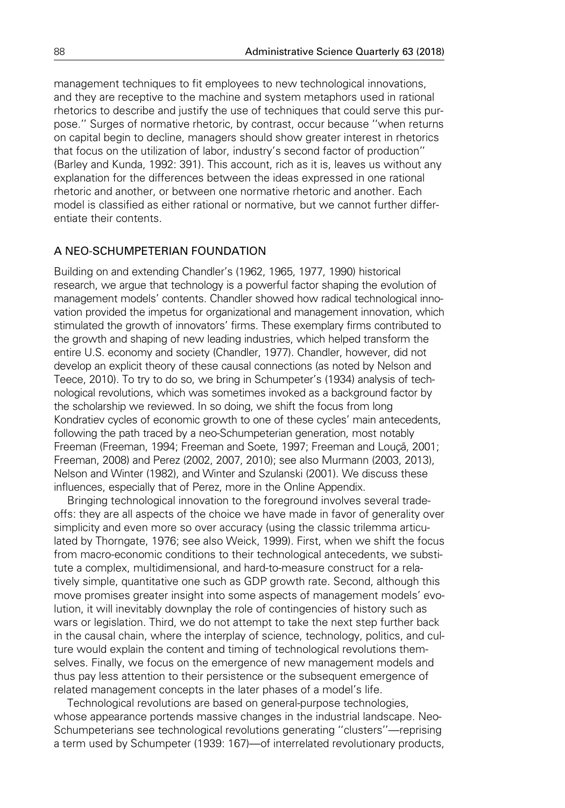management techniques to fit employees to new technological innovations, and they are receptive to the machine and system metaphors used in rational rhetorics to describe and justify the use of techniques that could serve this purpose.'' Surges of normative rhetoric, by contrast, occur because ''when returns on capital begin to decline, managers should show greater interest in rhetorics that focus on the utilization of labor, industry's second factor of production'' (Barley and Kunda, 1992: 391). This account, rich as it is, leaves us without any explanation for the differences between the ideas expressed in one rational rhetoric and another, or between one normative rhetoric and another. Each model is classified as either rational or normative, but we cannot further differentiate their contents.

### A NEO-SCHUMPETERIAN FOUNDATION

Building on and extending Chandler's (1962, 1965, 1977, 1990) historical research, we argue that technology is a powerful factor shaping the evolution of management models' contents. Chandler showed how radical technological innovation provided the impetus for organizational and management innovation, which stimulated the growth of innovators' firms. These exemplary firms contributed to the growth and shaping of new leading industries, which helped transform the entire U.S. economy and society (Chandler, 1977). Chandler, however, did not develop an explicit theory of these causal connections (as noted by Nelson and Teece, 2010). To try to do so, we bring in Schumpeter's (1934) analysis of technological revolutions, which was sometimes invoked as a background factor by the scholarship we reviewed. In so doing, we shift the focus from long Kondratiev cycles of economic growth to one of these cycles' main antecedents, following the path traced by a neo-Schumpeterian generation, most notably Freeman (Freeman, 1994; Freeman and Soete, 1997; Freeman and Louca, 2001; Freeman, 2008) and Perez (2002, 2007, 2010); see also Murmann (2003, 2013), Nelson and Winter (1982), and Winter and Szulanski (2001). We discuss these influences, especially that of Perez, more in the Online Appendix.

Bringing technological innovation to the foreground involves several tradeoffs: they are all aspects of the choice we have made in favor of generality over simplicity and even more so over accuracy (using the classic trilemma articulated by Thorngate, 1976; see also Weick, 1999). First, when we shift the focus from macro-economic conditions to their technological antecedents, we substitute a complex, multidimensional, and hard-to-measure construct for a relatively simple, quantitative one such as GDP growth rate. Second, although this move promises greater insight into some aspects of management models' evolution, it will inevitably downplay the role of contingencies of history such as wars or legislation. Third, we do not attempt to take the next step further back in the causal chain, where the interplay of science, technology, politics, and culture would explain the content and timing of technological revolutions themselves. Finally, we focus on the emergence of new management models and thus pay less attention to their persistence or the subsequent emergence of related management concepts in the later phases of a model's life.

Technological revolutions are based on general-purpose technologies, whose appearance portends massive changes in the industrial landscape. Neo-Schumpeterians see technological revolutions generating ''clusters''—reprising a term used by Schumpeter (1939: 167)—of interrelated revolutionary products,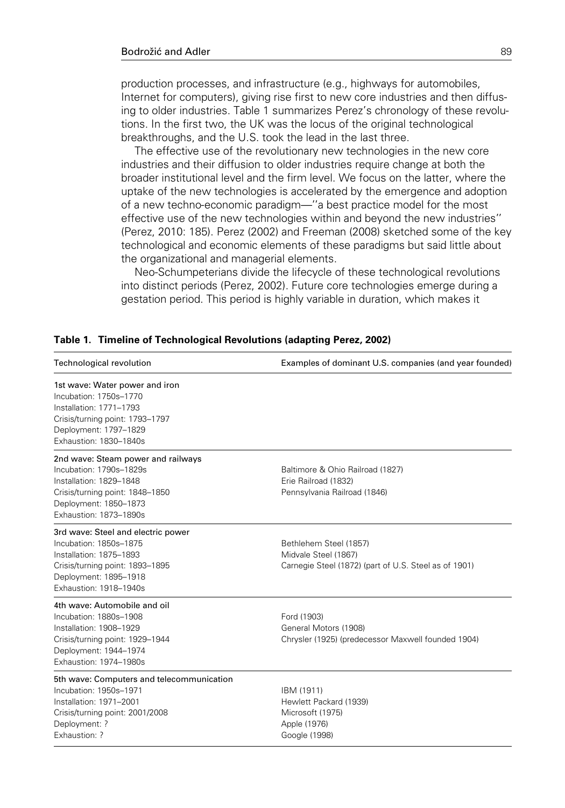production processes, and infrastructure (e.g., highways for automobiles, Internet for computers), giving rise first to new core industries and then diffusing to older industries. Table 1 summarizes Perez's chronology of these revolutions. In the first two, the UK was the locus of the original technological breakthroughs, and the U.S. took the lead in the last three.

The effective use of the revolutionary new technologies in the new core industries and their diffusion to older industries require change at both the broader institutional level and the firm level. We focus on the latter, where the uptake of the new technologies is accelerated by the emergence and adoption of a new techno-economic paradigm—''a best practice model for the most effective use of the new technologies within and beyond the new industries'' (Perez, 2010: 185). Perez (2002) and Freeman (2008) sketched some of the key technological and economic elements of these paradigms but said little about the organizational and managerial elements.

Neo-Schumpeterians divide the lifecycle of these technological revolutions into distinct periods (Perez, 2002). Future core technologies emerge during a gestation period. This period is highly variable in duration, which makes it

#### Table 1. Timeline of Technological Revolutions (adapting Perez, 2002)

| Technological revolution                                                                                                                                                       | Examples of dominant U.S. companies (and year founded)                                                  |
|--------------------------------------------------------------------------------------------------------------------------------------------------------------------------------|---------------------------------------------------------------------------------------------------------|
| 1st wave: Water power and iron<br>Incubation: 1750s-1770<br>Installation: 1771-1793<br>Crisis/turning point: 1793-1797<br>Deployment: 1797-1829<br>Exhaustion: 1830-1840s      |                                                                                                         |
| 2nd wave: Steam power and railways<br>Incubation: 1790s-1829s<br>Installation: 1829-1848<br>Crisis/turning point: 1848-1850<br>Deployment: 1850-1873<br>Exhaustion: 1873-1890s | Baltimore & Ohio Railroad (1827)<br>Erie Railroad (1832)<br>Pennsylvania Railroad (1846)                |
| 3rd wave: Steel and electric power<br>Incubation: 1850s-1875<br>Installation: 1875-1893<br>Crisis/turning point: 1893-1895<br>Deployment: 1895-1918<br>Exhaustion: 1918-1940s  | Bethlehem Steel (1857)<br>Midvale Steel (1867)<br>Carnegie Steel (1872) (part of U.S. Steel as of 1901) |
| 4th wave: Automobile and oil<br>Incubation: 1880s-1908<br>Installation: 1908-1929<br>Crisis/turning point: 1929-1944<br>Deployment: 1944-1974<br>Exhaustion: 1974-1980s        | Ford (1903)<br>General Motors (1908)<br>Chrysler (1925) (predecessor Maxwell founded 1904)              |
| 5th wave: Computers and telecommunication<br>Incubation: 1950s-1971<br>Installation: 1971-2001<br>Crisis/turning point: 2001/2008<br>Deployment: ?<br>Exhaustion: ?            | IBM (1911)<br>Hewlett Packard (1939)<br>Microsoft (1975)<br>Apple (1976)<br>Google (1998)               |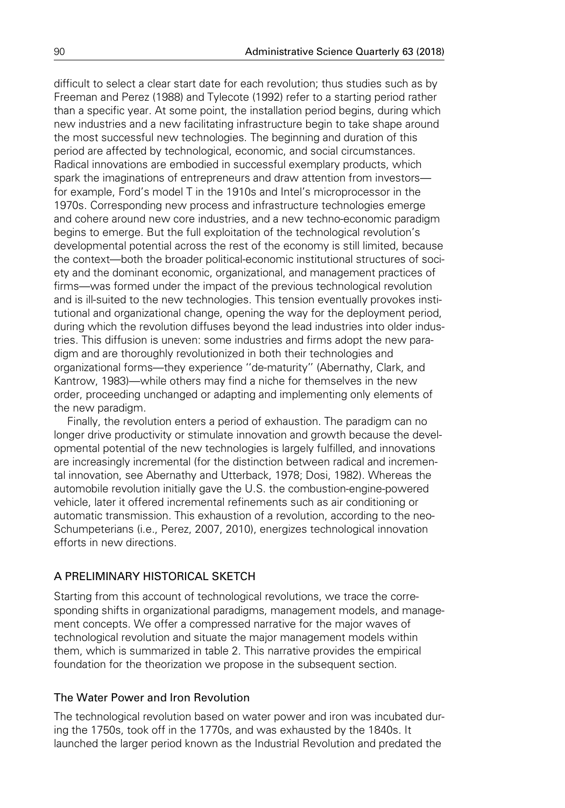difficult to select a clear start date for each revolution; thus studies such as by Freeman and Perez (1988) and Tylecote (1992) refer to a starting period rather than a specific year. At some point, the installation period begins, during which new industries and a new facilitating infrastructure begin to take shape around the most successful new technologies. The beginning and duration of this period are affected by technological, economic, and social circumstances. Radical innovations are embodied in successful exemplary products, which spark the imaginations of entrepreneurs and draw attention from investors for example, Ford's model T in the 1910s and Intel's microprocessor in the 1970s. Corresponding new process and infrastructure technologies emerge and cohere around new core industries, and a new techno-economic paradigm begins to emerge. But the full exploitation of the technological revolution's developmental potential across the rest of the economy is still limited, because the context—both the broader political-economic institutional structures of society and the dominant economic, organizational, and management practices of firms—was formed under the impact of the previous technological revolution and is ill-suited to the new technologies. This tension eventually provokes institutional and organizational change, opening the way for the deployment period, during which the revolution diffuses beyond the lead industries into older industries. This diffusion is uneven: some industries and firms adopt the new paradigm and are thoroughly revolutionized in both their technologies and organizational forms—they experience ''de-maturity'' (Abernathy, Clark, and Kantrow, 1983)—while others may find a niche for themselves in the new order, proceeding unchanged or adapting and implementing only elements of the new paradigm.

Finally, the revolution enters a period of exhaustion. The paradigm can no longer drive productivity or stimulate innovation and growth because the developmental potential of the new technologies is largely fulfilled, and innovations are increasingly incremental (for the distinction between radical and incremental innovation, see Abernathy and Utterback, 1978; Dosi, 1982). Whereas the automobile revolution initially gave the U.S. the combustion-engine-powered vehicle, later it offered incremental refinements such as air conditioning or automatic transmission. This exhaustion of a revolution, according to the neo-Schumpeterians (i.e., Perez, 2007, 2010), energizes technological innovation efforts in new directions.

### A PRELIMINARY HISTORICAL SKETCH

Starting from this account of technological revolutions, we trace the corresponding shifts in organizational paradigms, management models, and management concepts. We offer a compressed narrative for the major waves of technological revolution and situate the major management models within them, which is summarized in table 2. This narrative provides the empirical foundation for the theorization we propose in the subsequent section.

### The Water Power and Iron Revolution

The technological revolution based on water power and iron was incubated during the 1750s, took off in the 1770s, and was exhausted by the 1840s. It launched the larger period known as the Industrial Revolution and predated the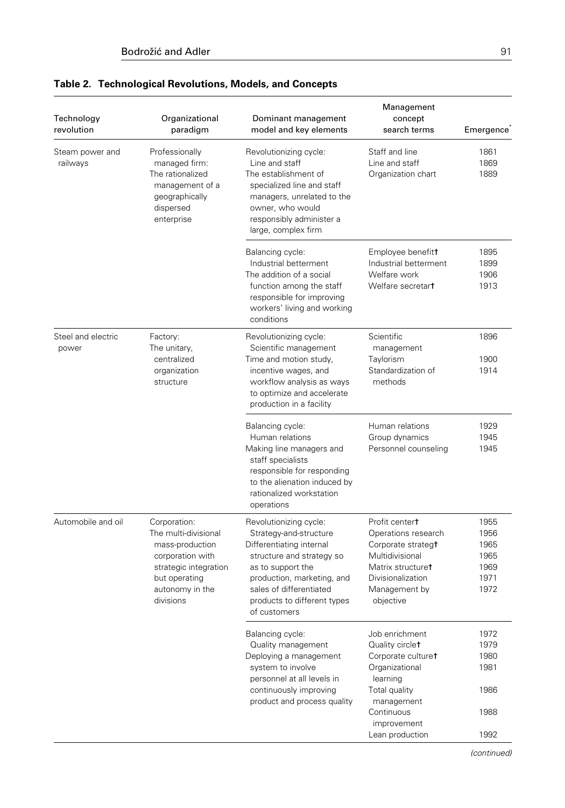| Technology<br>revolution    | Organizational<br>paradigm                                                                                                                            | Dominant management<br>model and key elements                                                                                                                                                                                          | Management<br>concept<br>search terms                                                                                                                  | Emergence                                            |
|-----------------------------|-------------------------------------------------------------------------------------------------------------------------------------------------------|----------------------------------------------------------------------------------------------------------------------------------------------------------------------------------------------------------------------------------------|--------------------------------------------------------------------------------------------------------------------------------------------------------|------------------------------------------------------|
| Steam power and<br>railways | Professionally<br>managed firm:<br>The rationalized<br>management of a<br>geographically<br>dispersed<br>enterprise                                   | Revolutionizing cycle:<br>Line and staff<br>The establishment of<br>specialized line and staff<br>managers, unrelated to the<br>owner, who would<br>responsibly administer a<br>large, complex firm                                    | Staff and line<br>Line and staff<br>Organization chart                                                                                                 | 1861<br>1869<br>1889                                 |
|                             |                                                                                                                                                       | Balancing cycle:<br>Industrial betterment<br>The addition of a social<br>function among the staff<br>responsible for improving<br>workers' living and working<br>conditions                                                            | Employee benefitt<br>Industrial betterment<br>Welfare work<br>Welfare secretart                                                                        | 1895<br>1899<br>1906<br>1913                         |
| Steel and electric<br>power | Factory:<br>The unitary,<br>centralized<br>organization<br>structure                                                                                  | Revolutionizing cycle:<br>Scientific management<br>Time and motion study,<br>incentive wages, and<br>workflow analysis as ways<br>to optimize and accelerate<br>production in a facility                                               | Scientific<br>management<br>Taylorism<br>Standardization of<br>methods                                                                                 | 1896<br>1900<br>1914                                 |
|                             |                                                                                                                                                       | Balancing cycle:<br>Human relations<br>Making line managers and<br>staff specialists<br>responsible for responding<br>to the alienation induced by<br>rationalized workstation<br>operations                                           | Human relations<br>Group dynamics<br>Personnel counseling                                                                                              | 1929<br>1945<br>1945                                 |
| Automobile and oil          | Corporation:<br>The multi-divisional<br>mass-production<br>corporation with<br>strategic integration<br>but operating<br>autonomy in the<br>divisions | Revolutionizing cycle:<br>Strategy-and-structure<br>Differentiating internal<br>structure and strategy so<br>as to support the<br>production, marketing, and<br>sales of differentiated<br>products to different types<br>of customers | Profit centert<br>Operations research<br>Corporate strategt<br>Multidivisional<br>Matrix structuret<br>Divisionalization<br>Management by<br>objective | 1955<br>1956<br>1965<br>1965<br>1969<br>1971<br>1972 |
|                             |                                                                                                                                                       | Balancing cycle:<br>Quality management<br>Deploying a management<br>system to involve<br>personnel at all levels in<br>continuously improving<br>product and process quality                                                           | Job enrichment<br>Quality circlet<br>Corporate culturet<br>Organizational<br>learning<br>Total quality<br>management<br>Continuous                     | 1972<br>1979<br>1980<br>1981<br>1986<br>1988         |
|                             |                                                                                                                                                       |                                                                                                                                                                                                                                        | improvement<br>Lean production                                                                                                                         | 1992                                                 |

## Table 2. Technological Revolutions, Models, and Concepts

(continued)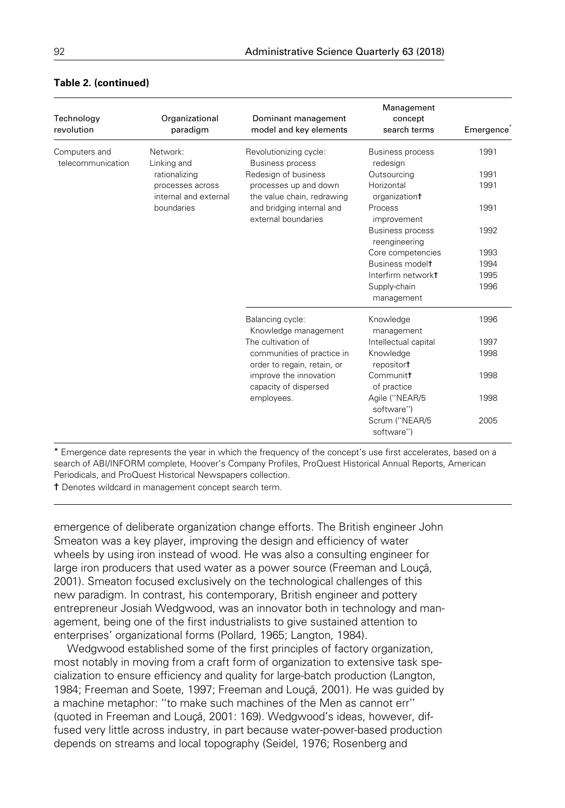| Technology<br>revolution           | Organizational<br>paradigm | Dominant management<br>model and key elements                               | Management<br>concept<br>search terms    | Emergence |
|------------------------------------|----------------------------|-----------------------------------------------------------------------------|------------------------------------------|-----------|
| Computers and<br>telecommunication | Network:<br>Linking and    | Revolutionizing cycle:<br><b>Business process</b>                           | <b>Business process</b><br>redesign      | 1991      |
|                                    | rationalizing              | Redesign of business<br>processes up and down<br>the value chain, redrawing | Outsourcing                              | 1991      |
| processes across<br>boundaries     | internal and external      |                                                                             | Horizontal<br>organizationt              | 1991      |
|                                    |                            | and bridging internal and<br>external boundaries                            | Process<br>improvement                   | 1991      |
|                                    |                            |                                                                             | <b>Business process</b><br>reengineering | 1992      |
|                                    |                            |                                                                             | Core competencies                        | 1993      |
|                                    |                            |                                                                             | Business modelt                          | 1994      |
|                                    |                            |                                                                             | Interfirm networkt                       | 1995      |
|                                    |                            |                                                                             | Supply-chain<br>management               | 1996      |
|                                    |                            | Balancing cycle:<br>Knowledge management                                    | Knowledge<br>management                  | 1996      |
|                                    |                            | The cultivation of                                                          | Intellectual capital                     | 1997      |
|                                    |                            | communities of practice in<br>order to regain, retain, or                   | Knowledge<br>repositor <sup>+</sup>      | 1998      |
|                                    |                            | improve the innovation<br>capacity of dispersed                             | Communitt<br>of practice                 | 1998      |
|                                    |                            | employees.                                                                  | Agile ("NEAR/5<br>software")             | 1998      |
|                                    |                            |                                                                             | Scrum ("NEAR/5<br>software")             | 2005      |

### Table 2. (continued)

\* Emergence date represents the year in which the frequency of the concept's use first accelerates, based on a search of ABI/INFORM complete, Hoover's Company Profiles, ProQuest Historical Annual Reports, American Periodicals, and ProQuest Historical Newspapers collection.

t Denotes wildcard in management concept search term.

emergence of deliberate organization change efforts. The British engineer John Smeaton was a key player, improving the design and efficiency of water wheels by using iron instead of wood. He was also a consulting engineer for large iron producers that used water as a power source (Freeman and Louca, 2001). Smeaton focused exclusively on the technological challenges of this new paradigm. In contrast, his contemporary, British engineer and pottery entrepreneur Josiah Wedgwood, was an innovator both in technology and management, being one of the first industrialists to give sustained attention to enterprises' organizational forms (Pollard, 1965; Langton, 1984).

Wedgwood established some of the first principles of factory organization, most notably in moving from a craft form of organization to extensive task specialization to ensure efficiency and quality for large-batch production (Langton, 1984; Freeman and Soete, 1997; Freeman and Louçã, 2001). He was guided by a machine metaphor: ''to make such machines of the Men as cannot err'' (quoted in Freeman and Louçã, 2001: 169). Wedgwood's ideas, however, diffused very little across industry, in part because water-power-based production depends on streams and local topography (Seidel, 1976; Rosenberg and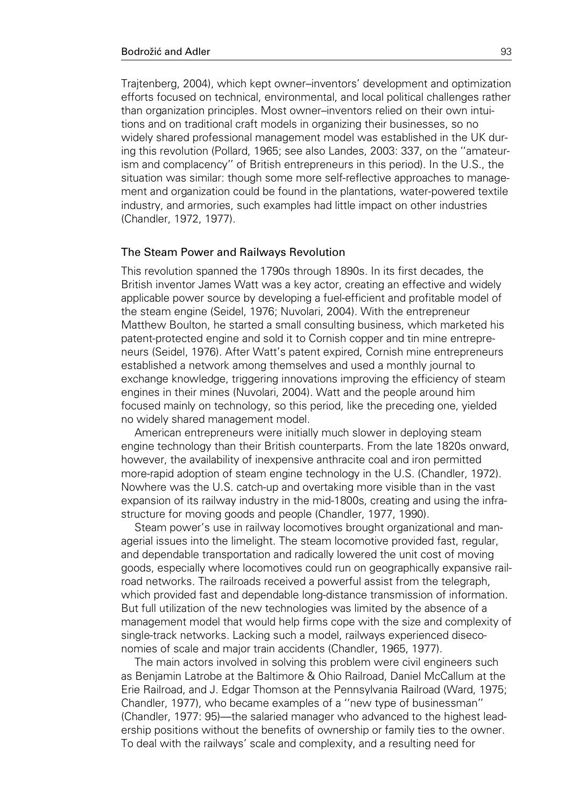Trajtenberg, 2004), which kept owner–inventors' development and optimization efforts focused on technical, environmental, and local political challenges rather than organization principles. Most owner–inventors relied on their own intuitions and on traditional craft models in organizing their businesses, so no widely shared professional management model was established in the UK during this revolution (Pollard, 1965; see also Landes, 2003: 337, on the ''amateurism and complacency'' of British entrepreneurs in this period). In the U.S., the situation was similar: though some more self-reflective approaches to management and organization could be found in the plantations, water-powered textile industry, and armories, such examples had little impact on other industries (Chandler, 1972, 1977).

#### The Steam Power and Railways Revolution

This revolution spanned the 1790s through 1890s. In its first decades, the British inventor James Watt was a key actor, creating an effective and widely applicable power source by developing a fuel-efficient and profitable model of the steam engine (Seidel, 1976; Nuvolari, 2004). With the entrepreneur Matthew Boulton, he started a small consulting business, which marketed his patent-protected engine and sold it to Cornish copper and tin mine entrepreneurs (Seidel, 1976). After Watt's patent expired, Cornish mine entrepreneurs established a network among themselves and used a monthly journal to exchange knowledge, triggering innovations improving the efficiency of steam engines in their mines (Nuvolari, 2004). Watt and the people around him focused mainly on technology, so this period, like the preceding one, yielded no widely shared management model.

American entrepreneurs were initially much slower in deploying steam engine technology than their British counterparts. From the late 1820s onward, however, the availability of inexpensive anthracite coal and iron permitted more-rapid adoption of steam engine technology in the U.S. (Chandler, 1972). Nowhere was the U.S. catch-up and overtaking more visible than in the vast expansion of its railway industry in the mid-1800s, creating and using the infrastructure for moving goods and people (Chandler, 1977, 1990).

Steam power's use in railway locomotives brought organizational and managerial issues into the limelight. The steam locomotive provided fast, regular, and dependable transportation and radically lowered the unit cost of moving goods, especially where locomotives could run on geographically expansive railroad networks. The railroads received a powerful assist from the telegraph, which provided fast and dependable long-distance transmission of information. But full utilization of the new technologies was limited by the absence of a management model that would help firms cope with the size and complexity of single-track networks. Lacking such a model, railways experienced diseconomies of scale and major train accidents (Chandler, 1965, 1977).

The main actors involved in solving this problem were civil engineers such as Benjamin Latrobe at the Baltimore & Ohio Railroad, Daniel McCallum at the Erie Railroad, and J. Edgar Thomson at the Pennsylvania Railroad (Ward, 1975; Chandler, 1977), who became examples of a ''new type of businessman'' (Chandler, 1977: 95)—the salaried manager who advanced to the highest leadership positions without the benefits of ownership or family ties to the owner. To deal with the railways' scale and complexity, and a resulting need for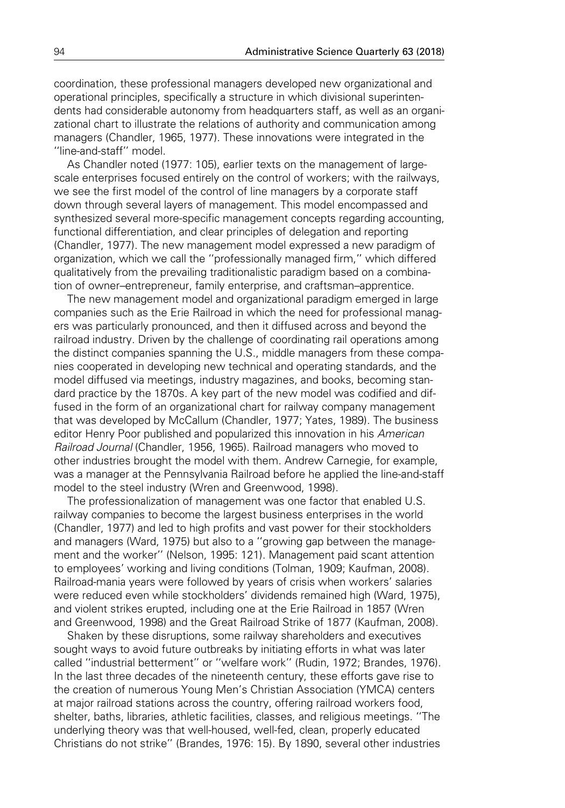coordination, these professional managers developed new organizational and operational principles, specifically a structure in which divisional superintendents had considerable autonomy from headquarters staff, as well as an organizational chart to illustrate the relations of authority and communication among managers (Chandler, 1965, 1977). These innovations were integrated in the ''line-and-staff'' model.

As Chandler noted (1977: 105), earlier texts on the management of largescale enterprises focused entirely on the control of workers; with the railways, we see the first model of the control of line managers by a corporate staff down through several layers of management. This model encompassed and synthesized several more-specific management concepts regarding accounting, functional differentiation, and clear principles of delegation and reporting (Chandler, 1977). The new management model expressed a new paradigm of organization, which we call the ''professionally managed firm,'' which differed qualitatively from the prevailing traditionalistic paradigm based on a combination of owner–entrepreneur, family enterprise, and craftsman–apprentice.

The new management model and organizational paradigm emerged in large companies such as the Erie Railroad in which the need for professional managers was particularly pronounced, and then it diffused across and beyond the railroad industry. Driven by the challenge of coordinating rail operations among the distinct companies spanning the U.S., middle managers from these companies cooperated in developing new technical and operating standards, and the model diffused via meetings, industry magazines, and books, becoming standard practice by the 1870s. A key part of the new model was codified and diffused in the form of an organizational chart for railway company management that was developed by McCallum (Chandler, 1977; Yates, 1989). The business editor Henry Poor published and popularized this innovation in his American Railroad Journal (Chandler, 1956, 1965). Railroad managers who moved to other industries brought the model with them. Andrew Carnegie, for example, was a manager at the Pennsylvania Railroad before he applied the line-and-staff model to the steel industry (Wren and Greenwood, 1998).

The professionalization of management was one factor that enabled U.S. railway companies to become the largest business enterprises in the world (Chandler, 1977) and led to high profits and vast power for their stockholders and managers (Ward, 1975) but also to a ''growing gap between the management and the worker'' (Nelson, 1995: 121). Management paid scant attention to employees' working and living conditions (Tolman, 1909; Kaufman, 2008). Railroad-mania years were followed by years of crisis when workers' salaries were reduced even while stockholders' dividends remained high (Ward, 1975), and violent strikes erupted, including one at the Erie Railroad in 1857 (Wren and Greenwood, 1998) and the Great Railroad Strike of 1877 (Kaufman, 2008).

Shaken by these disruptions, some railway shareholders and executives sought ways to avoid future outbreaks by initiating efforts in what was later called ''industrial betterment'' or ''welfare work'' (Rudin, 1972; Brandes, 1976). In the last three decades of the nineteenth century, these efforts gave rise to the creation of numerous Young Men's Christian Association (YMCA) centers at major railroad stations across the country, offering railroad workers food, shelter, baths, libraries, athletic facilities, classes, and religious meetings. ''The underlying theory was that well-housed, well-fed, clean, properly educated Christians do not strike'' (Brandes, 1976: 15). By 1890, several other industries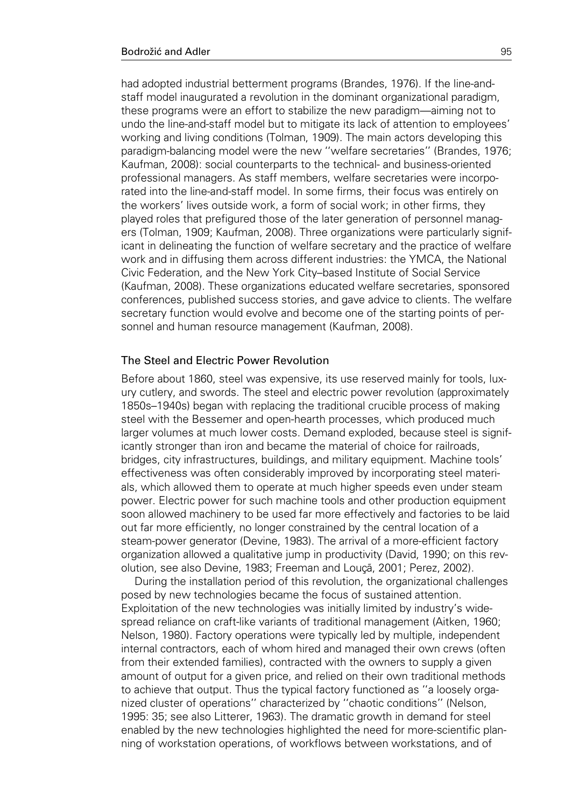had adopted industrial betterment programs (Brandes, 1976). If the line-andstaff model inaugurated a revolution in the dominant organizational paradigm, these programs were an effort to stabilize the new paradigm—aiming not to undo the line-and-staff model but to mitigate its lack of attention to employees' working and living conditions (Tolman, 1909). The main actors developing this paradigm-balancing model were the new ''welfare secretaries'' (Brandes, 1976; Kaufman, 2008): social counterparts to the technical- and business-oriented professional managers. As staff members, welfare secretaries were incorporated into the line-and-staff model. In some firms, their focus was entirely on the workers' lives outside work, a form of social work; in other firms, they played roles that prefigured those of the later generation of personnel managers (Tolman, 1909; Kaufman, 2008). Three organizations were particularly significant in delineating the function of welfare secretary and the practice of welfare work and in diffusing them across different industries: the YMCA, the National Civic Federation, and the New York City–based Institute of Social Service (Kaufman, 2008). These organizations educated welfare secretaries, sponsored conferences, published success stories, and gave advice to clients. The welfare secretary function would evolve and become one of the starting points of personnel and human resource management (Kaufman, 2008).

#### The Steel and Electric Power Revolution

Before about 1860, steel was expensive, its use reserved mainly for tools, luxury cutlery, and swords. The steel and electric power revolution (approximately 1850s–1940s) began with replacing the traditional crucible process of making steel with the Bessemer and open-hearth processes, which produced much larger volumes at much lower costs. Demand exploded, because steel is significantly stronger than iron and became the material of choice for railroads, bridges, city infrastructures, buildings, and military equipment. Machine tools' effectiveness was often considerably improved by incorporating steel materials, which allowed them to operate at much higher speeds even under steam power. Electric power for such machine tools and other production equipment soon allowed machinery to be used far more effectively and factories to be laid out far more efficiently, no longer constrained by the central location of a steam-power generator (Devine, 1983). The arrival of a more-efficient factory organization allowed a qualitative jump in productivity (David, 1990; on this revolution, see also Devine, 1983; Freeman and Louca, 2001; Perez, 2002).

During the installation period of this revolution, the organizational challenges posed by new technologies became the focus of sustained attention. Exploitation of the new technologies was initially limited by industry's widespread reliance on craft-like variants of traditional management (Aitken, 1960; Nelson, 1980). Factory operations were typically led by multiple, independent internal contractors, each of whom hired and managed their own crews (often from their extended families), contracted with the owners to supply a given amount of output for a given price, and relied on their own traditional methods to achieve that output. Thus the typical factory functioned as ''a loosely organized cluster of operations'' characterized by ''chaotic conditions'' (Nelson, 1995: 35; see also Litterer, 1963). The dramatic growth in demand for steel enabled by the new technologies highlighted the need for more-scientific planning of workstation operations, of workflows between workstations, and of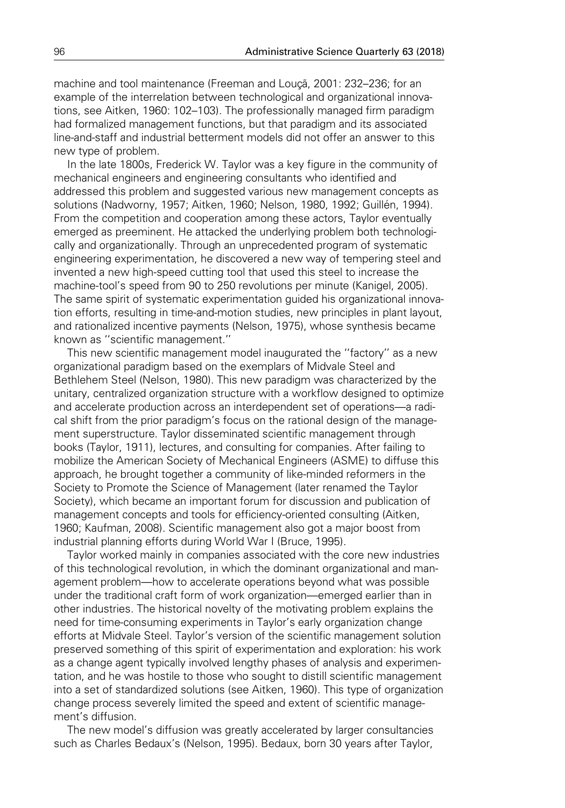machine and tool maintenance (Freeman and Louçã, 2001: 232–236; for an example of the interrelation between technological and organizational innovations, see Aitken, 1960: 102–103). The professionally managed firm paradigm had formalized management functions, but that paradigm and its associated line-and-staff and industrial betterment models did not offer an answer to this new type of problem.

In the late 1800s, Frederick W. Taylor was a key figure in the community of mechanical engineers and engineering consultants who identified and addressed this problem and suggested various new management concepts as solutions (Nadworny, 1957; Aitken, 1960; Nelson, 1980, 1992; Guillén, 1994). From the competition and cooperation among these actors, Taylor eventually emerged as preeminent. He attacked the underlying problem both technologically and organizationally. Through an unprecedented program of systematic engineering experimentation, he discovered a new way of tempering steel and invented a new high-speed cutting tool that used this steel to increase the machine-tool's speed from 90 to 250 revolutions per minute (Kanigel, 2005). The same spirit of systematic experimentation guided his organizational innovation efforts, resulting in time-and-motion studies, new principles in plant layout, and rationalized incentive payments (Nelson, 1975), whose synthesis became known as ''scientific management.''

This new scientific management model inaugurated the ''factory'' as a new organizational paradigm based on the exemplars of Midvale Steel and Bethlehem Steel (Nelson, 1980). This new paradigm was characterized by the unitary, centralized organization structure with a workflow designed to optimize and accelerate production across an interdependent set of operations—a radical shift from the prior paradigm's focus on the rational design of the management superstructure. Taylor disseminated scientific management through books (Taylor, 1911), lectures, and consulting for companies. After failing to mobilize the American Society of Mechanical Engineers (ASME) to diffuse this approach, he brought together a community of like-minded reformers in the Society to Promote the Science of Management (later renamed the Taylor Society), which became an important forum for discussion and publication of management concepts and tools for efficiency-oriented consulting (Aitken, 1960; Kaufman, 2008). Scientific management also got a major boost from industrial planning efforts during World War I (Bruce, 1995).

Taylor worked mainly in companies associated with the core new industries of this technological revolution, in which the dominant organizational and management problem—how to accelerate operations beyond what was possible under the traditional craft form of work organization—emerged earlier than in other industries. The historical novelty of the motivating problem explains the need for time-consuming experiments in Taylor's early organization change efforts at Midvale Steel. Taylor's version of the scientific management solution preserved something of this spirit of experimentation and exploration: his work as a change agent typically involved lengthy phases of analysis and experimentation, and he was hostile to those who sought to distill scientific management into a set of standardized solutions (see Aitken, 1960). This type of organization change process severely limited the speed and extent of scientific management's diffusion.

The new model's diffusion was greatly accelerated by larger consultancies such as Charles Bedaux's (Nelson, 1995). Bedaux, born 30 years after Taylor,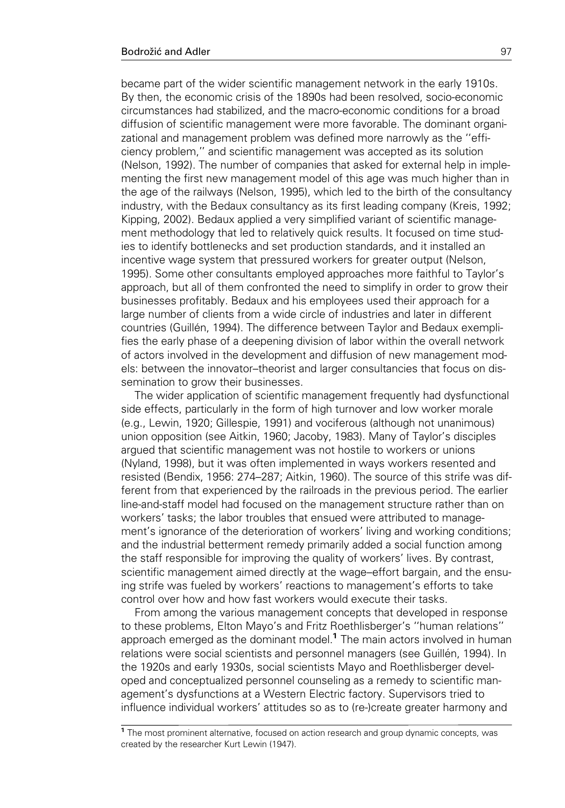became part of the wider scientific management network in the early 1910s. By then, the economic crisis of the 1890s had been resolved, socio-economic circumstances had stabilized, and the macro-economic conditions for a broad diffusion of scientific management were more favorable. The dominant organizational and management problem was defined more narrowly as the ''efficiency problem,'' and scientific management was accepted as its solution (Nelson, 1992). The number of companies that asked for external help in implementing the first new management model of this age was much higher than in the age of the railways (Nelson, 1995), which led to the birth of the consultancy industry, with the Bedaux consultancy as its first leading company (Kreis, 1992; Kipping, 2002). Bedaux applied a very simplified variant of scientific management methodology that led to relatively quick results. It focused on time studies to identify bottlenecks and set production standards, and it installed an incentive wage system that pressured workers for greater output (Nelson, 1995). Some other consultants employed approaches more faithful to Taylor's approach, but all of them confronted the need to simplify in order to grow their businesses profitably. Bedaux and his employees used their approach for a large number of clients from a wide circle of industries and later in different countries (Guillén, 1994). The difference between Taylor and Bedaux exemplifies the early phase of a deepening division of labor within the overall network of actors involved in the development and diffusion of new management models: between the innovator–theorist and larger consultancies that focus on dissemination to grow their businesses.

The wider application of scientific management frequently had dysfunctional side effects, particularly in the form of high turnover and low worker morale (e.g., Lewin, 1920; Gillespie, 1991) and vociferous (although not unanimous) union opposition (see Aitkin, 1960; Jacoby, 1983). Many of Taylor's disciples argued that scientific management was not hostile to workers or unions (Nyland, 1998), but it was often implemented in ways workers resented and resisted (Bendix, 1956: 274–287; Aitkin, 1960). The source of this strife was different from that experienced by the railroads in the previous period. The earlier line-and-staff model had focused on the management structure rather than on workers' tasks; the labor troubles that ensued were attributed to management's ignorance of the deterioration of workers' living and working conditions; and the industrial betterment remedy primarily added a social function among the staff responsible for improving the quality of workers' lives. By contrast, scientific management aimed directly at the wage–effort bargain, and the ensuing strife was fueled by workers' reactions to management's efforts to take control over how and how fast workers would execute their tasks.

From among the various management concepts that developed in response to these problems, Elton Mayo's and Fritz Roethlisberger's ''human relations'' approach emerged as the dominant model.<sup>1</sup> The main actors involved in human relations were social scientists and personnel managers (see Guillén, 1994). In the 1920s and early 1930s, social scientists Mayo and Roethlisberger developed and conceptualized personnel counseling as a remedy to scientific management's dysfunctions at a Western Electric factory. Supervisors tried to influence individual workers' attitudes so as to (re-)create greater harmony and

<sup>&</sup>lt;sup>1</sup> The most prominent alternative, focused on action research and group dynamic concepts, was created by the researcher Kurt Lewin (1947).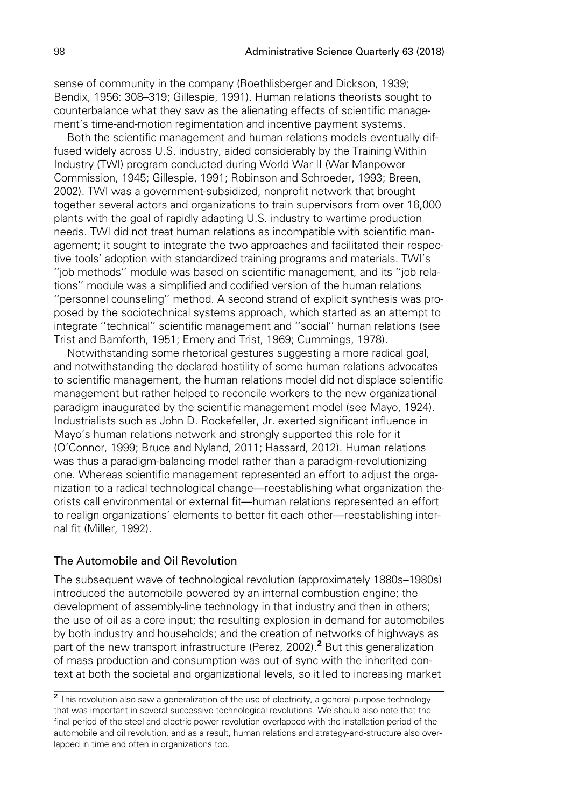sense of community in the company (Roethlisberger and Dickson, 1939; Bendix, 1956: 308–319; Gillespie, 1991). Human relations theorists sought to counterbalance what they saw as the alienating effects of scientific management's time-and-motion regimentation and incentive payment systems.

Both the scientific management and human relations models eventually diffused widely across U.S. industry, aided considerably by the Training Within Industry (TWI) program conducted during World War II (War Manpower Commission, 1945; Gillespie, 1991; Robinson and Schroeder, 1993; Breen, 2002). TWI was a government-subsidized, nonprofit network that brought together several actors and organizations to train supervisors from over 16,000 plants with the goal of rapidly adapting U.S. industry to wartime production needs. TWI did not treat human relations as incompatible with scientific management; it sought to integrate the two approaches and facilitated their respective tools' adoption with standardized training programs and materials. TWI's ''job methods'' module was based on scientific management, and its ''job relations'' module was a simplified and codified version of the human relations ''personnel counseling'' method. A second strand of explicit synthesis was proposed by the sociotechnical systems approach, which started as an attempt to integrate ''technical'' scientific management and ''social'' human relations (see Trist and Bamforth, 1951; Emery and Trist, 1969; Cummings, 1978).

Notwithstanding some rhetorical gestures suggesting a more radical goal, and notwithstanding the declared hostility of some human relations advocates to scientific management, the human relations model did not displace scientific management but rather helped to reconcile workers to the new organizational paradigm inaugurated by the scientific management model (see Mayo, 1924). Industrialists such as John D. Rockefeller, Jr. exerted significant influence in Mayo's human relations network and strongly supported this role for it (O'Connor, 1999; Bruce and Nyland, 2011; Hassard, 2012). Human relations was thus a paradigm-balancing model rather than a paradigm-revolutionizing one. Whereas scientific management represented an effort to adjust the organization to a radical technological change—reestablishing what organization theorists call environmental or external fit—human relations represented an effort to realign organizations' elements to better fit each other—reestablishing internal fit (Miller, 1992).

### The Automobile and Oil Revolution

The subsequent wave of technological revolution (approximately 1880s–1980s) introduced the automobile powered by an internal combustion engine; the development of assembly-line technology in that industry and then in others; the use of oil as a core input; the resulting explosion in demand for automobiles by both industry and households; and the creation of networks of highways as part of the new transport infrastructure (Perez, 2002).<sup>2</sup> But this generalization of mass production and consumption was out of sync with the inherited context at both the societal and organizational levels, so it led to increasing market

<sup>&</sup>lt;sup>2</sup> This revolution also saw a generalization of the use of electricity, a general-purpose technology that was important in several successive technological revolutions. We should also note that the final period of the steel and electric power revolution overlapped with the installation period of the automobile and oil revolution, and as a result, human relations and strategy-and-structure also overlapped in time and often in organizations too.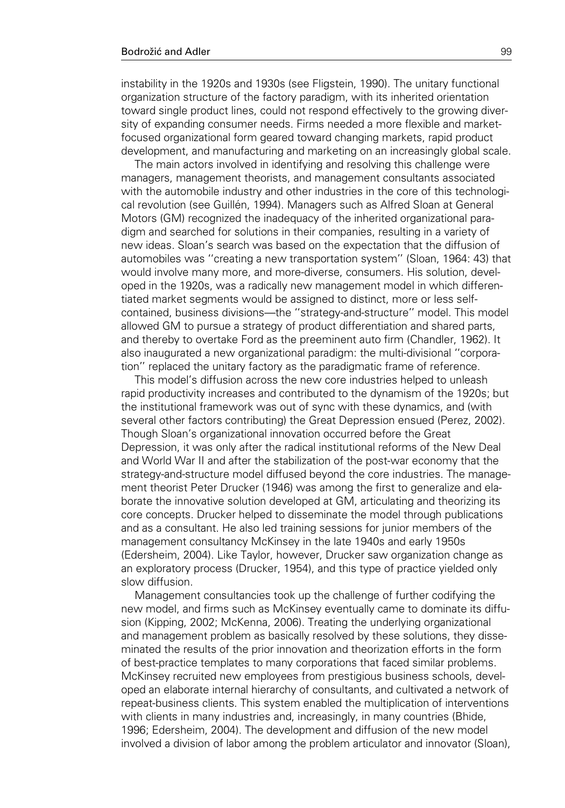instability in the 1920s and 1930s (see Fligstein, 1990). The unitary functional organization structure of the factory paradigm, with its inherited orientation toward single product lines, could not respond effectively to the growing diversity of expanding consumer needs. Firms needed a more flexible and marketfocused organizational form geared toward changing markets, rapid product development, and manufacturing and marketing on an increasingly global scale.

The main actors involved in identifying and resolving this challenge were managers, management theorists, and management consultants associated with the automobile industry and other industries in the core of this technological revolution (see Guillén, 1994). Managers such as Alfred Sloan at General Motors (GM) recognized the inadequacy of the inherited organizational paradigm and searched for solutions in their companies, resulting in a variety of new ideas. Sloan's search was based on the expectation that the diffusion of automobiles was ''creating a new transportation system'' (Sloan, 1964: 43) that would involve many more, and more-diverse, consumers. His solution, developed in the 1920s, was a radically new management model in which differentiated market segments would be assigned to distinct, more or less selfcontained, business divisions—the ''strategy-and-structure'' model. This model allowed GM to pursue a strategy of product differentiation and shared parts, and thereby to overtake Ford as the preeminent auto firm (Chandler, 1962). It also inaugurated a new organizational paradigm: the multi-divisional ''corporation'' replaced the unitary factory as the paradigmatic frame of reference.

This model's diffusion across the new core industries helped to unleash rapid productivity increases and contributed to the dynamism of the 1920s; but the institutional framework was out of sync with these dynamics, and (with several other factors contributing) the Great Depression ensued (Perez, 2002). Though Sloan's organizational innovation occurred before the Great Depression, it was only after the radical institutional reforms of the New Deal and World War II and after the stabilization of the post-war economy that the strategy-and-structure model diffused beyond the core industries. The management theorist Peter Drucker (1946) was among the first to generalize and elaborate the innovative solution developed at GM, articulating and theorizing its core concepts. Drucker helped to disseminate the model through publications and as a consultant. He also led training sessions for junior members of the management consultancy McKinsey in the late 1940s and early 1950s (Edersheim, 2004). Like Taylor, however, Drucker saw organization change as an exploratory process (Drucker, 1954), and this type of practice yielded only slow diffusion.

Management consultancies took up the challenge of further codifying the new model, and firms such as McKinsey eventually came to dominate its diffusion (Kipping, 2002; McKenna, 2006). Treating the underlying organizational and management problem as basically resolved by these solutions, they disseminated the results of the prior innovation and theorization efforts in the form of best-practice templates to many corporations that faced similar problems. McKinsey recruited new employees from prestigious business schools, developed an elaborate internal hierarchy of consultants, and cultivated a network of repeat-business clients. This system enabled the multiplication of interventions with clients in many industries and, increasingly, in many countries (Bhide, 1996; Edersheim, 2004). The development and diffusion of the new model involved a division of labor among the problem articulator and innovator (Sloan),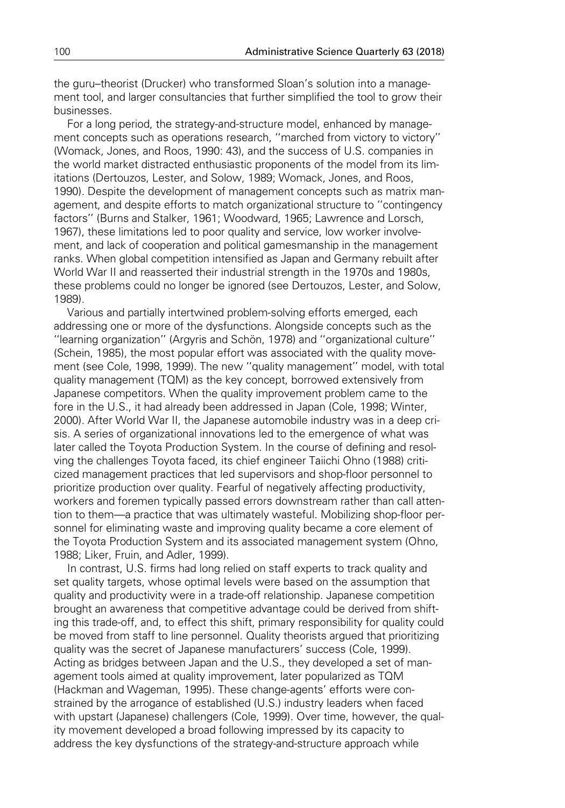the guru–theorist (Drucker) who transformed Sloan's solution into a management tool, and larger consultancies that further simplified the tool to grow their businesses.

For a long period, the strategy-and-structure model, enhanced by management concepts such as operations research, ''marched from victory to victory'' (Womack, Jones, and Roos, 1990: 43), and the success of U.S. companies in the world market distracted enthusiastic proponents of the model from its limitations (Dertouzos, Lester, and Solow, 1989; Womack, Jones, and Roos, 1990). Despite the development of management concepts such as matrix management, and despite efforts to match organizational structure to ''contingency factors'' (Burns and Stalker, 1961; Woodward, 1965; Lawrence and Lorsch, 1967), these limitations led to poor quality and service, low worker involvement, and lack of cooperation and political gamesmanship in the management ranks. When global competition intensified as Japan and Germany rebuilt after World War II and reasserted their industrial strength in the 1970s and 1980s, these problems could no longer be ignored (see Dertouzos, Lester, and Solow, 1989).

Various and partially intertwined problem-solving efforts emerged, each addressing one or more of the dysfunctions. Alongside concepts such as the "learning organization" (Argyris and Schön, 1978) and "organizational culture" (Schein, 1985), the most popular effort was associated with the quality movement (see Cole, 1998, 1999). The new ''quality management'' model, with total quality management (TQM) as the key concept, borrowed extensively from Japanese competitors. When the quality improvement problem came to the fore in the U.S., it had already been addressed in Japan (Cole, 1998; Winter, 2000). After World War II, the Japanese automobile industry was in a deep crisis. A series of organizational innovations led to the emergence of what was later called the Toyota Production System. In the course of defining and resolving the challenges Toyota faced, its chief engineer Taiichi Ohno (1988) criticized management practices that led supervisors and shop-floor personnel to prioritize production over quality. Fearful of negatively affecting productivity, workers and foremen typically passed errors downstream rather than call attention to them—a practice that was ultimately wasteful. Mobilizing shop-floor personnel for eliminating waste and improving quality became a core element of the Toyota Production System and its associated management system (Ohno, 1988; Liker, Fruin, and Adler, 1999).

In contrast, U.S. firms had long relied on staff experts to track quality and set quality targets, whose optimal levels were based on the assumption that quality and productivity were in a trade-off relationship. Japanese competition brought an awareness that competitive advantage could be derived from shifting this trade-off, and, to effect this shift, primary responsibility for quality could be moved from staff to line personnel. Quality theorists argued that prioritizing quality was the secret of Japanese manufacturers' success (Cole, 1999). Acting as bridges between Japan and the U.S., they developed a set of management tools aimed at quality improvement, later popularized as TQM (Hackman and Wageman, 1995). These change-agents' efforts were constrained by the arrogance of established (U.S.) industry leaders when faced with upstart (Japanese) challengers (Cole, 1999). Over time, however, the quality movement developed a broad following impressed by its capacity to address the key dysfunctions of the strategy-and-structure approach while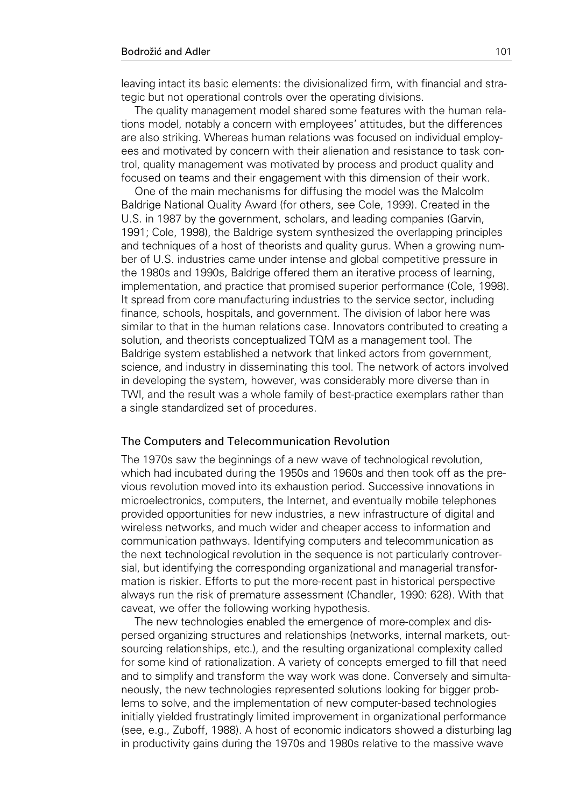leaving intact its basic elements: the divisionalized firm, with financial and strategic but not operational controls over the operating divisions.

The quality management model shared some features with the human relations model, notably a concern with employees' attitudes, but the differences are also striking. Whereas human relations was focused on individual employees and motivated by concern with their alienation and resistance to task control, quality management was motivated by process and product quality and focused on teams and their engagement with this dimension of their work.

One of the main mechanisms for diffusing the model was the Malcolm Baldrige National Quality Award (for others, see Cole, 1999). Created in the U.S. in 1987 by the government, scholars, and leading companies (Garvin, 1991; Cole, 1998), the Baldrige system synthesized the overlapping principles and techniques of a host of theorists and quality gurus. When a growing number of U.S. industries came under intense and global competitive pressure in the 1980s and 1990s, Baldrige offered them an iterative process of learning, implementation, and practice that promised superior performance (Cole, 1998). It spread from core manufacturing industries to the service sector, including finance, schools, hospitals, and government. The division of labor here was similar to that in the human relations case. Innovators contributed to creating a solution, and theorists conceptualized TQM as a management tool. The Baldrige system established a network that linked actors from government, science, and industry in disseminating this tool. The network of actors involved in developing the system, however, was considerably more diverse than in TWI, and the result was a whole family of best-practice exemplars rather than a single standardized set of procedures.

#### The Computers and Telecommunication Revolution

The 1970s saw the beginnings of a new wave of technological revolution, which had incubated during the 1950s and 1960s and then took off as the previous revolution moved into its exhaustion period. Successive innovations in microelectronics, computers, the Internet, and eventually mobile telephones provided opportunities for new industries, a new infrastructure of digital and wireless networks, and much wider and cheaper access to information and communication pathways. Identifying computers and telecommunication as the next technological revolution in the sequence is not particularly controversial, but identifying the corresponding organizational and managerial transformation is riskier. Efforts to put the more-recent past in historical perspective always run the risk of premature assessment (Chandler, 1990: 628). With that caveat, we offer the following working hypothesis.

The new technologies enabled the emergence of more-complex and dispersed organizing structures and relationships (networks, internal markets, outsourcing relationships, etc.), and the resulting organizational complexity called for some kind of rationalization. A variety of concepts emerged to fill that need and to simplify and transform the way work was done. Conversely and simultaneously, the new technologies represented solutions looking for bigger problems to solve, and the implementation of new computer-based technologies initially yielded frustratingly limited improvement in organizational performance (see, e.g., Zuboff, 1988). A host of economic indicators showed a disturbing lag in productivity gains during the 1970s and 1980s relative to the massive wave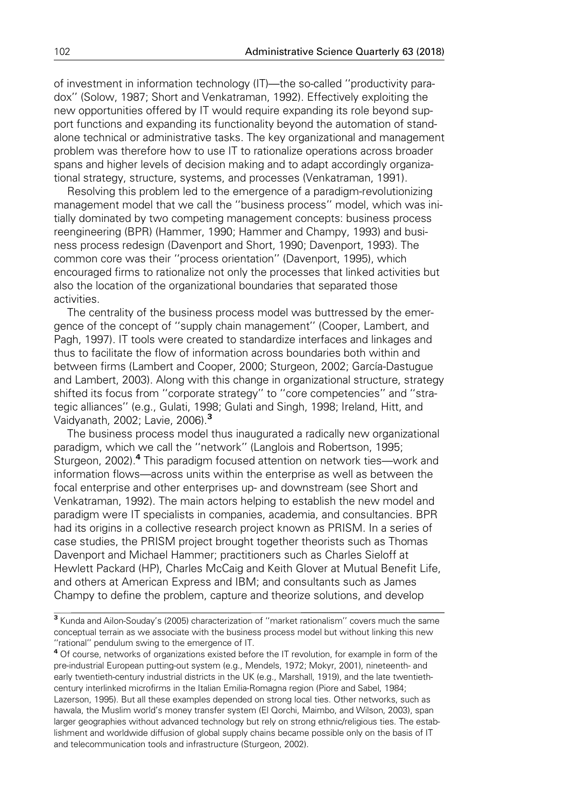of investment in information technology (IT)—the so-called ''productivity paradox'' (Solow, 1987; Short and Venkatraman, 1992). Effectively exploiting the new opportunities offered by IT would require expanding its role beyond support functions and expanding its functionality beyond the automation of standalone technical or administrative tasks. The key organizational and management problem was therefore how to use IT to rationalize operations across broader spans and higher levels of decision making and to adapt accordingly organizational strategy, structure, systems, and processes (Venkatraman, 1991).

Resolving this problem led to the emergence of a paradigm-revolutionizing management model that we call the ''business process'' model, which was initially dominated by two competing management concepts: business process reengineering (BPR) (Hammer, 1990; Hammer and Champy, 1993) and business process redesign (Davenport and Short, 1990; Davenport, 1993). The common core was their ''process orientation'' (Davenport, 1995), which encouraged firms to rationalize not only the processes that linked activities but also the location of the organizational boundaries that separated those activities.

The centrality of the business process model was buttressed by the emergence of the concept of ''supply chain management'' (Cooper, Lambert, and Pagh, 1997). IT tools were created to standardize interfaces and linkages and thus to facilitate the flow of information across boundaries both within and between firms (Lambert and Cooper, 2000; Sturgeon, 2002; García-Dastugue and Lambert, 2003). Along with this change in organizational structure, strategy shifted its focus from ''corporate strategy'' to ''core competencies'' and ''strategic alliances'' (e.g., Gulati, 1998; Gulati and Singh, 1998; Ireland, Hitt, and Vaidyanath, 2002; Lavie, 2006).<sup>3</sup>

The business process model thus inaugurated a radically new organizational paradigm, which we call the ''network'' (Langlois and Robertson, 1995; Sturgeon, 2002).<sup>4</sup> This paradigm focused attention on network ties—work and information flows—across units within the enterprise as well as between the focal enterprise and other enterprises up- and downstream (see Short and Venkatraman, 1992). The main actors helping to establish the new model and paradigm were IT specialists in companies, academia, and consultancies. BPR had its origins in a collective research project known as PRISM. In a series of case studies, the PRISM project brought together theorists such as Thomas Davenport and Michael Hammer; practitioners such as Charles Sieloff at Hewlett Packard (HP), Charles McCaig and Keith Glover at Mutual Benefit Life, and others at American Express and IBM; and consultants such as James Champy to define the problem, capture and theorize solutions, and develop

<sup>4</sup> Of course, networks of organizations existed before the IT revolution, for example in form of the pre-industrial European putting-out system (e.g., Mendels, 1972; Mokyr, 2001), nineteenth- and early twentieth-century industrial districts in the UK (e.g., Marshall, 1919), and the late twentiethcentury interlinked microfirms in the Italian Emilia-Romagna region (Piore and Sabel, 1984; Lazerson, 1995). But all these examples depended on strong local ties. Other networks, such as hawala, the Muslim world's money transfer system (El Qorchi, Maimbo, and Wilson, 2003), span larger geographies without advanced technology but rely on strong ethnic/religious ties. The establishment and worldwide diffusion of global supply chains became possible only on the basis of IT and telecommunication tools and infrastructure (Sturgeon, 2002).

<sup>3</sup> Kunda and Ailon-Souday's (2005) characterization of ''market rationalism'' covers much the same conceptual terrain as we associate with the business process model but without linking this new ''rational'' pendulum swing to the emergence of IT.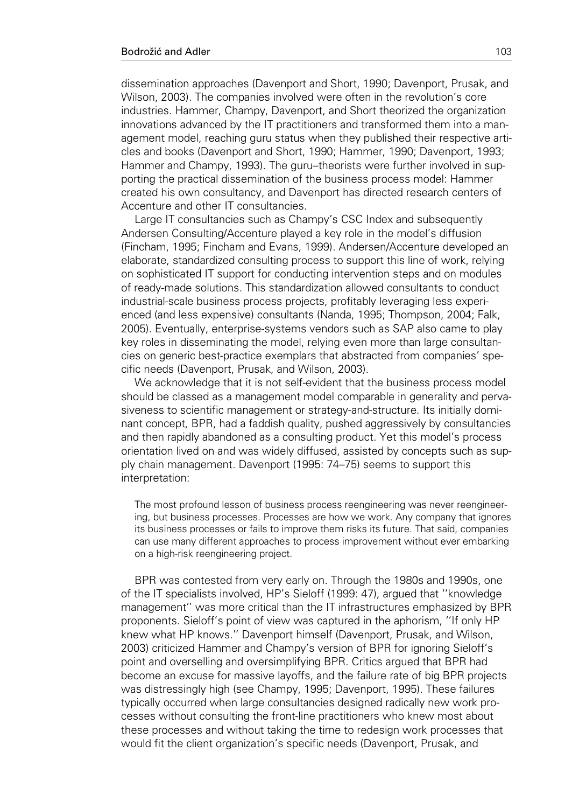dissemination approaches (Davenport and Short, 1990; Davenport, Prusak, and Wilson, 2003). The companies involved were often in the revolution's core industries. Hammer, Champy, Davenport, and Short theorized the organization innovations advanced by the IT practitioners and transformed them into a management model, reaching guru status when they published their respective articles and books (Davenport and Short, 1990; Hammer, 1990; Davenport, 1993; Hammer and Champy, 1993). The guru–theorists were further involved in supporting the practical dissemination of the business process model: Hammer created his own consultancy, and Davenport has directed research centers of Accenture and other IT consultancies.

Large IT consultancies such as Champy's CSC Index and subsequently Andersen Consulting/Accenture played a key role in the model's diffusion (Fincham, 1995; Fincham and Evans, 1999). Andersen/Accenture developed an elaborate, standardized consulting process to support this line of work, relying on sophisticated IT support for conducting intervention steps and on modules of ready-made solutions. This standardization allowed consultants to conduct industrial-scale business process projects, profitably leveraging less experienced (and less expensive) consultants (Nanda, 1995; Thompson, 2004; Falk, 2005). Eventually, enterprise-systems vendors such as SAP also came to play key roles in disseminating the model, relying even more than large consultancies on generic best-practice exemplars that abstracted from companies' specific needs (Davenport, Prusak, and Wilson, 2003).

We acknowledge that it is not self-evident that the business process model should be classed as a management model comparable in generality and pervasiveness to scientific management or strategy-and-structure. Its initially dominant concept, BPR, had a faddish quality, pushed aggressively by consultancies and then rapidly abandoned as a consulting product. Yet this model's process orientation lived on and was widely diffused, assisted by concepts such as supply chain management. Davenport (1995: 74–75) seems to support this interpretation:

The most profound lesson of business process reengineering was never reengineering, but business processes. Processes are how we work. Any company that ignores its business processes or fails to improve them risks its future. That said, companies can use many different approaches to process improvement without ever embarking on a high-risk reengineering project.

BPR was contested from very early on. Through the 1980s and 1990s, one of the IT specialists involved, HP's Sieloff (1999: 47), argued that ''knowledge management'' was more critical than the IT infrastructures emphasized by BPR proponents. Sieloff's point of view was captured in the aphorism, ''If only HP knew what HP knows.'' Davenport himself (Davenport, Prusak, and Wilson, 2003) criticized Hammer and Champy's version of BPR for ignoring Sieloff's point and overselling and oversimplifying BPR. Critics argued that BPR had become an excuse for massive layoffs, and the failure rate of big BPR projects was distressingly high (see Champy, 1995; Davenport, 1995). These failures typically occurred when large consultancies designed radically new work processes without consulting the front-line practitioners who knew most about these processes and without taking the time to redesign work processes that would fit the client organization's specific needs (Davenport, Prusak, and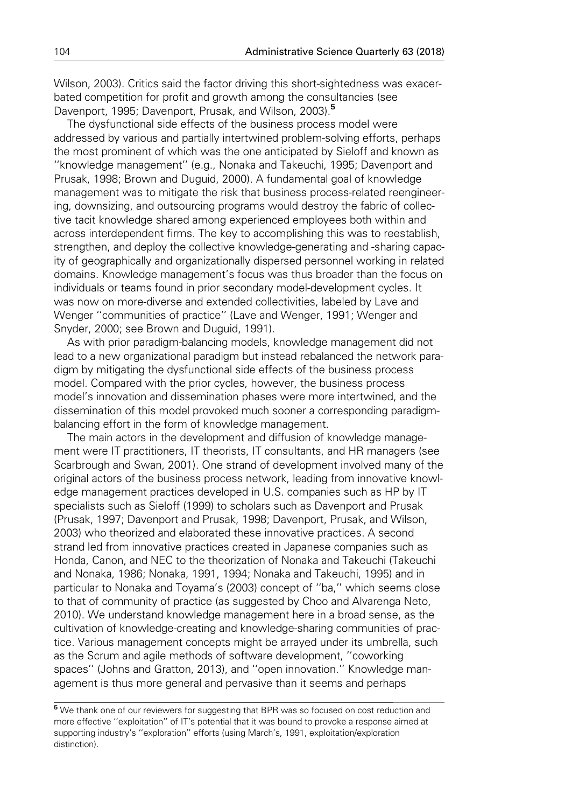Wilson, 2003). Critics said the factor driving this short-sightedness was exacerbated competition for profit and growth among the consultancies (see Davenport, 1995; Davenport, Prusak, and Wilson, 2003).<sup>5</sup>

The dysfunctional side effects of the business process model were addressed by various and partially intertwined problem-solving efforts, perhaps the most prominent of which was the one anticipated by Sieloff and known as ''knowledge management'' (e.g., Nonaka and Takeuchi, 1995; Davenport and Prusak, 1998; Brown and Duguid, 2000). A fundamental goal of knowledge management was to mitigate the risk that business process-related reengineering, downsizing, and outsourcing programs would destroy the fabric of collective tacit knowledge shared among experienced employees both within and across interdependent firms. The key to accomplishing this was to reestablish, strengthen, and deploy the collective knowledge-generating and -sharing capacity of geographically and organizationally dispersed personnel working in related domains. Knowledge management's focus was thus broader than the focus on individuals or teams found in prior secondary model-development cycles. It was now on more-diverse and extended collectivities, labeled by Lave and Wenger ''communities of practice'' (Lave and Wenger, 1991; Wenger and Snyder, 2000; see Brown and Duguid, 1991).

As with prior paradigm-balancing models, knowledge management did not lead to a new organizational paradigm but instead rebalanced the network paradigm by mitigating the dysfunctional side effects of the business process model. Compared with the prior cycles, however, the business process model's innovation and dissemination phases were more intertwined, and the dissemination of this model provoked much sooner a corresponding paradigmbalancing effort in the form of knowledge management.

The main actors in the development and diffusion of knowledge management were IT practitioners, IT theorists, IT consultants, and HR managers (see Scarbrough and Swan, 2001). One strand of development involved many of the original actors of the business process network, leading from innovative knowledge management practices developed in U.S. companies such as HP by IT specialists such as Sieloff (1999) to scholars such as Davenport and Prusak (Prusak, 1997; Davenport and Prusak, 1998; Davenport, Prusak, and Wilson, 2003) who theorized and elaborated these innovative practices. A second strand led from innovative practices created in Japanese companies such as Honda, Canon, and NEC to the theorization of Nonaka and Takeuchi (Takeuchi and Nonaka, 1986; Nonaka, 1991, 1994; Nonaka and Takeuchi, 1995) and in particular to Nonaka and Toyama's (2003) concept of ''ba,'' which seems close to that of community of practice (as suggested by Choo and Alvarenga Neto, 2010). We understand knowledge management here in a broad sense, as the cultivation of knowledge-creating and knowledge-sharing communities of practice. Various management concepts might be arrayed under its umbrella, such as the Scrum and agile methods of software development, ''coworking spaces'' (Johns and Gratton, 2013), and ''open innovation.'' Knowledge management is thus more general and pervasive than it seems and perhaps

<sup>5</sup> We thank one of our reviewers for suggesting that BPR was so focused on cost reduction and more effective ''exploitation'' of IT's potential that it was bound to provoke a response aimed at supporting industry's ''exploration'' efforts (using March's, 1991, exploitation/exploration distinction).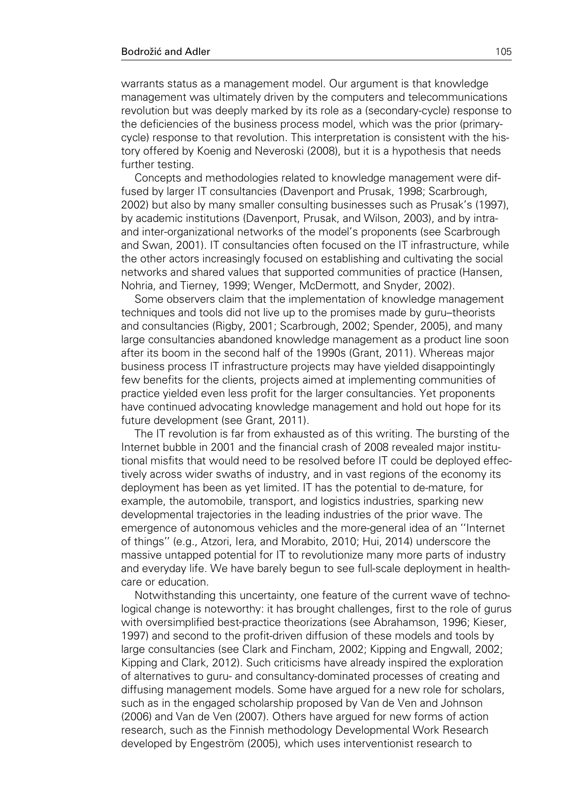warrants status as a management model. Our argument is that knowledge management was ultimately driven by the computers and telecommunications revolution but was deeply marked by its role as a (secondary-cycle) response to the deficiencies of the business process model, which was the prior (primarycycle) response to that revolution. This interpretation is consistent with the history offered by Koenig and Neveroski (2008), but it is a hypothesis that needs further testing.

Concepts and methodologies related to knowledge management were diffused by larger IT consultancies (Davenport and Prusak, 1998; Scarbrough, 2002) but also by many smaller consulting businesses such as Prusak's (1997), by academic institutions (Davenport, Prusak, and Wilson, 2003), and by intraand inter-organizational networks of the model's proponents (see Scarbrough and Swan, 2001). IT consultancies often focused on the IT infrastructure, while the other actors increasingly focused on establishing and cultivating the social networks and shared values that supported communities of practice (Hansen, Nohria, and Tierney, 1999; Wenger, McDermott, and Snyder, 2002).

Some observers claim that the implementation of knowledge management techniques and tools did not live up to the promises made by guru–theorists and consultancies (Rigby, 2001; Scarbrough, 2002; Spender, 2005), and many large consultancies abandoned knowledge management as a product line soon after its boom in the second half of the 1990s (Grant, 2011). Whereas major business process IT infrastructure projects may have yielded disappointingly few benefits for the clients, projects aimed at implementing communities of practice yielded even less profit for the larger consultancies. Yet proponents have continued advocating knowledge management and hold out hope for its future development (see Grant, 2011).

The IT revolution is far from exhausted as of this writing. The bursting of the Internet bubble in 2001 and the financial crash of 2008 revealed major institutional misfits that would need to be resolved before IT could be deployed effectively across wider swaths of industry, and in vast regions of the economy its deployment has been as yet limited. IT has the potential to de-mature, for example, the automobile, transport, and logistics industries, sparking new developmental trajectories in the leading industries of the prior wave. The emergence of autonomous vehicles and the more-general idea of an ''Internet of things'' (e.g., Atzori, Iera, and Morabito, 2010; Hui, 2014) underscore the massive untapped potential for IT to revolutionize many more parts of industry and everyday life. We have barely begun to see full-scale deployment in healthcare or education.

Notwithstanding this uncertainty, one feature of the current wave of technological change is noteworthy: it has brought challenges, first to the role of gurus with oversimplified best-practice theorizations (see Abrahamson, 1996; Kieser, 1997) and second to the profit-driven diffusion of these models and tools by large consultancies (see Clark and Fincham, 2002; Kipping and Engwall, 2002; Kipping and Clark, 2012). Such criticisms have already inspired the exploration of alternatives to guru- and consultancy-dominated processes of creating and diffusing management models. Some have argued for a new role for scholars, such as in the engaged scholarship proposed by Van de Ven and Johnson (2006) and Van de Ven (2007). Others have argued for new forms of action research, such as the Finnish methodology Developmental Work Research developed by Engeström (2005), which uses interventionist research to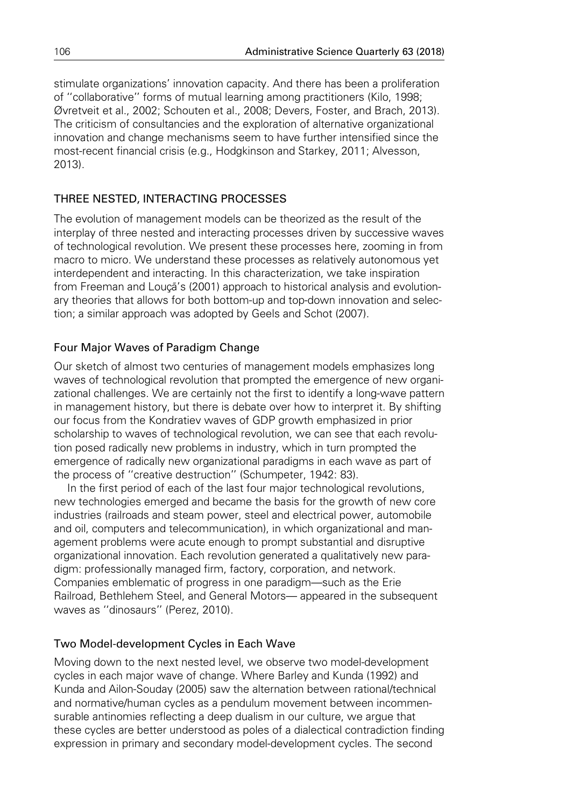stimulate organizations' innovation capacity. And there has been a proliferation of ''collaborative'' forms of mutual learning among practitioners (Kilo, 1998; Øvretveit et al., 2002; Schouten et al., 2008; Devers, Foster, and Brach, 2013). The criticism of consultancies and the exploration of alternative organizational innovation and change mechanisms seem to have further intensified since the most-recent financial crisis (e.g., Hodgkinson and Starkey, 2011; Alvesson, 2013).

### THREE NESTED, INTERACTING PROCESSES

The evolution of management models can be theorized as the result of the interplay of three nested and interacting processes driven by successive waves of technological revolution. We present these processes here, zooming in from macro to micro. We understand these processes as relatively autonomous yet interdependent and interacting. In this characterization, we take inspiration from Freeman and Louça's (2001) approach to historical analysis and evolutionary theories that allows for both bottom-up and top-down innovation and selection; a similar approach was adopted by Geels and Schot (2007).

### Four Major Waves of Paradigm Change

Our sketch of almost two centuries of management models emphasizes long waves of technological revolution that prompted the emergence of new organizational challenges. We are certainly not the first to identify a long-wave pattern in management history, but there is debate over how to interpret it. By shifting our focus from the Kondratiev waves of GDP growth emphasized in prior scholarship to waves of technological revolution, we can see that each revolution posed radically new problems in industry, which in turn prompted the emergence of radically new organizational paradigms in each wave as part of the process of ''creative destruction'' (Schumpeter, 1942: 83).

In the first period of each of the last four major technological revolutions, new technologies emerged and became the basis for the growth of new core industries (railroads and steam power, steel and electrical power, automobile and oil, computers and telecommunication), in which organizational and management problems were acute enough to prompt substantial and disruptive organizational innovation. Each revolution generated a qualitatively new paradigm: professionally managed firm, factory, corporation, and network. Companies emblematic of progress in one paradigm—such as the Erie Railroad, Bethlehem Steel, and General Motors— appeared in the subsequent waves as ''dinosaurs'' (Perez, 2010).

### Two Model-development Cycles in Each Wave

Moving down to the next nested level, we observe two model-development cycles in each major wave of change. Where Barley and Kunda (1992) and Kunda and Ailon-Souday (2005) saw the alternation between rational/technical and normative/human cycles as a pendulum movement between incommensurable antinomies reflecting a deep dualism in our culture, we argue that these cycles are better understood as poles of a dialectical contradiction finding expression in primary and secondary model-development cycles. The second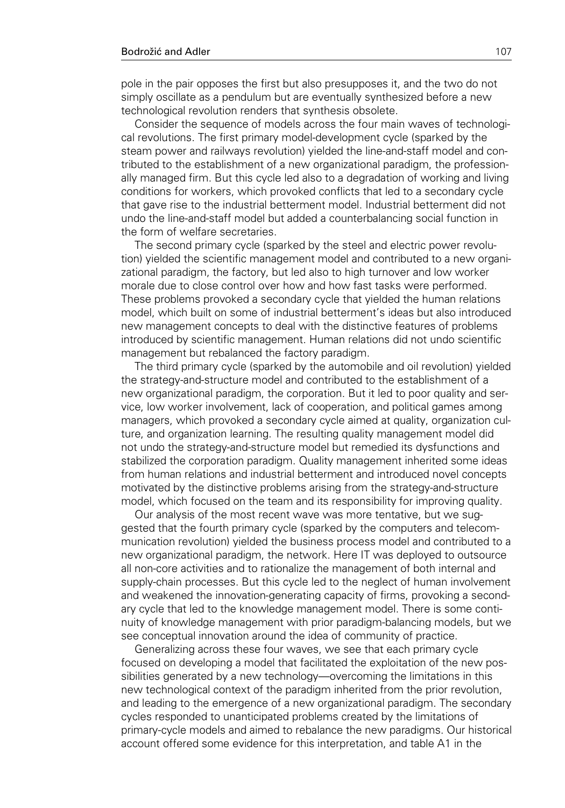pole in the pair opposes the first but also presupposes it, and the two do not simply oscillate as a pendulum but are eventually synthesized before a new technological revolution renders that synthesis obsolete.

Consider the sequence of models across the four main waves of technological revolutions. The first primary model-development cycle (sparked by the steam power and railways revolution) yielded the line-and-staff model and contributed to the establishment of a new organizational paradigm, the professionally managed firm. But this cycle led also to a degradation of working and living conditions for workers, which provoked conflicts that led to a secondary cycle that gave rise to the industrial betterment model. Industrial betterment did not undo the line-and-staff model but added a counterbalancing social function in the form of welfare secretaries.

The second primary cycle (sparked by the steel and electric power revolution) yielded the scientific management model and contributed to a new organizational paradigm, the factory, but led also to high turnover and low worker morale due to close control over how and how fast tasks were performed. These problems provoked a secondary cycle that yielded the human relations model, which built on some of industrial betterment's ideas but also introduced new management concepts to deal with the distinctive features of problems introduced by scientific management. Human relations did not undo scientific management but rebalanced the factory paradigm.

The third primary cycle (sparked by the automobile and oil revolution) yielded the strategy-and-structure model and contributed to the establishment of a new organizational paradigm, the corporation. But it led to poor quality and service, low worker involvement, lack of cooperation, and political games among managers, which provoked a secondary cycle aimed at quality, organization culture, and organization learning. The resulting quality management model did not undo the strategy-and-structure model but remedied its dysfunctions and stabilized the corporation paradigm. Quality management inherited some ideas from human relations and industrial betterment and introduced novel concepts motivated by the distinctive problems arising from the strategy-and-structure model, which focused on the team and its responsibility for improving quality.

Our analysis of the most recent wave was more tentative, but we suggested that the fourth primary cycle (sparked by the computers and telecommunication revolution) yielded the business process model and contributed to a new organizational paradigm, the network. Here IT was deployed to outsource all non-core activities and to rationalize the management of both internal and supply-chain processes. But this cycle led to the neglect of human involvement and weakened the innovation-generating capacity of firms, provoking a secondary cycle that led to the knowledge management model. There is some continuity of knowledge management with prior paradigm-balancing models, but we see conceptual innovation around the idea of community of practice.

Generalizing across these four waves, we see that each primary cycle focused on developing a model that facilitated the exploitation of the new possibilities generated by a new technology—overcoming the limitations in this new technological context of the paradigm inherited from the prior revolution, and leading to the emergence of a new organizational paradigm. The secondary cycles responded to unanticipated problems created by the limitations of primary-cycle models and aimed to rebalance the new paradigms. Our historical account offered some evidence for this interpretation, and table A1 in the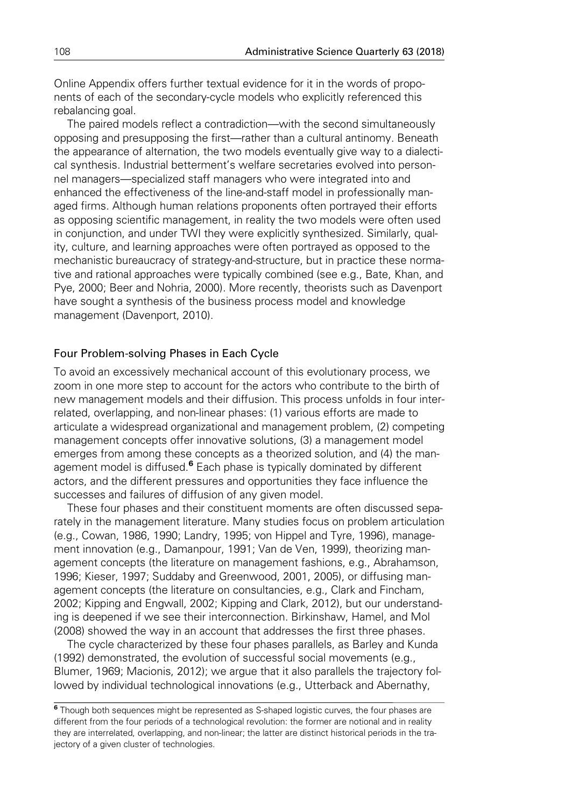Online Appendix offers further textual evidence for it in the words of proponents of each of the secondary-cycle models who explicitly referenced this rebalancing goal.

The paired models reflect a contradiction—with the second simultaneously opposing and presupposing the first—rather than a cultural antinomy. Beneath the appearance of alternation, the two models eventually give way to a dialectical synthesis. Industrial betterment's welfare secretaries evolved into personnel managers—specialized staff managers who were integrated into and enhanced the effectiveness of the line-and-staff model in professionally managed firms. Although human relations proponents often portrayed their efforts as opposing scientific management, in reality the two models were often used in conjunction, and under TWI they were explicitly synthesized. Similarly, quality, culture, and learning approaches were often portrayed as opposed to the mechanistic bureaucracy of strategy-and-structure, but in practice these normative and rational approaches were typically combined (see e.g., Bate, Khan, and Pye, 2000; Beer and Nohria, 2000). More recently, theorists such as Davenport have sought a synthesis of the business process model and knowledge management (Davenport, 2010).

### Four Problem-solving Phases in Each Cycle

To avoid an excessively mechanical account of this evolutionary process, we zoom in one more step to account for the actors who contribute to the birth of new management models and their diffusion. This process unfolds in four interrelated, overlapping, and non-linear phases: (1) various efforts are made to articulate a widespread organizational and management problem, (2) competing management concepts offer innovative solutions, (3) a management model emerges from among these concepts as a theorized solution, and (4) the management model is diffused. $6$  Each phase is typically dominated by different actors, and the different pressures and opportunities they face influence the successes and failures of diffusion of any given model.

These four phases and their constituent moments are often discussed separately in the management literature. Many studies focus on problem articulation (e.g., Cowan, 1986, 1990; Landry, 1995; von Hippel and Tyre, 1996), management innovation (e.g., Damanpour, 1991; Van de Ven, 1999), theorizing management concepts (the literature on management fashions, e.g., Abrahamson, 1996; Kieser, 1997; Suddaby and Greenwood, 2001, 2005), or diffusing management concepts (the literature on consultancies, e.g., Clark and Fincham, 2002; Kipping and Engwall, 2002; Kipping and Clark, 2012), but our understanding is deepened if we see their interconnection. Birkinshaw, Hamel, and Mol (2008) showed the way in an account that addresses the first three phases.

The cycle characterized by these four phases parallels, as Barley and Kunda (1992) demonstrated, the evolution of successful social movements (e.g., Blumer, 1969; Macionis, 2012); we argue that it also parallels the trajectory followed by individual technological innovations (e.g., Utterback and Abernathy,

<sup>6</sup> Though both sequences might be represented as S-shaped logistic curves, the four phases are different from the four periods of a technological revolution: the former are notional and in reality they are interrelated, overlapping, and non-linear; the latter are distinct historical periods in the trajectory of a given cluster of technologies.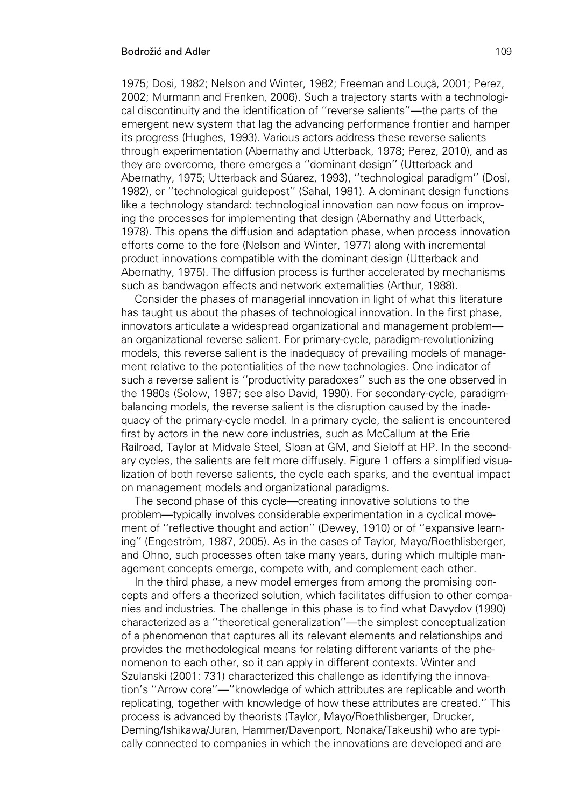1975; Dosi, 1982; Nelson and Winter, 1982; Freeman and Louçã, 2001; Perez, 2002; Murmann and Frenken, 2006). Such a trajectory starts with a technological discontinuity and the identification of ''reverse salients''—the parts of the emergent new system that lag the advancing performance frontier and hamper its progress (Hughes, 1993). Various actors address these reverse salients through experimentation (Abernathy and Utterback, 1978; Perez, 2010), and as they are overcome, there emerges a ''dominant design'' (Utterback and Abernathy, 1975; Utterback and Súarez, 1993), "technological paradigm" (Dosi, 1982), or ''technological guidepost'' (Sahal, 1981). A dominant design functions like a technology standard: technological innovation can now focus on improving the processes for implementing that design (Abernathy and Utterback, 1978). This opens the diffusion and adaptation phase, when process innovation efforts come to the fore (Nelson and Winter, 1977) along with incremental product innovations compatible with the dominant design (Utterback and Abernathy, 1975). The diffusion process is further accelerated by mechanisms such as bandwagon effects and network externalities (Arthur, 1988).

Consider the phases of managerial innovation in light of what this literature has taught us about the phases of technological innovation. In the first phase, innovators articulate a widespread organizational and management problem an organizational reverse salient. For primary-cycle, paradigm-revolutionizing models, this reverse salient is the inadequacy of prevailing models of management relative to the potentialities of the new technologies. One indicator of such a reverse salient is ''productivity paradoxes'' such as the one observed in the 1980s (Solow, 1987; see also David, 1990). For secondary-cycle, paradigmbalancing models, the reverse salient is the disruption caused by the inadequacy of the primary-cycle model. In a primary cycle, the salient is encountered first by actors in the new core industries, such as McCallum at the Erie Railroad, Taylor at Midvale Steel, Sloan at GM, and Sieloff at HP. In the secondary cycles, the salients are felt more diffusely. Figure 1 offers a simplified visualization of both reverse salients, the cycle each sparks, and the eventual impact on management models and organizational paradigms.

The second phase of this cycle—creating innovative solutions to the problem—typically involves considerable experimentation in a cyclical movement of ''reflective thought and action'' (Dewey, 1910) or of ''expansive learning" (Engeström, 1987, 2005). As in the cases of Taylor, Mayo/Roethlisberger, and Ohno, such processes often take many years, during which multiple management concepts emerge, compete with, and complement each other.

In the third phase, a new model emerges from among the promising concepts and offers a theorized solution, which facilitates diffusion to other companies and industries. The challenge in this phase is to find what Davydov (1990) characterized as a ''theoretical generalization''—the simplest conceptualization of a phenomenon that captures all its relevant elements and relationships and provides the methodological means for relating different variants of the phenomenon to each other, so it can apply in different contexts. Winter and Szulanski (2001: 731) characterized this challenge as identifying the innovation's ''Arrow core''—''knowledge of which attributes are replicable and worth replicating, together with knowledge of how these attributes are created.'' This process is advanced by theorists (Taylor, Mayo/Roethlisberger, Drucker, Deming/Ishikawa/Juran, Hammer/Davenport, Nonaka/Takeushi) who are typically connected to companies in which the innovations are developed and are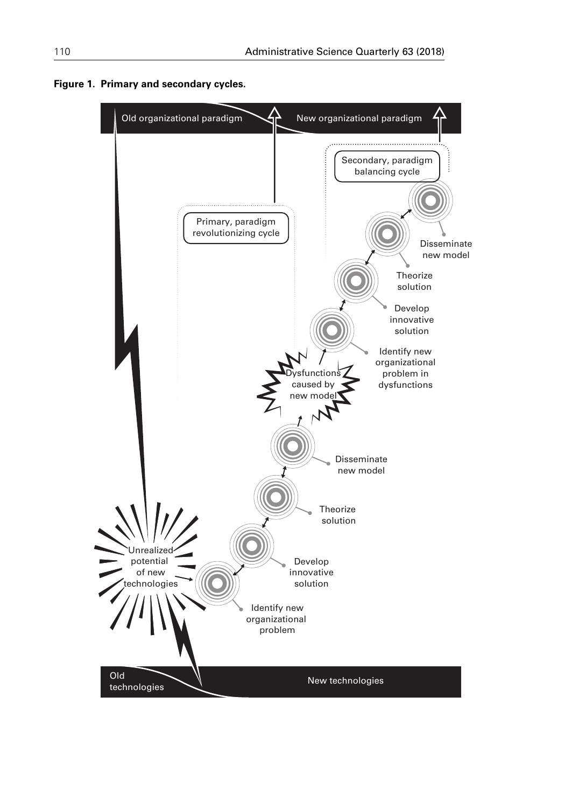

Figure 1. Primary and secondary cycles.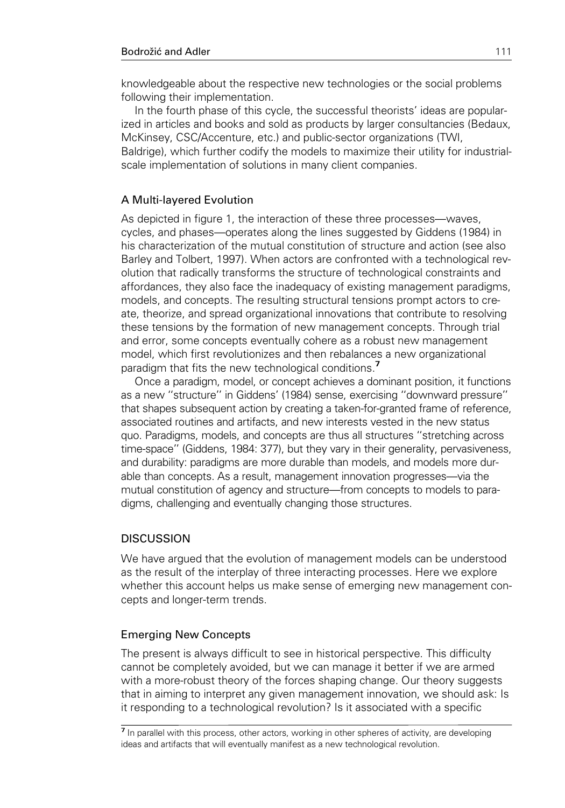knowledgeable about the respective new technologies or the social problems following their implementation.

In the fourth phase of this cycle, the successful theorists' ideas are popularized in articles and books and sold as products by larger consultancies (Bedaux, McKinsey, CSC/Accenture, etc.) and public-sector organizations (TWI, Baldrige), which further codify the models to maximize their utility for industrialscale implementation of solutions in many client companies.

### A Multi-layered Evolution

As depicted in figure 1, the interaction of these three processes—waves, cycles, and phases—operates along the lines suggested by Giddens (1984) in his characterization of the mutual constitution of structure and action (see also Barley and Tolbert, 1997). When actors are confronted with a technological revolution that radically transforms the structure of technological constraints and affordances, they also face the inadequacy of existing management paradigms, models, and concepts. The resulting structural tensions prompt actors to create, theorize, and spread organizational innovations that contribute to resolving these tensions by the formation of new management concepts. Through trial and error, some concepts eventually cohere as a robust new management model, which first revolutionizes and then rebalances a new organizational paradigm that fits the new technological conditions.<sup>7</sup>

Once a paradigm, model, or concept achieves a dominant position, it functions as a new ''structure'' in Giddens' (1984) sense, exercising ''downward pressure'' that shapes subsequent action by creating a taken-for-granted frame of reference, associated routines and artifacts, and new interests vested in the new status quo. Paradigms, models, and concepts are thus all structures ''stretching across time-space'' (Giddens, 1984: 377), but they vary in their generality, pervasiveness, and durability: paradigms are more durable than models, and models more durable than concepts. As a result, management innovation progresses—via the mutual constitution of agency and structure—from concepts to models to paradigms, challenging and eventually changing those structures.

### **DISCUSSION**

We have argued that the evolution of management models can be understood as the result of the interplay of three interacting processes. Here we explore whether this account helps us make sense of emerging new management concepts and longer-term trends.

### Emerging New Concepts

The present is always difficult to see in historical perspective. This difficulty cannot be completely avoided, but we can manage it better if we are armed with a more-robust theory of the forces shaping change. Our theory suggests that in aiming to interpret any given management innovation, we should ask: Is it responding to a technological revolution? Is it associated with a specific

<sup>7</sup> In parallel with this process, other actors, working in other spheres of activity, are developing ideas and artifacts that will eventually manifest as a new technological revolution.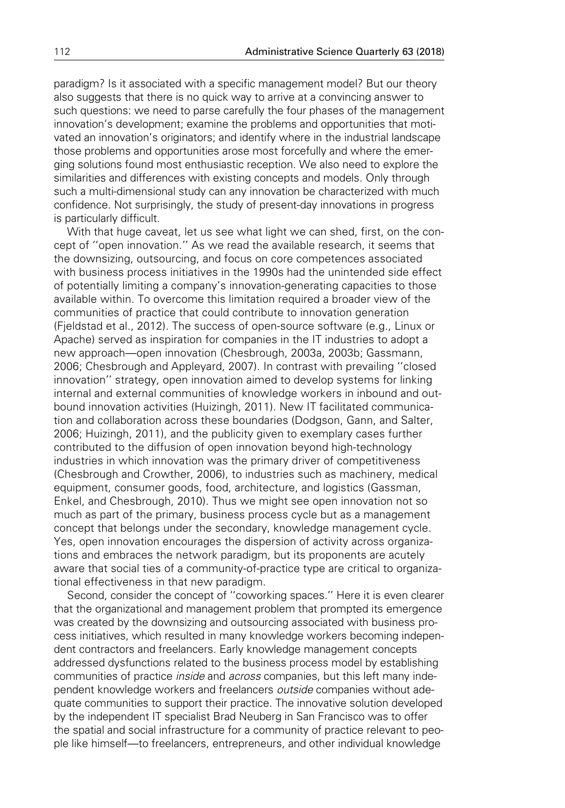paradigm? Is it associated with a specific management model? But our theory also suggests that there is no quick way to arrive at a convincing answer to such questions: we need to parse carefully the four phases of the management innovation's development; examine the problems and opportunities that motivated an innovation's originators; and identify where in the industrial landscape those problems and opportunities arose most forcefully and where the emerging solutions found most enthusiastic reception. We also need to explore the similarities and differences with existing concepts and models. Only through such a multi-dimensional study can any innovation be characterized with much confidence. Not surprisingly, the study of present-day innovations in progress is particularly difficult.

With that huge caveat, let us see what light we can shed, first, on the concept of ''open innovation.'' As we read the available research, it seems that the downsizing, outsourcing, and focus on core competences associated with business process initiatives in the 1990s had the unintended side effect of potentially limiting a company's innovation-generating capacities to those available within. To overcome this limitation required a broader view of the communities of practice that could contribute to innovation generation (Fjeldstad et al., 2012). The success of open-source software (e.g., Linux or Apache) served as inspiration for companies in the IT industries to adopt a new approach—open innovation (Chesbrough, 2003a, 2003b; Gassmann, 2006; Chesbrough and Appleyard, 2007). In contrast with prevailing ''closed innovation'' strategy, open innovation aimed to develop systems for linking internal and external communities of knowledge workers in inbound and outbound innovation activities (Huizingh, 2011). New IT facilitated communication and collaboration across these boundaries (Dodgson, Gann, and Salter, 2006; Huizingh, 2011), and the publicity given to exemplary cases further contributed to the diffusion of open innovation beyond high-technology industries in which innovation was the primary driver of competitiveness (Chesbrough and Crowther, 2006), to industries such as machinery, medical equipment, consumer goods, food, architecture, and logistics (Gassman, Enkel, and Chesbrough, 2010). Thus we might see open innovation not so much as part of the primary, business process cycle but as a management concept that belongs under the secondary, knowledge management cycle. Yes, open innovation encourages the dispersion of activity across organizations and embraces the network paradigm, but its proponents are acutely aware that social ties of a community-of-practice type are critical to organizational effectiveness in that new paradigm.

Second, consider the concept of ''coworking spaces.'' Here it is even clearer that the organizational and management problem that prompted its emergence was created by the downsizing and outsourcing associated with business process initiatives, which resulted in many knowledge workers becoming independent contractors and freelancers. Early knowledge management concepts addressed dysfunctions related to the business process model by establishing communities of practice *inside* and *across* companies, but this left many independent knowledge workers and freelancers outside companies without adequate communities to support their practice. The innovative solution developed by the independent IT specialist Brad Neuberg in San Francisco was to offer the spatial and social infrastructure for a community of practice relevant to people like himself—to freelancers, entrepreneurs, and other individual knowledge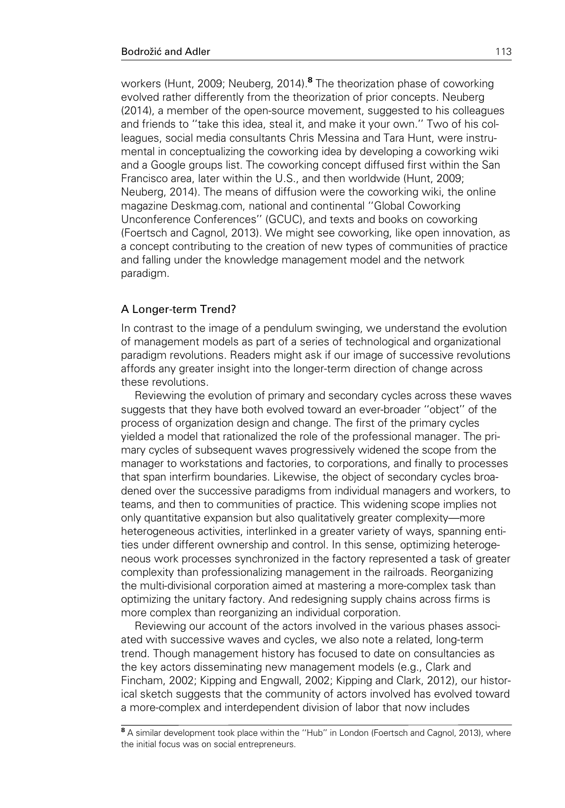workers (Hunt, 2009; Neuberg, 2014).<sup>8</sup> The theorization phase of coworking evolved rather differently from the theorization of prior concepts. Neuberg (2014), a member of the open-source movement, suggested to his colleagues and friends to ''take this idea, steal it, and make it your own.'' Two of his colleagues, social media consultants Chris Messina and Tara Hunt, were instrumental in conceptualizing the coworking idea by developing a coworking wiki and a Google groups list. The coworking concept diffused first within the San Francisco area, later within the U.S., and then worldwide (Hunt, 2009; Neuberg, 2014). The means of diffusion were the coworking wiki, the online magazine Deskmag.com, national and continental ''Global Coworking Unconference Conferences'' (GCUC), and texts and books on coworking (Foertsch and Cagnol, 2013). We might see coworking, like open innovation, as a concept contributing to the creation of new types of communities of practice and falling under the knowledge management model and the network paradigm.

### A Longer-term Trend?

In contrast to the image of a pendulum swinging, we understand the evolution of management models as part of a series of technological and organizational paradigm revolutions. Readers might ask if our image of successive revolutions affords any greater insight into the longer-term direction of change across these revolutions.

Reviewing the evolution of primary and secondary cycles across these waves suggests that they have both evolved toward an ever-broader ''object'' of the process of organization design and change. The first of the primary cycles yielded a model that rationalized the role of the professional manager. The primary cycles of subsequent waves progressively widened the scope from the manager to workstations and factories, to corporations, and finally to processes that span interfirm boundaries. Likewise, the object of secondary cycles broadened over the successive paradigms from individual managers and workers, to teams, and then to communities of practice. This widening scope implies not only quantitative expansion but also qualitatively greater complexity—more heterogeneous activities, interlinked in a greater variety of ways, spanning entities under different ownership and control. In this sense, optimizing heterogeneous work processes synchronized in the factory represented a task of greater complexity than professionalizing management in the railroads. Reorganizing the multi-divisional corporation aimed at mastering a more-complex task than optimizing the unitary factory. And redesigning supply chains across firms is more complex than reorganizing an individual corporation.

Reviewing our account of the actors involved in the various phases associated with successive waves and cycles, we also note a related, long-term trend. Though management history has focused to date on consultancies as the key actors disseminating new management models (e.g., Clark and Fincham, 2002; Kipping and Engwall, 2002; Kipping and Clark, 2012), our historical sketch suggests that the community of actors involved has evolved toward a more-complex and interdependent division of labor that now includes

<sup>8</sup> A similar development took place within the "Hub" in London (Foertsch and Cagnol, 2013), where the initial focus was on social entrepreneurs.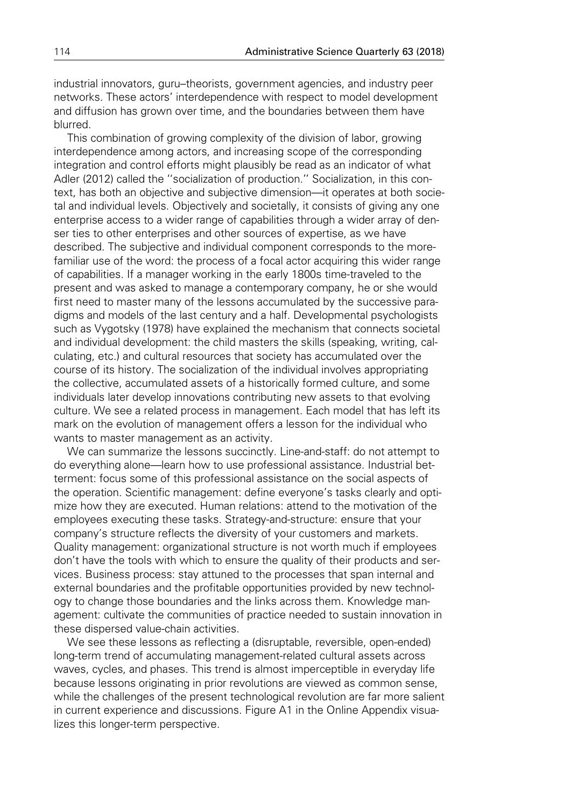industrial innovators, guru–theorists, government agencies, and industry peer networks. These actors' interdependence with respect to model development and diffusion has grown over time, and the boundaries between them have blurred.

This combination of growing complexity of the division of labor, growing interdependence among actors, and increasing scope of the corresponding integration and control efforts might plausibly be read as an indicator of what Adler (2012) called the ''socialization of production.'' Socialization, in this context, has both an objective and subjective dimension—it operates at both societal and individual levels. Objectively and societally, it consists of giving any one enterprise access to a wider range of capabilities through a wider array of denser ties to other enterprises and other sources of expertise, as we have described. The subjective and individual component corresponds to the morefamiliar use of the word: the process of a focal actor acquiring this wider range of capabilities. If a manager working in the early 1800s time-traveled to the present and was asked to manage a contemporary company, he or she would first need to master many of the lessons accumulated by the successive paradigms and models of the last century and a half. Developmental psychologists such as Vygotsky (1978) have explained the mechanism that connects societal and individual development: the child masters the skills (speaking, writing, calculating, etc.) and cultural resources that society has accumulated over the course of its history. The socialization of the individual involves appropriating the collective, accumulated assets of a historically formed culture, and some individuals later develop innovations contributing new assets to that evolving culture. We see a related process in management. Each model that has left its mark on the evolution of management offers a lesson for the individual who wants to master management as an activity.

We can summarize the lessons succinctly. Line-and-staff: do not attempt to do everything alone—learn how to use professional assistance. Industrial betterment: focus some of this professional assistance on the social aspects of the operation. Scientific management: define everyone's tasks clearly and optimize how they are executed. Human relations: attend to the motivation of the employees executing these tasks. Strategy-and-structure: ensure that your company's structure reflects the diversity of your customers and markets. Quality management: organizational structure is not worth much if employees don't have the tools with which to ensure the quality of their products and services. Business process: stay attuned to the processes that span internal and external boundaries and the profitable opportunities provided by new technology to change those boundaries and the links across them. Knowledge management: cultivate the communities of practice needed to sustain innovation in these dispersed value-chain activities.

We see these lessons as reflecting a (disruptable, reversible, open-ended) long-term trend of accumulating management-related cultural assets across waves, cycles, and phases. This trend is almost imperceptible in everyday life because lessons originating in prior revolutions are viewed as common sense, while the challenges of the present technological revolution are far more salient in current experience and discussions. Figure A1 in the Online Appendix visualizes this longer-term perspective.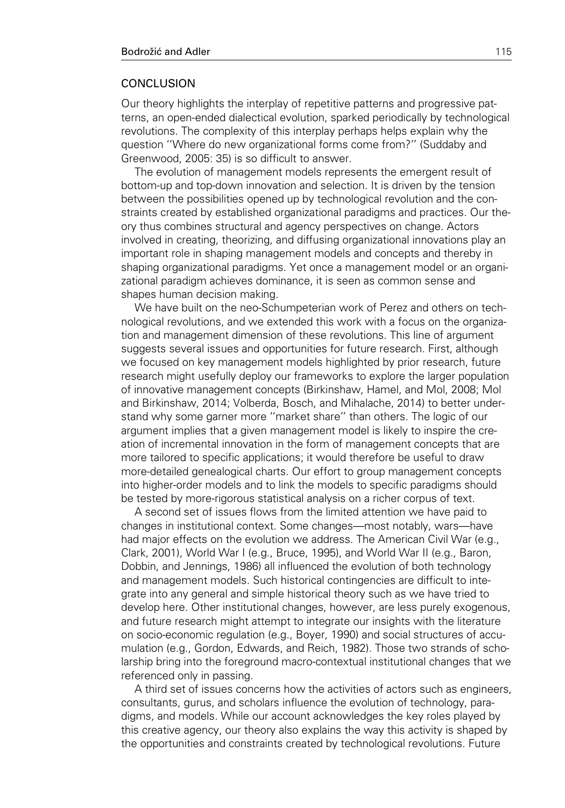### **CONCLUSION**

Our theory highlights the interplay of repetitive patterns and progressive patterns, an open-ended dialectical evolution, sparked periodically by technological revolutions. The complexity of this interplay perhaps helps explain why the question ''Where do new organizational forms come from?'' (Suddaby and Greenwood, 2005: 35) is so difficult to answer.

The evolution of management models represents the emergent result of bottom-up and top-down innovation and selection. It is driven by the tension between the possibilities opened up by technological revolution and the constraints created by established organizational paradigms and practices. Our theory thus combines structural and agency perspectives on change. Actors involved in creating, theorizing, and diffusing organizational innovations play an important role in shaping management models and concepts and thereby in shaping organizational paradigms. Yet once a management model or an organizational paradigm achieves dominance, it is seen as common sense and shapes human decision making.

We have built on the neo-Schumpeterian work of Perez and others on technological revolutions, and we extended this work with a focus on the organization and management dimension of these revolutions. This line of argument suggests several issues and opportunities for future research. First, although we focused on key management models highlighted by prior research, future research might usefully deploy our frameworks to explore the larger population of innovative management concepts (Birkinshaw, Hamel, and Mol, 2008; Mol and Birkinshaw, 2014; Volberda, Bosch, and Mihalache, 2014) to better understand why some garner more ''market share'' than others. The logic of our argument implies that a given management model is likely to inspire the creation of incremental innovation in the form of management concepts that are more tailored to specific applications; it would therefore be useful to draw more-detailed genealogical charts. Our effort to group management concepts into higher-order models and to link the models to specific paradigms should be tested by more-rigorous statistical analysis on a richer corpus of text.

A second set of issues flows from the limited attention we have paid to changes in institutional context. Some changes—most notably, wars—have had major effects on the evolution we address. The American Civil War (e.g., Clark, 2001), World War I (e.g., Bruce, 1995), and World War II (e.g., Baron, Dobbin, and Jennings, 1986) all influenced the evolution of both technology and management models. Such historical contingencies are difficult to integrate into any general and simple historical theory such as we have tried to develop here. Other institutional changes, however, are less purely exogenous, and future research might attempt to integrate our insights with the literature on socio-economic regulation (e.g., Boyer, 1990) and social structures of accumulation (e.g., Gordon, Edwards, and Reich, 1982). Those two strands of scholarship bring into the foreground macro-contextual institutional changes that we referenced only in passing.

A third set of issues concerns how the activities of actors such as engineers, consultants, gurus, and scholars influence the evolution of technology, paradigms, and models. While our account acknowledges the key roles played by this creative agency, our theory also explains the way this activity is shaped by the opportunities and constraints created by technological revolutions. Future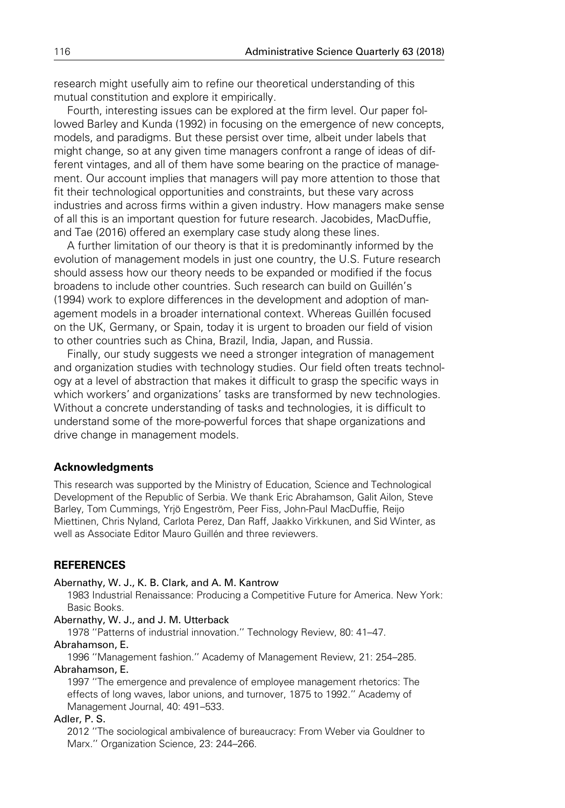research might usefully aim to refine our theoretical understanding of this mutual constitution and explore it empirically.

Fourth, interesting issues can be explored at the firm level. Our paper followed Barley and Kunda (1992) in focusing on the emergence of new concepts, models, and paradigms. But these persist over time, albeit under labels that might change, so at any given time managers confront a range of ideas of different vintages, and all of them have some bearing on the practice of management. Our account implies that managers will pay more attention to those that fit their technological opportunities and constraints, but these vary across industries and across firms within a given industry. How managers make sense of all this is an important question for future research. Jacobides, MacDuffie, and Tae (2016) offered an exemplary case study along these lines.

A further limitation of our theory is that it is predominantly informed by the evolution of management models in just one country, the U.S. Future research should assess how our theory needs to be expanded or modified if the focus broadens to include other countries. Such research can build on Guillén's (1994) work to explore differences in the development and adoption of management models in a broader international context. Whereas Guillén focused on the UK, Germany, or Spain, today it is urgent to broaden our field of vision to other countries such as China, Brazil, India, Japan, and Russia.

Finally, our study suggests we need a stronger integration of management and organization studies with technology studies. Our field often treats technology at a level of abstraction that makes it difficult to grasp the specific ways in which workers' and organizations' tasks are transformed by new technologies. Without a concrete understanding of tasks and technologies, it is difficult to understand some of the more-powerful forces that shape organizations and drive change in management models.

#### Acknowledgments

This research was supported by the Ministry of Education, Science and Technological Development of the Republic of Serbia. We thank Eric Abrahamson, Galit Ailon, Steve Barley, Tom Cummings, Yrjö Engeström, Peer Fiss, John-Paul MacDuffie, Reijo Miettinen, Chris Nyland, Carlota Perez, Dan Raff, Jaakko Virkkunen, and Sid Winter, as well as Associate Editor Mauro Guillén and three reviewers.

### **REFERENCES**

#### Abernathy, W. J., K. B. Clark, and A. M. Kantrow

1983 Industrial Renaissance: Producing a Competitive Future for America. New York: Basic Books.

#### Abernathy, W. J., and J. M. Utterback

1978 ''Patterns of industrial innovation.'' Technology Review, 80: 41–47. Abrahamson, E.

1996 ''Management fashion.'' Academy of Management Review, 21: 254–285. Abrahamson, E.

1997 ''The emergence and prevalence of employee management rhetorics: The effects of long waves, labor unions, and turnover, 1875 to 1992.'' Academy of Management Journal, 40: 491–533.

### Adler, P. S.

2012 ''The sociological ambivalence of bureaucracy: From Weber via Gouldner to Marx.'' Organization Science, 23: 244–266.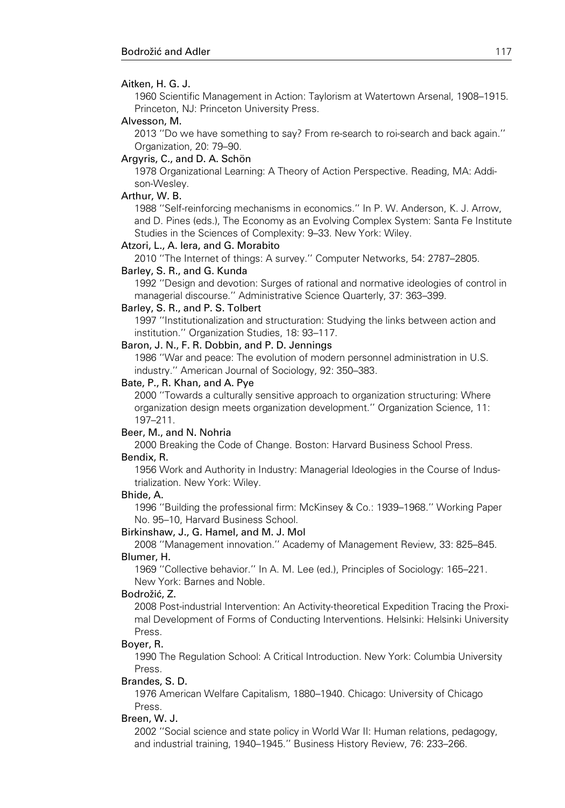#### Aitken, H. G. J.

1960 Scientific Management in Action: Taylorism at Watertown Arsenal, 1908–1915. Princeton, NJ: Princeton University Press.

#### Alvesson, M.

2013 ''Do we have something to say? From re-search to roi-search and back again.'' Organization, 20: 79–90.

#### Argyris, C., and D. A. Schön

1978 Organizational Learning: A Theory of Action Perspective. Reading, MA: Addison-Wesley.

#### Arthur, W. B.

1988 ''Self-reinforcing mechanisms in economics.'' In P. W. Anderson, K. J. Arrow, and D. Pines (eds.), The Economy as an Evolving Complex System: Santa Fe Institute Studies in the Sciences of Complexity: 9–33. New York: Wiley.

#### Atzori, L., A. Iera, and G. Morabito

2010 ''The Internet of things: A survey.'' Computer Networks, 54: 2787–2805.

#### Barley, S. R., and G. Kunda

1992 ''Design and devotion: Surges of rational and normative ideologies of control in managerial discourse.'' Administrative Science Quarterly, 37: 363–399.

#### Barley, S. R., and P. S. Tolbert

1997 ''Institutionalization and structuration: Studying the links between action and institution.'' Organization Studies, 18: 93–117.

#### Baron, J. N., F. R. Dobbin, and P. D. Jennings

1986 ''War and peace: The evolution of modern personnel administration in U.S. industry.'' American Journal of Sociology, 92: 350–383.

#### Bate, P., R. Khan, and A. Pye

2000 ''Towards a culturally sensitive approach to organization structuring: Where organization design meets organization development.'' Organization Science, 11: 197–211.

#### Beer, M., and N. Nohria

2000 Breaking the Code of Change. Boston: Harvard Business School Press. Bendix, R.

1956 Work and Authority in Industry: Managerial Ideologies in the Course of Industrialization. New York: Wiley.

#### Bhide, A.

1996 ''Building the professional firm: McKinsey & Co.: 1939–1968.'' Working Paper No. 95–10, Harvard Business School.

#### Birkinshaw, J., G. Hamel, and M. J. Mol

2008 ''Management innovation.'' Academy of Management Review, 33: 825–845. Blumer, H.

1969 ''Collective behavior.'' In A. M. Lee (ed.), Principles of Sociology: 165–221. New York: Barnes and Noble.

#### Bodrožić, Z.

2008 Post-industrial Intervention: An Activity-theoretical Expedition Tracing the Proximal Development of Forms of Conducting Interventions. Helsinki: Helsinki University Press.

#### Boyer, R.

1990 The Regulation School: A Critical Introduction. New York: Columbia University Press.

#### Brandes, S. D.

1976 American Welfare Capitalism, 1880–1940. Chicago: University of Chicago Press.

#### Breen, W. J.

2002 ''Social science and state policy in World War II: Human relations, pedagogy, and industrial training, 1940–1945.'' Business History Review, 76: 233–266.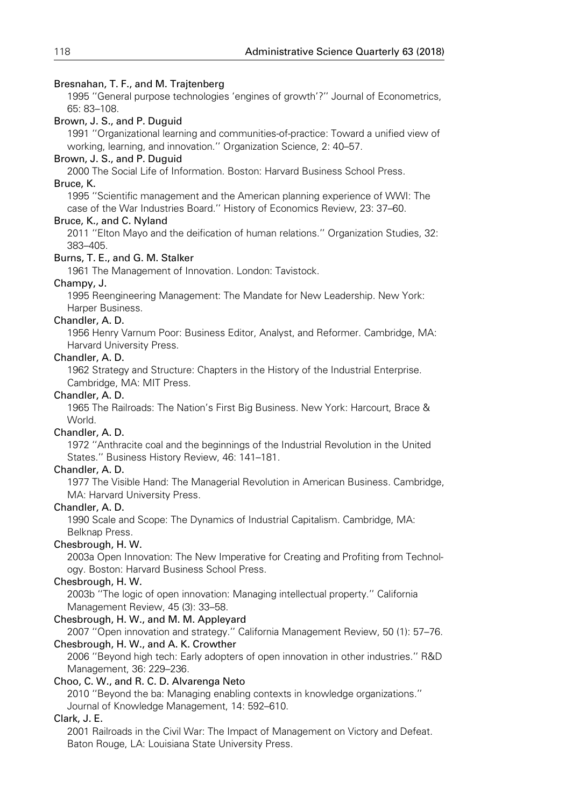### Bresnahan, T. F., and M. Trajtenberg

1995 ''General purpose technologies 'engines of growth'?'' Journal of Econometrics, 65: 83–108.

### Brown, J. S., and P. Duguid

1991 ''Organizational learning and communities-of-practice: Toward a unified view of working, learning, and innovation.'' Organization Science, 2: 40–57.

### Brown, J. S., and P. Duguid

2000 The Social Life of Information. Boston: Harvard Business School Press.

### Bruce, K.

1995 ''Scientific management and the American planning experience of WWI: The case of the War Industries Board.'' History of Economics Review, 23: 37–60.

### Bruce, K., and C. Nyland

2011 ''Elton Mayo and the deification of human relations.'' Organization Studies, 32: 383–405.

### Burns, T. E., and G. M. Stalker

1961 The Management of Innovation. London: Tavistock.

### Champy, J.

1995 Reengineering Management: The Mandate for New Leadership. New York: Harper Business.

### Chandler, A. D.

1956 Henry Varnum Poor: Business Editor, Analyst, and Reformer. Cambridge, MA: Harvard University Press.

### Chandler, A. D.

1962 Strategy and Structure: Chapters in the History of the Industrial Enterprise. Cambridge, MA: MIT Press.

### Chandler, A. D.

1965 The Railroads: The Nation's First Big Business. New York: Harcourt, Brace & World.

### Chandler, A. D.

1972 ''Anthracite coal and the beginnings of the Industrial Revolution in the United States.'' Business History Review, 46: 141–181.

### Chandler, A. D.

1977 The Visible Hand: The Managerial Revolution in American Business. Cambridge, MA: Harvard University Press.

### Chandler, A. D.

1990 Scale and Scope: The Dynamics of Industrial Capitalism. Cambridge, MA: Belknap Press.

### Chesbrough, H. W.

2003a Open Innovation: The New Imperative for Creating and Profiting from Technology. Boston: Harvard Business School Press.

### Chesbrough, H. W.

2003b ''The logic of open innovation: Managing intellectual property.'' California Management Review, 45 (3): 33–58.

### Chesbrough, H. W., and M. M. Appleyard

2007 ''Open innovation and strategy.'' California Management Review, 50 (1): 57–76. Chesbrough, H. W., and A. K. Crowther

2006 ''Beyond high tech: Early adopters of open innovation in other industries.'' R&D Management, 36: 229–236.

### Choo, C. W., and R. C. D. Alvarenga Neto

2010 ''Beyond the ba: Managing enabling contexts in knowledge organizations.'' Journal of Knowledge Management, 14: 592–610.

### Clark, J. E.

2001 Railroads in the Civil War: The Impact of Management on Victory and Defeat. Baton Rouge, LA: Louisiana State University Press.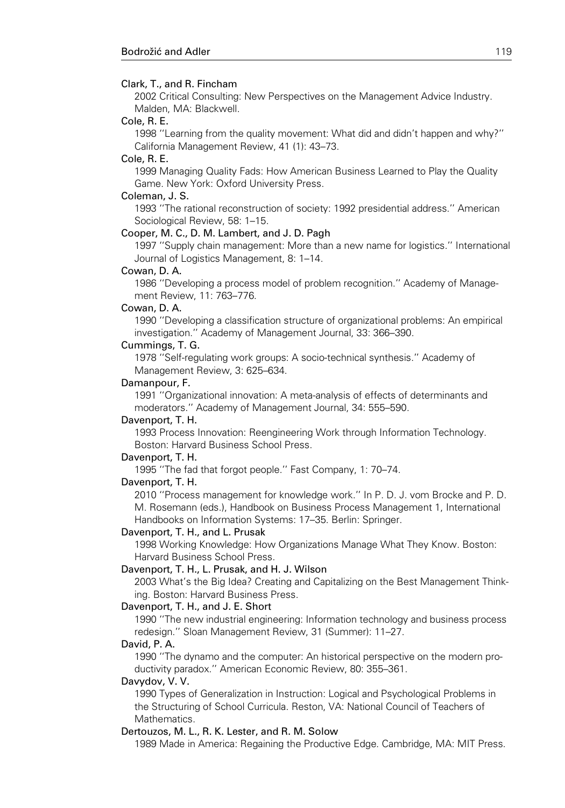#### Clark, T., and R. Fincham

2002 Critical Consulting: New Perspectives on the Management Advice Industry. Malden, MA: Blackwell.

#### Cole, R. E.

1998 ''Learning from the quality movement: What did and didn't happen and why?'' California Management Review, 41 (1): 43–73.

#### Cole, R. E.

1999 Managing Quality Fads: How American Business Learned to Play the Quality Game. New York: Oxford University Press.

#### Coleman, J. S.

1993 ''The rational reconstruction of society: 1992 presidential address.'' American Sociological Review, 58: 1–15.

### Cooper, M. C., D. M. Lambert, and J. D. Pagh

1997 ''Supply chain management: More than a new name for logistics.'' International Journal of Logistics Management, 8: 1–14.

#### Cowan, D. A.

1986 ''Developing a process model of problem recognition.'' Academy of Management Review, 11: 763–776.

#### Cowan, D. A.

1990 ''Developing a classification structure of organizational problems: An empirical investigation.'' Academy of Management Journal, 33: 366–390.

#### Cummings, T. G.

1978 ''Self-regulating work groups: A socio-technical synthesis.'' Academy of Management Review, 3: 625–634.

#### Damanpour, F.

1991 ''Organizational innovation: A meta-analysis of effects of determinants and moderators.'' Academy of Management Journal, 34: 555–590.

#### Davenport, T. H.

1993 Process Innovation: Reengineering Work through Information Technology. Boston: Harvard Business School Press.

#### Davenport, T. H.

1995 ''The fad that forgot people.'' Fast Company, 1: 70–74.

#### Davenport, T. H.

2010 ''Process management for knowledge work.'' In P. D. J. vom Brocke and P. D. M. Rosemann (eds.), Handbook on Business Process Management 1, International Handbooks on Information Systems: 17–35. Berlin: Springer.

#### Davenport, T. H., and L. Prusak

1998 Working Knowledge: How Organizations Manage What They Know. Boston: Harvard Business School Press.

#### Davenport, T. H., L. Prusak, and H. J. Wilson

2003 What's the Big Idea? Creating and Capitalizing on the Best Management Thinking. Boston: Harvard Business Press.

#### Davenport, T. H., and J. E. Short

1990 ''The new industrial engineering: Information technology and business process redesign.'' Sloan Management Review, 31 (Summer): 11–27.

#### David, P. A.

1990 ''The dynamo and the computer: An historical perspective on the modern productivity paradox.'' American Economic Review, 80: 355–361.

#### Davydov, V. V.

1990 Types of Generalization in Instruction: Logical and Psychological Problems in the Structuring of School Curricula. Reston, VA: National Council of Teachers of Mathematics.

#### Dertouzos, M. L., R. K. Lester, and R. M. Solow

1989 Made in America: Regaining the Productive Edge. Cambridge, MA: MIT Press.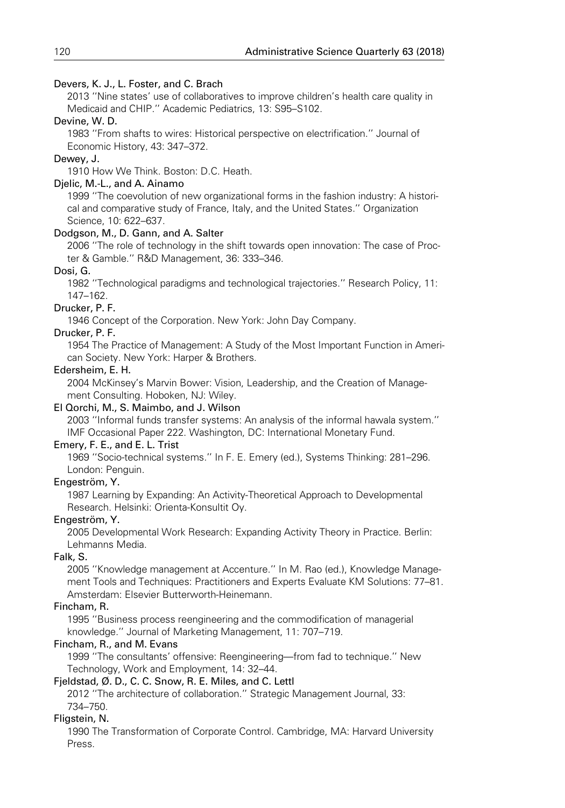### Devers, K. J., L. Foster, and C. Brach

2013 ''Nine states' use of collaboratives to improve children's health care quality in Medicaid and CHIP.'' Academic Pediatrics, 13: S95–S102.

### Devine, W. D.

1983 ''From shafts to wires: Historical perspective on electrification.'' Journal of Economic History, 43: 347–372.

### Dewey, J.

1910 How We Think. Boston: D.C. Heath.

### Djelic, M.-L., and A. Ainamo

1999 ''The coevolution of new organizational forms in the fashion industry: A historical and comparative study of France, Italy, and the United States.'' Organization Science, 10: 622–637.

### Dodgson, M., D. Gann, and A. Salter

2006 ''The role of technology in the shift towards open innovation: The case of Procter & Gamble.'' R&D Management, 36: 333–346.

### Dosi, G.

1982 ''Technological paradigms and technological trajectories.'' Research Policy, 11: 147–162.

### Drucker, P. F.

1946 Concept of the Corporation. New York: John Day Company.

### Drucker, P. F.

1954 The Practice of Management: A Study of the Most Important Function in American Society. New York: Harper & Brothers.

### Edersheim, E. H.

2004 McKinsey's Marvin Bower: Vision, Leadership, and the Creation of Management Consulting. Hoboken, NJ: Wiley.

### El Qorchi, M., S. Maimbo, and J. Wilson

2003 ''Informal funds transfer systems: An analysis of the informal hawala system.'' IMF Occasional Paper 222. Washington, DC: International Monetary Fund.

### Emery, F. E., and E. L. Trist

1969 ''Socio-technical systems.'' In F. E. Emery (ed.), Systems Thinking: 281–296. London: Penguin.

### Engeström, Y.

1987 Learning by Expanding: An Activity-Theoretical Approach to Developmental Research. Helsinki: Orienta-Konsultit Oy.

### Engeström, Y.

2005 Developmental Work Research: Expanding Activity Theory in Practice. Berlin: Lehmanns Media.

### Falk, S.

2005 ''Knowledge management at Accenture.'' In M. Rao (ed.), Knowledge Management Tools and Techniques: Practitioners and Experts Evaluate KM Solutions: 77–81. Amsterdam: Elsevier Butterworth-Heinemann.

### Fincham, R.

1995 ''Business process reengineering and the commodification of managerial knowledge.'' Journal of Marketing Management, 11: 707–719.

### Fincham, R., and M. Evans

1999 ''The consultants' offensive: Reengineering—from fad to technique.'' New Technology, Work and Employment, 14: 32–44.

### Fjeldstad, Ø. D., C. C. Snow, R. E. Miles, and C. Lettl

2012 ''The architecture of collaboration.'' Strategic Management Journal, 33: 734–750.

### Fligstein, N.

1990 The Transformation of Corporate Control. Cambridge, MA: Harvard University Press.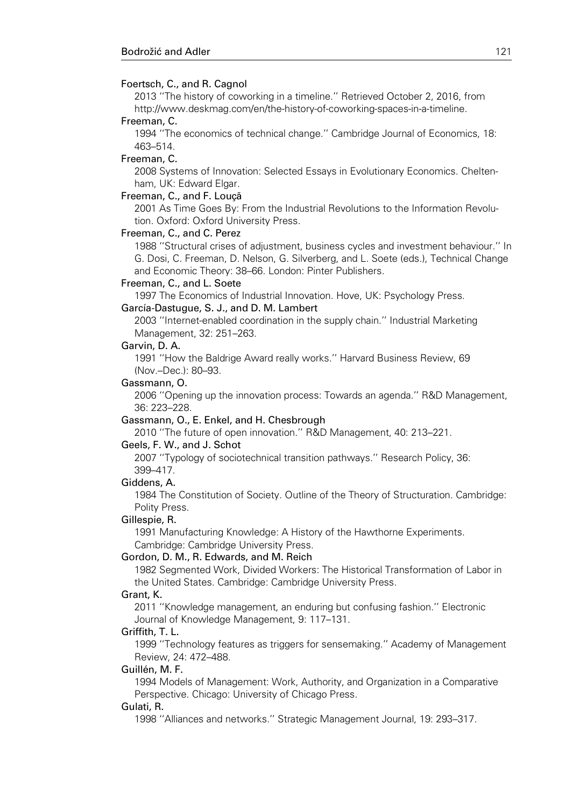#### Foertsch, C., and R. Cagnol

2013 ''The history of coworking in a timeline.'' Retrieved October 2, 2016, from http://www.deskmag.com/en/the-history-of-coworking-spaces-in-a-timeline.

#### Freeman, C.

1994 ''The economics of technical change.'' Cambridge Journal of Economics, 18: 463–514.

#### Freeman, C.

2008 Systems of Innovation: Selected Essays in Evolutionary Economics. Cheltenham, UK: Edward Elgar.

#### Freeman, C., and F. Louçã

2001 As Time Goes By: From the Industrial Revolutions to the Information Revolution. Oxford: Oxford University Press.

#### Freeman, C., and C. Perez

1988 ''Structural crises of adjustment, business cycles and investment behaviour.'' In G. Dosi, C. Freeman, D. Nelson, G. Silverberg, and L. Soete (eds.), Technical Change and Economic Theory: 38–66. London: Pinter Publishers.

#### Freeman, C., and L. Soete

1997 The Economics of Industrial Innovation. Hove, UK: Psychology Press. García-Dastugue, S. J., and D. M. Lambert

2003 ''Internet-enabled coordination in the supply chain.'' Industrial Marketing Management, 32: 251–263.

#### Garvin, D. A.

1991 ''How the Baldrige Award really works.'' Harvard Business Review, 69 (Nov.–Dec.): 80–93.

#### Gassmann, O.

2006 ''Opening up the innovation process: Towards an agenda.'' R&D Management, 36: 223–228.

#### Gassmann, O., E. Enkel, and H. Chesbrough

2010 ''The future of open innovation.'' R&D Management, 40: 213–221.

#### Geels, F. W., and J. Schot

2007 ''Typology of sociotechnical transition pathways.'' Research Policy, 36: 399–417.

#### Giddens, A.

1984 The Constitution of Society. Outline of the Theory of Structuration. Cambridge: Polity Press.

#### Gillespie, R.

1991 Manufacturing Knowledge: A History of the Hawthorne Experiments. Cambridge: Cambridge University Press.

#### Gordon, D. M., R. Edwards, and M. Reich

1982 Segmented Work, Divided Workers: The Historical Transformation of Labor in the United States. Cambridge: Cambridge University Press.

#### Grant, K.

2011 ''Knowledge management, an enduring but confusing fashion.'' Electronic Journal of Knowledge Management, 9: 117–131.

#### Griffith, T. L.

1999 ''Technology features as triggers for sensemaking.'' Academy of Management Review, 24: 472–488.

#### Guillén, M. F.

1994 Models of Management: Work, Authority, and Organization in a Comparative Perspective. Chicago: University of Chicago Press.

#### Gulati, R.

1998 ''Alliances and networks.'' Strategic Management Journal, 19: 293–317.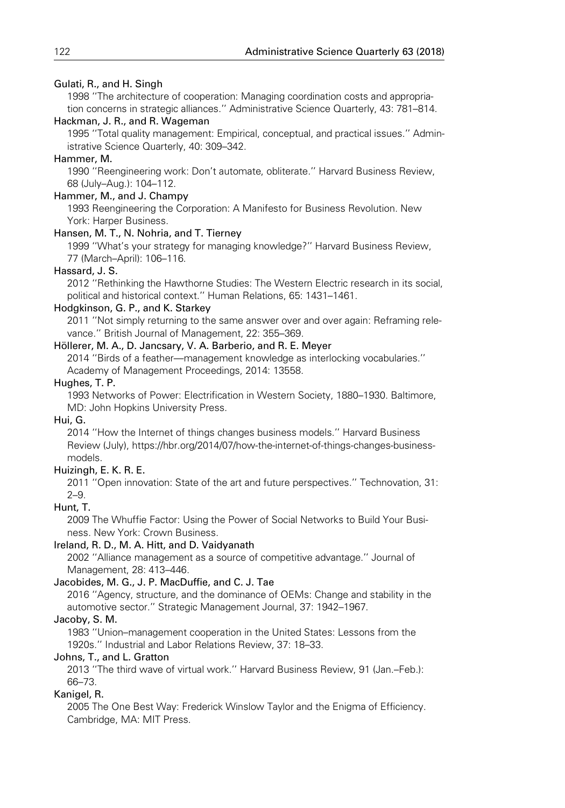### Gulati, R., and H. Singh

1998 ''The architecture of cooperation: Managing coordination costs and appropriation concerns in strategic alliances.'' Administrative Science Quarterly, 43: 781–814.

#### Hackman, J. R., and R. Wageman

1995 ''Total quality management: Empirical, conceptual, and practical issues.'' Administrative Science Quarterly, 40: 309–342.

#### Hammer, M.

1990 ''Reengineering work: Don't automate, obliterate.'' Harvard Business Review, 68 (July–Aug.): 104–112.

### Hammer, M., and J. Champy

1993 Reengineering the Corporation: A Manifesto for Business Revolution. New York: Harper Business.

#### Hansen, M. T., N. Nohria, and T. Tierney

1999 ''What's your strategy for managing knowledge?'' Harvard Business Review, 77 (March–April): 106–116.

### Hassard, J. S.

2012 ''Rethinking the Hawthorne Studies: The Western Electric research in its social, political and historical context.'' Human Relations, 65: 1431–1461.

### Hodgkinson, G. P., and K. Starkey

2011 ''Not simply returning to the same answer over and over again: Reframing relevance.'' British Journal of Management, 22: 355–369.

#### Höllerer, M. A., D. Jancsary, V. A. Barberio, and R. E. Meyer

2014 ''Birds of a feather—management knowledge as interlocking vocabularies.'' Academy of Management Proceedings, 2014: 13558.

#### Hughes, T. P.

1993 Networks of Power: Electrification in Western Society, 1880–1930. Baltimore, MD: John Hopkins University Press.

#### Hui, G.

2014 ''How the Internet of things changes business models.'' Harvard Business Review (July), https://hbr.org/2014/07/how-the-internet-of-things-changes-businessmodels.

### Huizingh, E. K. R. E.

2011 ''Open innovation: State of the art and future perspectives.'' Technovation, 31: 2–9.

### Hunt, T.

2009 The Whuffie Factor: Using the Power of Social Networks to Build Your Business. New York: Crown Business.

### Ireland, R. D., M. A. Hitt, and D. Vaidyanath

2002 ''Alliance management as a source of competitive advantage.'' Journal of Management, 28: 413–446.

#### Jacobides, M. G., J. P. MacDuffie, and C. J. Tae

2016 ''Agency, structure, and the dominance of OEMs: Change and stability in the automotive sector.'' Strategic Management Journal, 37: 1942–1967.

#### Jacoby, S. M.

1983 ''Union–management cooperation in the United States: Lessons from the 1920s.'' Industrial and Labor Relations Review, 37: 18–33.

### Johns, T., and L. Gratton

2013 ''The third wave of virtual work.'' Harvard Business Review, 91 (Jan.–Feb.): 66–73.

### Kanigel, R.

2005 The One Best Way: Frederick Winslow Taylor and the Enigma of Efficiency. Cambridge, MA: MIT Press.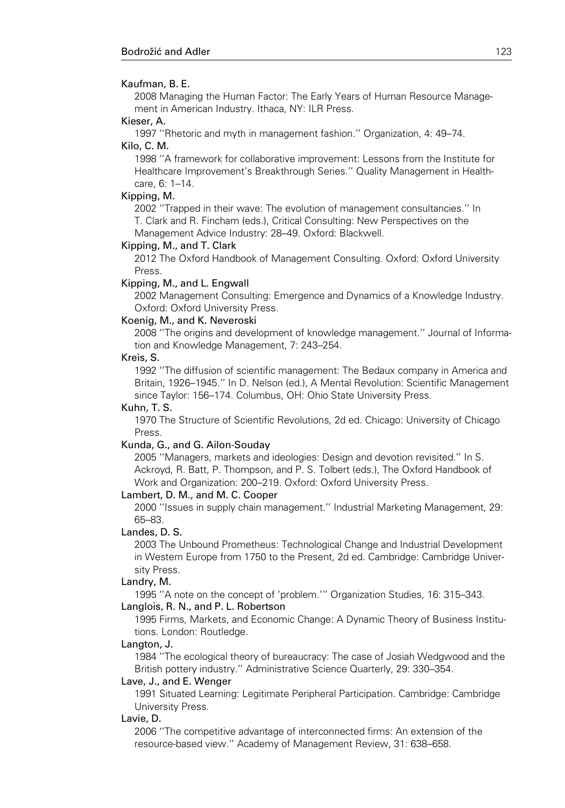#### Kaufman, B. E.

2008 Managing the Human Factor: The Early Years of Human Resource Management in American Industry. Ithaca, NY: ILR Press.

### Kieser, A.

1997 ''Rhetoric and myth in management fashion.'' Organization, 4: 49–74. Kilo, C. M.

1998 ''A framework for collaborative improvement: Lessons from the Institute for Healthcare Improvement's Breakthrough Series.'' Quality Management in Healthcare, 6: 1–14.

#### Kipping, M.

2002 ''Trapped in their wave: The evolution of management consultancies.'' In T. Clark and R. Fincham (eds.), Critical Consulting: New Perspectives on the Management Advice Industry: 28–49. Oxford: Blackwell.

#### Kipping, M., and T. Clark

2012 The Oxford Handbook of Management Consulting. Oxford: Oxford University Press.

#### Kipping, M., and L. Engwall

2002 Management Consulting: Emergence and Dynamics of a Knowledge Industry. Oxford: Oxford University Press.

#### Koenig, M., and K. Neveroski

2008 ''The origins and development of knowledge management.'' Journal of Information and Knowledge Management, 7: 243–254.

#### Kreis, S.

1992 ''The diffusion of scientific management: The Bedaux company in America and Britain, 1926–1945.'' In D. Nelson (ed.), A Mental Revolution: Scientific Management since Taylor: 156–174. Columbus, OH: Ohio State University Press.

#### Kuhn, T. S.

1970 The Structure of Scientific Revolutions, 2d ed. Chicago: University of Chicago **Press** 

### Kunda, G., and G. Ailon-Souday

2005 ''Managers, markets and ideologies: Design and devotion revisited.'' In S. Ackroyd, R. Batt, P. Thompson, and P. S. Tolbert (eds.), The Oxford Handbook of Work and Organization: 200–219. Oxford: Oxford University Press.

#### Lambert, D. M., and M. C. Cooper

2000 ''Issues in supply chain management.'' Industrial Marketing Management, 29: 65–83.

#### Landes, D. S.

2003 The Unbound Prometheus: Technological Change and Industrial Development in Western Europe from 1750 to the Present, 2d ed. Cambridge: Cambridge University Press.

#### Landry, M.

1995 ''A note on the concept of 'problem.''' Organization Studies, 16: 315–343. Langlois, R. N., and P. L. Robertson

1995 Firms, Markets, and Economic Change: A Dynamic Theory of Business Institutions. London: Routledge.

#### Langton, J.

1984 ''The ecological theory of bureaucracy: The case of Josiah Wedgwood and the British pottery industry.'' Administrative Science Quarterly, 29: 330–354.

#### Lave, J., and E. Wenger

1991 Situated Learning: Legitimate Peripheral Participation. Cambridge: Cambridge University Press.

### Lavie, D.

2006 ''The competitive advantage of interconnected firms: An extension of the resource-based view.'' Academy of Management Review, 31: 638–658.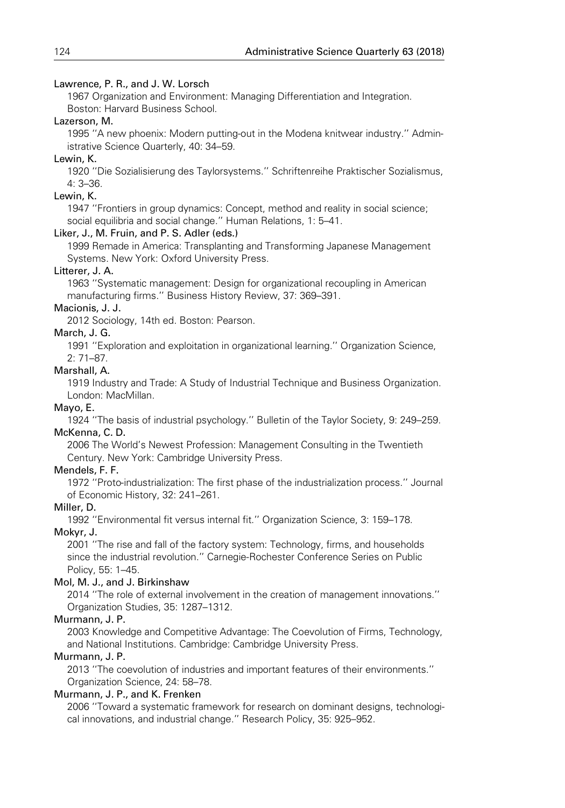### Lawrence, P. R., and J. W. Lorsch

1967 Organization and Environment: Managing Differentiation and Integration. Boston: Harvard Business School.

### Lazerson, M.

1995 ''A new phoenix: Modern putting-out in the Modena knitwear industry.'' Administrative Science Quarterly, 40: 34–59.

### Lewin, K.

1920 ''Die Sozialisierung des Taylorsystems.'' Schriftenreihe Praktischer Sozialismus, 4: 3–36.

### Lewin, K.

1947 ''Frontiers in group dynamics: Concept, method and reality in social science; social equilibria and social change.'' Human Relations, 1: 5–41.

### Liker, J., M. Fruin, and P. S. Adler (eds.)

1999 Remade in America: Transplanting and Transforming Japanese Management Systems. New York: Oxford University Press.

### Litterer, J. A.

1963 ''Systematic management: Design for organizational recoupling in American manufacturing firms.'' Business History Review, 37: 369–391.

### Macionis, J. J.

2012 Sociology, 14th ed. Boston: Pearson.

### March, J. G.

1991 ''Exploration and exploitation in organizational learning.'' Organization Science, 2: 71–87.

### Marshall, A.

1919 Industry and Trade: A Study of Industrial Technique and Business Organization. London: MacMillan.

### Mayo, E.

1924 ''The basis of industrial psychology.'' Bulletin of the Taylor Society, 9: 249–259. McKenna, C. D.

2006 The World's Newest Profession: Management Consulting in the Twentieth Century. New York: Cambridge University Press.

### Mendels, F. F.

1972 ''Proto-industrialization: The first phase of the industrialization process.'' Journal of Economic History, 32: 241–261.

### Miller, D.

1992 ''Environmental fit versus internal fit.'' Organization Science, 3: 159–178.

### Mokyr, J.

2001 ''The rise and fall of the factory system: Technology, firms, and households since the industrial revolution.'' Carnegie-Rochester Conference Series on Public Policy, 55: 1–45.

### Mol, M. J., and J. Birkinshaw

2014 ''The role of external involvement in the creation of management innovations.'' Organization Studies, 35: 1287–1312.

### Murmann, J. P.

2003 Knowledge and Competitive Advantage: The Coevolution of Firms, Technology, and National Institutions. Cambridge: Cambridge University Press.

### Murmann, J. P.

2013 ''The coevolution of industries and important features of their environments.'' Organization Science, 24: 58–78.

### Murmann, J. P., and K. Frenken

2006 ''Toward a systematic framework for research on dominant designs, technological innovations, and industrial change.'' Research Policy, 35: 925–952.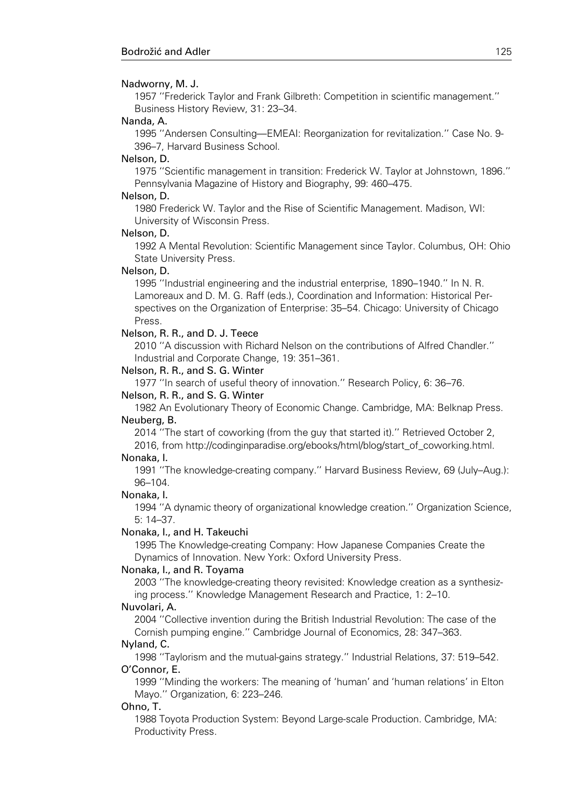#### Nadworny, M. J.

1957 ''Frederick Taylor and Frank Gilbreth: Competition in scientific management.'' Business History Review, 31: 23–34.

#### Nanda, A.

1995 ''Andersen Consulting—EMEAI: Reorganization for revitalization.'' Case No. 9- 396–7, Harvard Business School.

#### Nelson, D.

1975 ''Scientific management in transition: Frederick W. Taylor at Johnstown, 1896.'' Pennsylvania Magazine of History and Biography, 99: 460–475.

#### Nelson, D.

1980 Frederick W. Taylor and the Rise of Scientific Management. Madison, WI: University of Wisconsin Press.

#### Nelson, D.

1992 A Mental Revolution: Scientific Management since Taylor. Columbus, OH: Ohio State University Press.

#### Nelson, D.

1995 ''Industrial engineering and the industrial enterprise, 1890–1940.'' In N. R. Lamoreaux and D. M. G. Raff (eds.), Coordination and Information: Historical Perspectives on the Organization of Enterprise: 35–54. Chicago: University of Chicago Press.

### Nelson, R. R., and D. J. Teece

2010 ''A discussion with Richard Nelson on the contributions of Alfred Chandler.'' Industrial and Corporate Change, 19: 351–361.

#### Nelson, R. R., and S. G. Winter

1977 ''In search of useful theory of innovation.'' Research Policy, 6: 36–76.

#### Nelson, R. R., and S. G. Winter

1982 An Evolutionary Theory of Economic Change. Cambridge, MA: Belknap Press. Neuberg, B.

2014 ''The start of coworking (from the guy that started it).'' Retrieved October 2, 2016, from http://codinginparadise.org/ebooks/html/blog/start\_of\_coworking.html.

#### Nonaka, I.

1991 ''The knowledge-creating company.'' Harvard Business Review, 69 (July–Aug.): 96–104.

#### Nonaka, I.

1994 ''A dynamic theory of organizational knowledge creation.'' Organization Science, 5: 14–37.

#### Nonaka, I., and H. Takeuchi

1995 The Knowledge-creating Company: How Japanese Companies Create the Dynamics of Innovation. New York: Oxford University Press.

#### Nonaka, I., and R. Toyama

2003 ''The knowledge-creating theory revisited: Knowledge creation as a synthesizing process.'' Knowledge Management Research and Practice, 1: 2–10.

#### Nuvolari, A.

2004 ''Collective invention during the British Industrial Revolution: The case of the Cornish pumping engine.'' Cambridge Journal of Economics, 28: 347–363.

### Nyland, C.

1998 ''Taylorism and the mutual-gains strategy.'' Industrial Relations, 37: 519–542. O'Connor, E.

1999 ''Minding the workers: The meaning of 'human' and 'human relations' in Elton Mayo.'' Organization, 6: 223–246.

#### Ohno, T.

1988 Toyota Production System: Beyond Large-scale Production. Cambridge, MA: Productivity Press.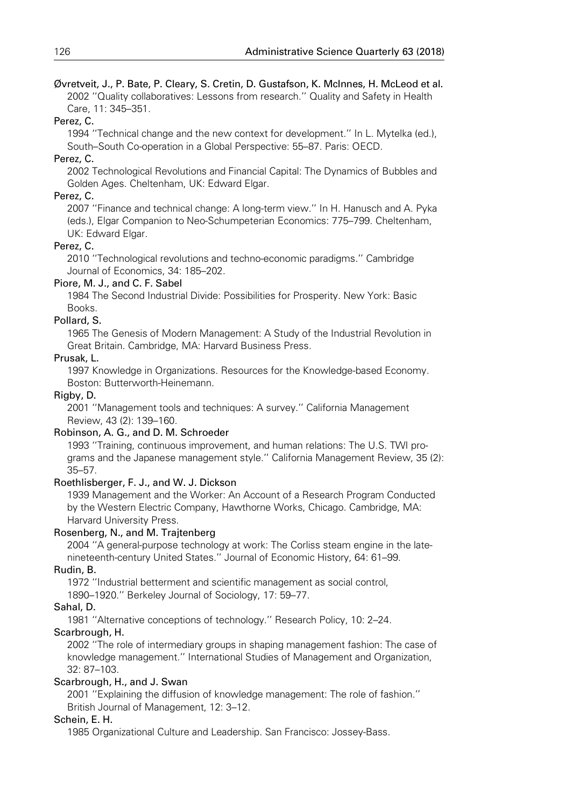Øvretveit, J., P. Bate, P. Cleary, S. Cretin, D. Gustafson, K. McInnes, H. McLeod et al. 2002 ''Quality collaboratives: Lessons from research.'' Quality and Safety in Health Care, 11: 345–351.

### Perez, C.

1994 ''Technical change and the new context for development.'' In L. Mytelka (ed.), South–South Co-operation in a Global Perspective: 55–87. Paris: OECD.

### Perez, C.

2002 Technological Revolutions and Financial Capital: The Dynamics of Bubbles and Golden Ages. Cheltenham, UK: Edward Elgar.

### Perez, C.

2007 ''Finance and technical change: A long-term view.'' In H. Hanusch and A. Pyka (eds.), Elgar Companion to Neo-Schumpeterian Economics: 775–799. Cheltenham, UK: Edward Elgar.

### Perez, C.

2010 ''Technological revolutions and techno-economic paradigms.'' Cambridge Journal of Economics, 34: 185–202.

### Piore, M. J., and C. F. Sabel

1984 The Second Industrial Divide: Possibilities for Prosperity. New York: Basic Books.

### Pollard, S.

1965 The Genesis of Modern Management: A Study of the Industrial Revolution in Great Britain. Cambridge, MA: Harvard Business Press.

### Prusak, L.

1997 Knowledge in Organizations. Resources for the Knowledge-based Economy. Boston: Butterworth-Heinemann.

### Rigby, D.

2001 ''Management tools and techniques: A survey.'' California Management Review, 43 (2): 139–160.

### Robinson, A. G., and D. M. Schroeder

1993 ''Training, continuous improvement, and human relations: The U.S. TWI programs and the Japanese management style.'' California Management Review, 35 (2): 35–57.

### Roethlisberger, F. J., and W. J. Dickson

1939 Management and the Worker: An Account of a Research Program Conducted by the Western Electric Company, Hawthorne Works, Chicago. Cambridge, MA: Harvard University Press.

### Rosenberg, N., and M. Trajtenberg

2004 ''A general-purpose technology at work: The Corliss steam engine in the latenineteenth-century United States.'' Journal of Economic History, 64: 61–99.

### Rudin, B.

1972 ''Industrial betterment and scientific management as social control,

1890–1920.'' Berkeley Journal of Sociology, 17: 59–77.

### Sahal, D.

1981 ''Alternative conceptions of technology.'' Research Policy, 10: 2–24.

### Scarbrough, H.

2002 ''The role of intermediary groups in shaping management fashion: The case of knowledge management.'' International Studies of Management and Organization, 32: 87–103.

### Scarbrough, H., and J. Swan

2001 ''Explaining the diffusion of knowledge management: The role of fashion.'' British Journal of Management, 12: 3–12.

### Schein, E. H.

1985 Organizational Culture and Leadership. San Francisco: Jossey-Bass.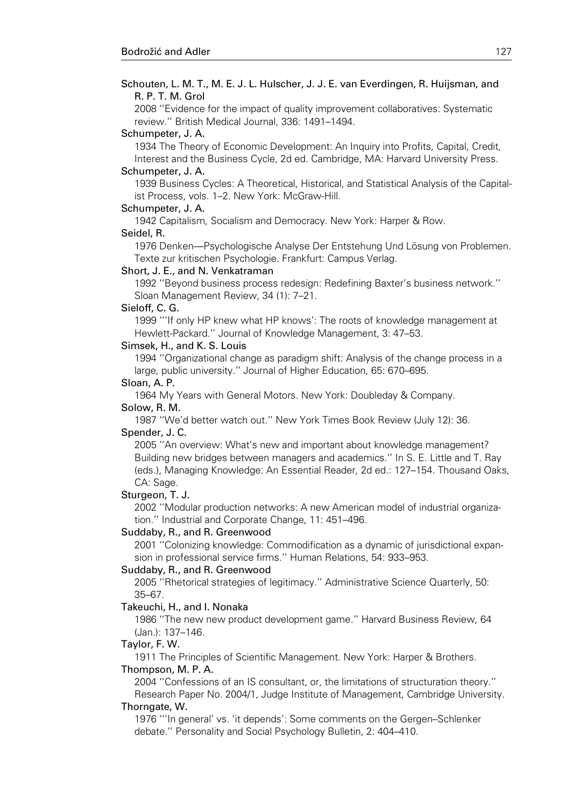2008 ''Evidence for the impact of quality improvement collaboratives: Systematic review.'' British Medical Journal, 336: 1491–1494.

#### Schumpeter, J. A.

1934 The Theory of Economic Development: An Inquiry into Profits, Capital, Credit, Interest and the Business Cycle, 2d ed. Cambridge, MA: Harvard University Press.

#### Schumpeter, J. A.

1939 Business Cycles: A Theoretical, Historical, and Statistical Analysis of the Capitalist Process, vols. 1–2. New York: McGraw-Hill.

#### Schumpeter, J. A.

1942 Capitalism, Socialism and Democracy. New York: Harper & Row.

#### Seidel, R.

1976 Denken—Psychologische Analyse Der Entstehung Und Lösung von Problemen. Texte zur kritischen Psychologie. Frankfurt: Campus Verlag.

#### Short, J. E., and N. Venkatraman

1992 ''Beyond business process redesign: Redefining Baxter's business network.'' Sloan Management Review, 34 (1): 7–21.

#### Sieloff, C. G.

1999 '''If only HP knew what HP knows': The roots of knowledge management at Hewlett-Packard.'' Journal of Knowledge Management, 3: 47–53.

#### Simsek, H., and K. S. Louis

1994 ''Organizational change as paradigm shift: Analysis of the change process in a large, public university.'' Journal of Higher Education, 65: 670–695.

#### Sloan, A. P.

1964 My Years with General Motors. New York: Doubleday & Company.

### Solow, R. M.

1987 ''We'd better watch out.'' New York Times Book Review (July 12): 36. Spender, J. C.

2005 ''An overview: What's new and important about knowledge management? Building new bridges between managers and academics.'' In S. E. Little and T. Ray (eds.), Managing Knowledge: An Essential Reader, 2d ed.: 127–154. Thousand Oaks, CA: Sage.

#### Sturgeon, T. J.

2002 ''Modular production networks: A new American model of industrial organization.'' Industrial and Corporate Change, 11: 451–496.

#### Suddaby, R., and R. Greenwood

2001 ''Colonizing knowledge: Commodification as a dynamic of jurisdictional expansion in professional service firms.'' Human Relations, 54: 933–953.

#### Suddaby, R., and R. Greenwood

2005 ''Rhetorical strategies of legitimacy.'' Administrative Science Quarterly, 50: 35–67.

#### Takeuchi, H., and I. Nonaka

1986 ''The new new product development game.'' Harvard Business Review, 64 (Jan.): 137–146.

#### Taylor, F. W.

1911 The Principles of Scientific Management. New York: Harper & Brothers. Thompson, M. P. A.

2004 ''Confessions of an IS consultant, or, the limitations of structuration theory.''

Research Paper No. 2004/1, Judge Institute of Management, Cambridge University. Thorngate, W.

1976 '''In general' vs. 'it depends': Some comments on the Gergen–Schlenker debate.'' Personality and Social Psychology Bulletin, 2: 404–410.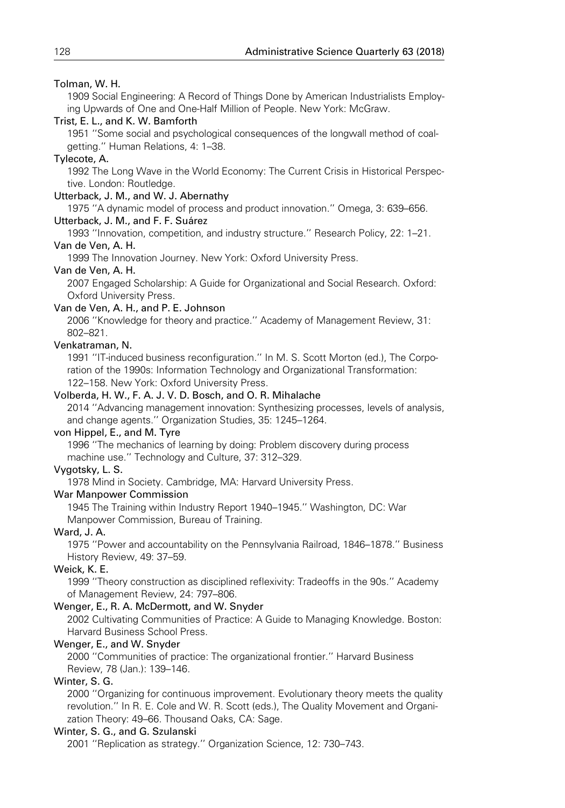### Tolman, W. H.

1909 Social Engineering: A Record of Things Done by American Industrialists Employing Upwards of One and One-Half Million of People. New York: McGraw.

### Trist, E. L., and K. W. Bamforth

1951 ''Some social and psychological consequences of the longwall method of coalgetting.'' Human Relations, 4: 1–38.

### Tylecote, A.

1992 The Long Wave in the World Economy: The Current Crisis in Historical Perspective. London: Routledge.

### Utterback, J. M., and W. J. Abernathy

1975 ''A dynamic model of process and product innovation.'' Omega, 3: 639–656.

### Utterback, J. M., and F. F. Suárez

1993 ''Innovation, competition, and industry structure.'' Research Policy, 22: 1–21.

### Van de Ven, A. H.

1999 The Innovation Journey. New York: Oxford University Press.

### Van de Ven, A. H.

2007 Engaged Scholarship: A Guide for Organizational and Social Research. Oxford: Oxford University Press.

### Van de Ven, A. H., and P. E. Johnson

2006 ''Knowledge for theory and practice.'' Academy of Management Review, 31: 802–821.

### Venkatraman, N.

1991 ''IT-induced business reconfiguration.'' In M. S. Scott Morton (ed.), The Corporation of the 1990s: Information Technology and Organizational Transformation: 122–158. New York: Oxford University Press.

### Volberda, H. W., F. A. J. V. D. Bosch, and O. R. Mihalache

2014 ''Advancing management innovation: Synthesizing processes, levels of analysis, and change agents.'' Organization Studies, 35: 1245–1264.

### von Hippel, E., and M. Tyre

1996 ''The mechanics of learning by doing: Problem discovery during process machine use.'' Technology and Culture, 37: 312–329.

### Vygotsky, L. S.

1978 Mind in Society. Cambridge, MA: Harvard University Press.

### War Manpower Commission

1945 The Training within Industry Report 1940–1945.'' Washington, DC: War Manpower Commission, Bureau of Training.

### Ward, J. A.

1975 ''Power and accountability on the Pennsylvania Railroad, 1846–1878.'' Business History Review, 49: 37–59.

### Weick, K. E.

1999 ''Theory construction as disciplined reflexivity: Tradeoffs in the 90s.'' Academy of Management Review, 24: 797–806.

### Wenger, E., R. A. McDermott, and W. Snyder

2002 Cultivating Communities of Practice: A Guide to Managing Knowledge. Boston: Harvard Business School Press.

### Wenger, E., and W. Snyder

2000 ''Communities of practice: The organizational frontier.'' Harvard Business Review, 78 (Jan.): 139–146.

### Winter, S. G.

2000 ''Organizing for continuous improvement. Evolutionary theory meets the quality revolution.'' In R. E. Cole and W. R. Scott (eds.), The Quality Movement and Organization Theory: 49–66. Thousand Oaks, CA: Sage.

### Winter, S. G., and G. Szulanski

2001 ''Replication as strategy.'' Organization Science, 12: 730–743.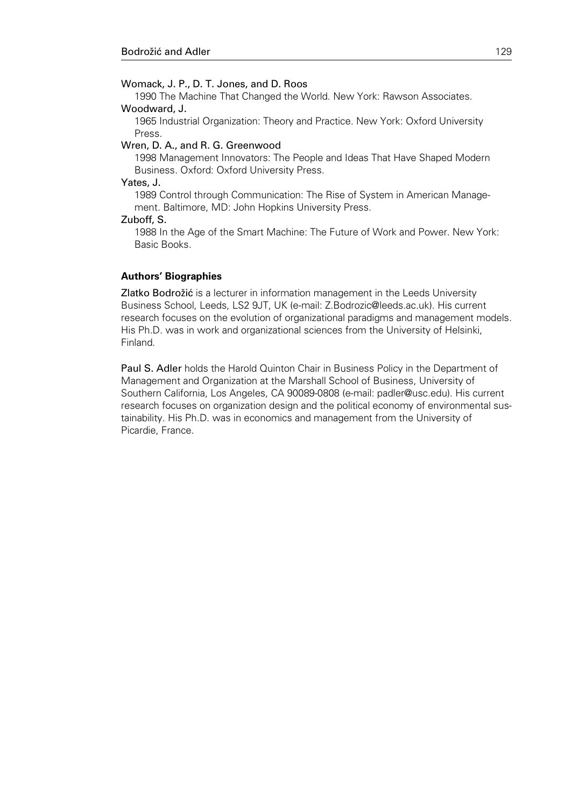### Womack, J. P., D. T. Jones, and D. Roos

1990 The Machine That Changed the World. New York: Rawson Associates. Woodward, J.

1965 Industrial Organization: Theory and Practice. New York: Oxford University Press.

#### Wren, D. A., and R. G. Greenwood

1998 Management Innovators: The People and Ideas That Have Shaped Modern Business. Oxford: Oxford University Press.

### Yates, J.

1989 Control through Communication: The Rise of System in American Management. Baltimore, MD: John Hopkins University Press.

#### Zuboff, S.

1988 In the Age of the Smart Machine: The Future of Work and Power. New York: Basic Books.

### Authors' Biographies

Zlatko Bodrožić is a lecturer in information management in the Leeds University Business School, Leeds, LS2 9JT, UK (e-mail: Z.Bodrozic@leeds.ac.uk). His current research focuses on the evolution of organizational paradigms and management models. His Ph.D. was in work and organizational sciences from the University of Helsinki, Finland.

Paul S. Adler holds the Harold Quinton Chair in Business Policy in the Department of Management and Organization at the Marshall School of Business, University of Southern California, Los Angeles, CA 90089-0808 (e-mail: padler@usc.edu). His current research focuses on organization design and the political economy of environmental sustainability. His Ph.D. was in economics and management from the University of Picardie, France.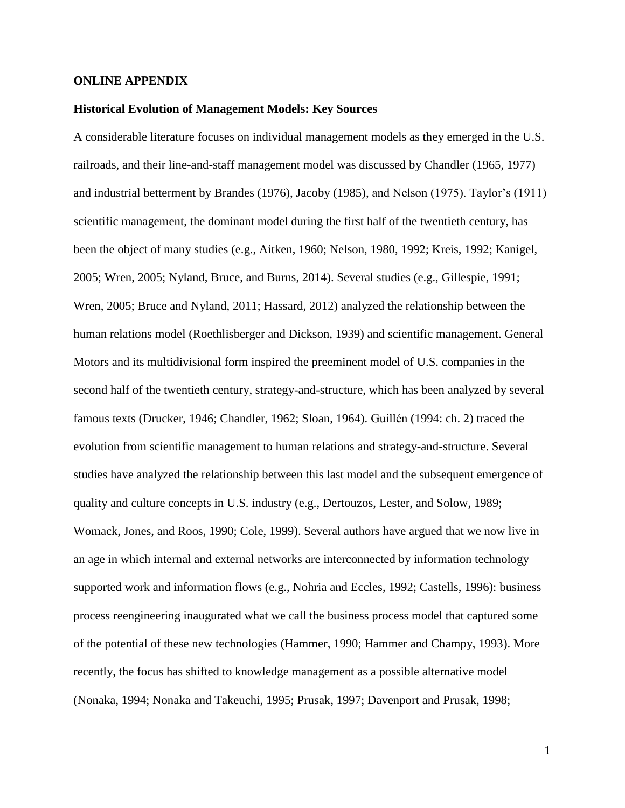### **ONLINE APPENDIX**

### **Historical Evolution of Management Models: Key Sources**

A considerable literature focuses on individual management models as they emerged in the U.S. railroads, and their line-and-staff management model was discussed by Chandler (1965, 1977) and industrial betterment by Brandes (1976), Jacoby (1985), and Nelson (1975). Taylor's (1911) scientific management, the dominant model during the first half of the twentieth century, has been the object of many studies (e.g., Aitken, 1960; Nelson, 1980, 1992; Kreis, 1992; Kanigel, 2005; Wren, 2005; Nyland, Bruce, and Burns, 2014). Several studies (e.g., Gillespie, 1991; Wren, 2005; Bruce and Nyland, 2011; Hassard, 2012) analyzed the relationship between the human relations model (Roethlisberger and Dickson, 1939) and scientific management. General Motors and its multidivisional form inspired the preeminent model of U.S. companies in the second half of the twentieth century, strategy-and-structure, which has been analyzed by several famous texts (Drucker, 1946; Chandler, 1962; Sloan, 1964). Guillén (1994: ch. 2) traced the evolution from scientific management to human relations and strategy-and-structure. Several studies have analyzed the relationship between this last model and the subsequent emergence of quality and culture concepts in U.S. industry (e.g., Dertouzos, Lester, and Solow, 1989; Womack, Jones, and Roos, 1990; Cole, 1999). Several authors have argued that we now live in an age in which internal and external networks are interconnected by information technology– supported work and information flows (e.g., Nohria and Eccles, 1992; Castells, 1996): business process reengineering inaugurated what we call the business process model that captured some of the potential of these new technologies (Hammer, 1990; Hammer and Champy, 1993). More recently, the focus has shifted to knowledge management as a possible alternative model (Nonaka, 1994; Nonaka and Takeuchi, 1995; Prusak, 1997; Davenport and Prusak, 1998;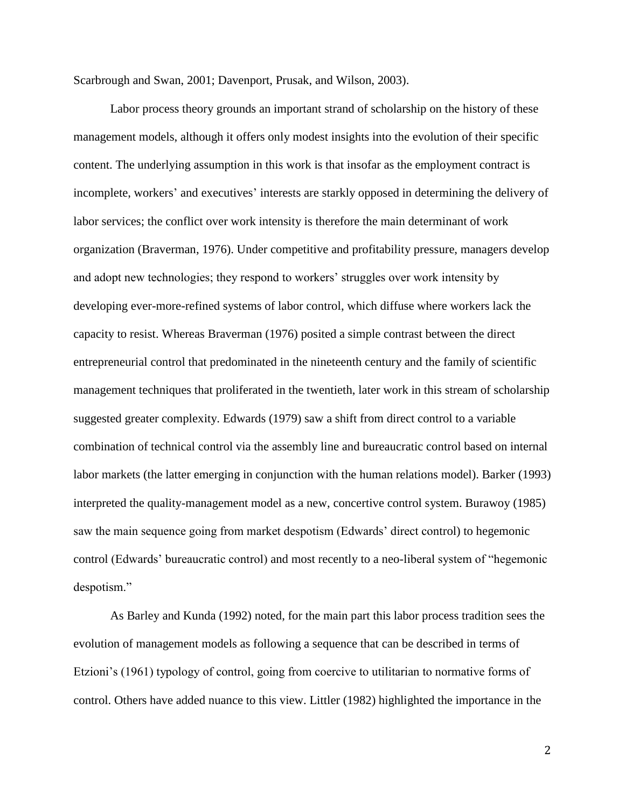Scarbrough and Swan, 2001; Davenport, Prusak, and Wilson, 2003).

Labor process theory grounds an important strand of scholarship on the history of these management models, although it offers only modest insights into the evolution of their specific content. The underlying assumption in this work is that insofar as the employment contract is incomplete, workers' and executives' interests are starkly opposed in determining the delivery of labor services; the conflict over work intensity is therefore the main determinant of work organization (Braverman, 1976). Under competitive and profitability pressure, managers develop and adopt new technologies; they respond to workers' struggles over work intensity by developing ever-more-refined systems of labor control, which diffuse where workers lack the capacity to resist. Whereas Braverman (1976) posited a simple contrast between the direct entrepreneurial control that predominated in the nineteenth century and the family of scientific management techniques that proliferated in the twentieth, later work in this stream of scholarship suggested greater complexity. Edwards (1979) saw a shift from direct control to a variable combination of technical control via the assembly line and bureaucratic control based on internal labor markets (the latter emerging in conjunction with the human relations model). Barker (1993) interpreted the quality-management model as a new, concertive control system. Burawoy (1985) saw the main sequence going from market despotism (Edwards' direct control) to hegemonic control (Edwards' bureaucratic control) and most recently to a neo-liberal system of "hegemonic despotism."

As Barley and Kunda (1992) noted, for the main part this labor process tradition sees the evolution of management models as following a sequence that can be described in terms of Etzioni's (1961) typology of control, going from coercive to utilitarian to normative forms of control. Others have added nuance to this view. Littler (1982) highlighted the importance in the

2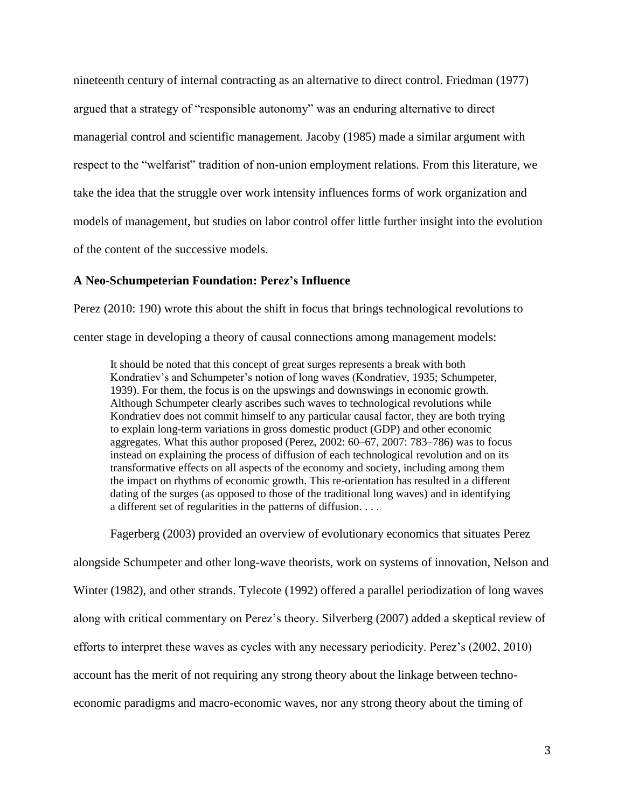nineteenth century of internal contracting as an alternative to direct control. Friedman (1977) argued that a strategy of "responsible autonomy" was an enduring alternative to direct managerial control and scientific management. Jacoby (1985) made a similar argument with respect to the "welfarist" tradition of non-union employment relations. From this literature, we take the idea that the struggle over work intensity influences forms of work organization and models of management, but studies on labor control offer little further insight into the evolution of the content of the successive models.

### **A Neo-Schumpeterian Foundation: Perez's Influence**

Perez (2010: 190) wrote this about the shift in focus that brings technological revolutions to center stage in developing a theory of causal connections among management models:

It should be noted that this concept of great surges represents a break with both Kondratiev's and Schumpeter's notion of long waves (Kondratiev, 1935; Schumpeter, 1939). For them, the focus is on the upswings and downswings in economic growth. Although Schumpeter clearly ascribes such waves to technological revolutions while Kondratiev does not commit himself to any particular causal factor, they are both trying to explain long-term variations in gross domestic product (GDP) and other economic aggregates. What this author proposed (Perez, 2002: 60–67, 2007: 783–786) was to focus instead on explaining the process of diffusion of each technological revolution and on its transformative effects on all aspects of the economy and society, including among them the impact on rhythms of economic growth. This re-orientation has resulted in a different dating of the surges (as opposed to those of the traditional long waves) and in identifying a different set of regularities in the patterns of diffusion. . . .

Fagerberg (2003) provided an overview of evolutionary economics that situates Perez

alongside Schumpeter and other long-wave theorists, work on systems of innovation, Nelson and Winter (1982), and other strands. Tylecote (1992) offered a parallel periodization of long waves along with critical commentary on Perez's theory. Silverberg (2007) added a skeptical review of efforts to interpret these waves as cycles with any necessary periodicity. Perez's (2002, 2010) account has the merit of not requiring any strong theory about the linkage between technoeconomic paradigms and macro-economic waves, nor any strong theory about the timing of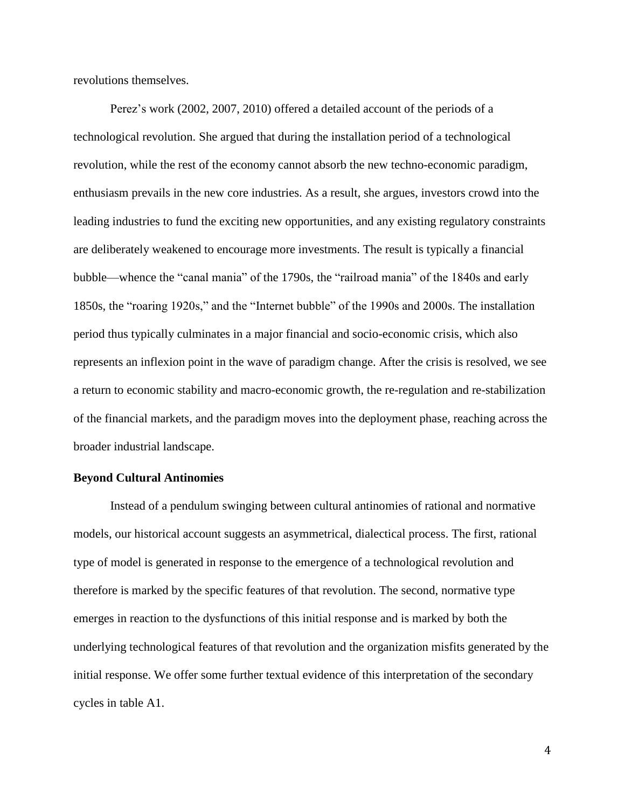revolutions themselves.

Perez's work (2002, 2007, 2010) offered a detailed account of the periods of a technological revolution. She argued that during the installation period of a technological revolution, while the rest of the economy cannot absorb the new techno-economic paradigm, enthusiasm prevails in the new core industries. As a result, she argues, investors crowd into the leading industries to fund the exciting new opportunities, and any existing regulatory constraints are deliberately weakened to encourage more investments. The result is typically a financial bubble—whence the "canal mania" of the 1790s, the "railroad mania" of the 1840s and early 1850s, the "roaring 1920s," and the "Internet bubble" of the 1990s and 2000s. The installation period thus typically culminates in a major financial and socio-economic crisis, which also represents an inflexion point in the wave of paradigm change. After the crisis is resolved, we see a return to economic stability and macro-economic growth, the re-regulation and re-stabilization of the financial markets, and the paradigm moves into the deployment phase, reaching across the broader industrial landscape.

### **Beyond Cultural Antinomies**

Instead of a pendulum swinging between cultural antinomies of rational and normative models, our historical account suggests an asymmetrical, dialectical process. The first, rational type of model is generated in response to the emergence of a technological revolution and therefore is marked by the specific features of that revolution. The second, normative type emerges in reaction to the dysfunctions of this initial response and is marked by both the underlying technological features of that revolution and the organization misfits generated by the initial response. We offer some further textual evidence of this interpretation of the secondary cycles in table A1.

4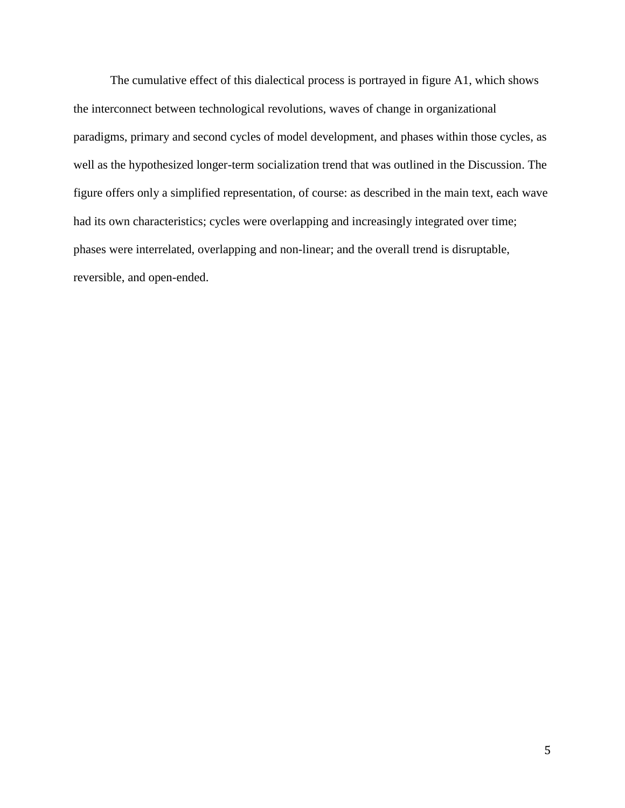The cumulative effect of this dialectical process is portrayed in figure A1, which shows the interconnect between technological revolutions, waves of change in organizational paradigms, primary and second cycles of model development, and phases within those cycles, as well as the hypothesized longer-term socialization trend that was outlined in the Discussion. The figure offers only a simplified representation, of course: as described in the main text, each wave had its own characteristics; cycles were overlapping and increasingly integrated over time; phases were interrelated, overlapping and non-linear; and the overall trend is disruptable, reversible, and open-ended.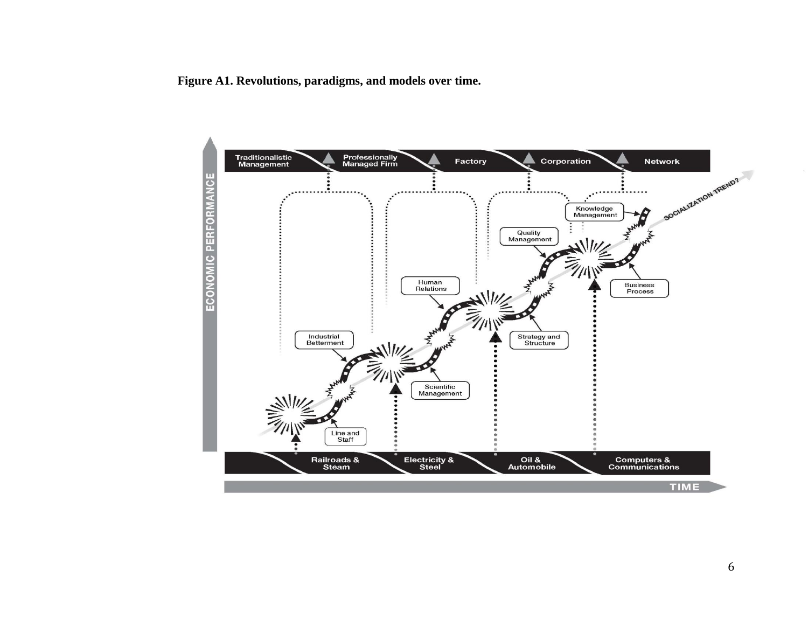**Figure A1. Revolutions, paradigms, and models over time.**

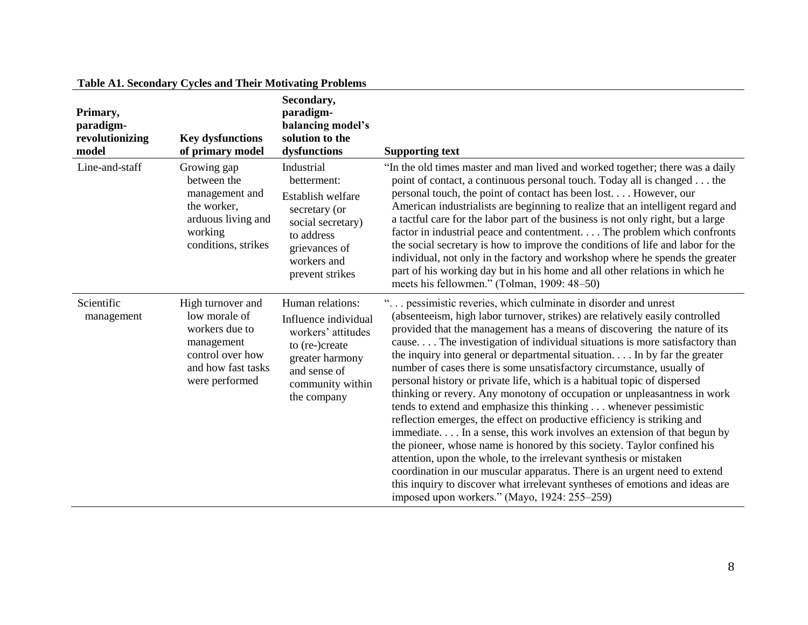| Primary,<br>paradigm-<br>revolutionizing | <b>Key dysfunctions</b>                                                                                                        | Secondary,<br>paradigm-<br>balancing model's<br>solution to the                                                                                        |                                                                                                                                                                                                                                                                                                                                                                                                                                                                                                                                                                                                                                                                                                                                                                                                                                                                                                                                                                                                                                                                                                                                                                                                                |
|------------------------------------------|--------------------------------------------------------------------------------------------------------------------------------|--------------------------------------------------------------------------------------------------------------------------------------------------------|----------------------------------------------------------------------------------------------------------------------------------------------------------------------------------------------------------------------------------------------------------------------------------------------------------------------------------------------------------------------------------------------------------------------------------------------------------------------------------------------------------------------------------------------------------------------------------------------------------------------------------------------------------------------------------------------------------------------------------------------------------------------------------------------------------------------------------------------------------------------------------------------------------------------------------------------------------------------------------------------------------------------------------------------------------------------------------------------------------------------------------------------------------------------------------------------------------------|
| model                                    | of primary model                                                                                                               | dysfunctions                                                                                                                                           | <b>Supporting text</b>                                                                                                                                                                                                                                                                                                                                                                                                                                                                                                                                                                                                                                                                                                                                                                                                                                                                                                                                                                                                                                                                                                                                                                                         |
| Line-and-staff                           | Growing gap<br>between the<br>management and<br>the worker,<br>arduous living and<br>working<br>conditions, strikes            | Industrial<br>betterment:<br>Establish welfare<br>secretary (or<br>social secretary)<br>to address<br>grievances of<br>workers and<br>prevent strikes  | "In the old times master and man lived and worked together; there was a daily<br>point of contact, a continuous personal touch. Today all is changed the<br>personal touch, the point of contact has been lost. However, our<br>American industrialists are beginning to realize that an intelligent regard and<br>a tactful care for the labor part of the business is not only right, but a large<br>factor in industrial peace and contentment. The problem which confronts<br>the social secretary is how to improve the conditions of life and labor for the<br>individual, not only in the factory and workshop where he spends the greater<br>part of his working day but in his home and all other relations in which he<br>meets his fellowmen." (Tolman, 1909: 48–50)                                                                                                                                                                                                                                                                                                                                                                                                                                |
| Scientific<br>management                 | High turnover and<br>low morale of<br>workers due to<br>management<br>control over how<br>and how fast tasks<br>were performed | Human relations:<br>Influence individual<br>workers' attitudes<br>to (re-)create<br>greater harmony<br>and sense of<br>community within<br>the company | " pessimistic reveries, which culminate in disorder and unrest<br>(absenteeism, high labor turnover, strikes) are relatively easily controlled<br>provided that the management has a means of discovering the nature of its<br>cause The investigation of individual situations is more satisfactory than<br>the inquiry into general or departmental situation. In by far the greater<br>number of cases there is some unsatisfactory circumstance, usually of<br>personal history or private life, which is a habitual topic of dispersed<br>thinking or revery. Any monotony of occupation or unpleasantness in work<br>tends to extend and emphasize this thinking whenever pessimistic<br>reflection emerges, the effect on productive efficiency is striking and<br>immediate In a sense, this work involves an extension of that begun by<br>the pioneer, whose name is honored by this society. Taylor confined his<br>attention, upon the whole, to the irrelevant synthesis or mistaken<br>coordination in our muscular apparatus. There is an urgent need to extend<br>this inquiry to discover what irrelevant syntheses of emotions and ideas are<br>imposed upon workers." (Mayo, 1924: 255–259) |

# **Table A1. Secondary Cycles and Their Motivating Problems**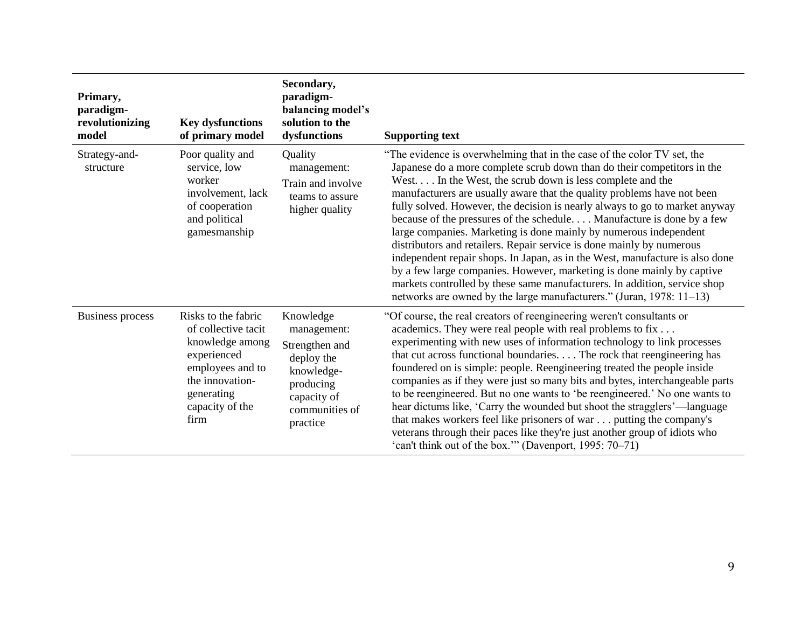| Primary,<br>paradigm-<br>revolutionizing<br>model | <b>Key dysfunctions</b><br>of primary model                                                                                                                  | Secondary,<br>paradigm-<br>balancing model's<br>solution to the<br>dysfunctions                                                  | <b>Supporting text</b>                                                                                                                                                                                                                                                                                                                                                                                                                                                                                                                                                                                                                                                                                                                                                                                                                                                                                          |
|---------------------------------------------------|--------------------------------------------------------------------------------------------------------------------------------------------------------------|----------------------------------------------------------------------------------------------------------------------------------|-----------------------------------------------------------------------------------------------------------------------------------------------------------------------------------------------------------------------------------------------------------------------------------------------------------------------------------------------------------------------------------------------------------------------------------------------------------------------------------------------------------------------------------------------------------------------------------------------------------------------------------------------------------------------------------------------------------------------------------------------------------------------------------------------------------------------------------------------------------------------------------------------------------------|
| Strategy-and-<br>structure                        | Poor quality and<br>service, low<br>worker<br>involvement, lack<br>of cooperation<br>and political<br>gamesmanship                                           | Quality<br>management:<br>Train and involve<br>teams to assure<br>higher quality                                                 | "The evidence is overwhelming that in the case of the color TV set, the<br>Japanese do a more complete scrub down than do their competitors in the<br>West In the West, the scrub down is less complete and the<br>manufacturers are usually aware that the quality problems have not been<br>fully solved. However, the decision is nearly always to go to market anyway<br>because of the pressures of the schedule Manufacture is done by a few<br>large companies. Marketing is done mainly by numerous independent<br>distributors and retailers. Repair service is done mainly by numerous<br>independent repair shops. In Japan, as in the West, manufacture is also done<br>by a few large companies. However, marketing is done mainly by captive<br>markets controlled by these same manufacturers. In addition, service shop<br>networks are owned by the large manufacturers." (Juran, 1978: 11–13) |
| <b>Business process</b>                           | Risks to the fabric<br>of collective tacit<br>knowledge among<br>experienced<br>employees and to<br>the innovation-<br>generating<br>capacity of the<br>firm | Knowledge<br>management:<br>Strengthen and<br>deploy the<br>knowledge-<br>producing<br>capacity of<br>communities of<br>practice | "Of course, the real creators of reengineering weren't consultants or<br>academics. They were real people with real problems to fix<br>experimenting with new uses of information technology to link processes<br>that cut across functional boundaries. The rock that reengineering has<br>foundered on is simple: people. Reengineering treated the people inside<br>companies as if they were just so many bits and bytes, interchangeable parts<br>to be reengineered. But no one wants to 'be reengineered.' No one wants to<br>hear dictums like, 'Carry the wounded but shoot the stragglers'—language<br>that makes workers feel like prisoners of war putting the company's<br>veterans through their paces like they're just another group of idiots who<br>'can't think out of the box." (Davenport, 1995: 70–71)                                                                                    |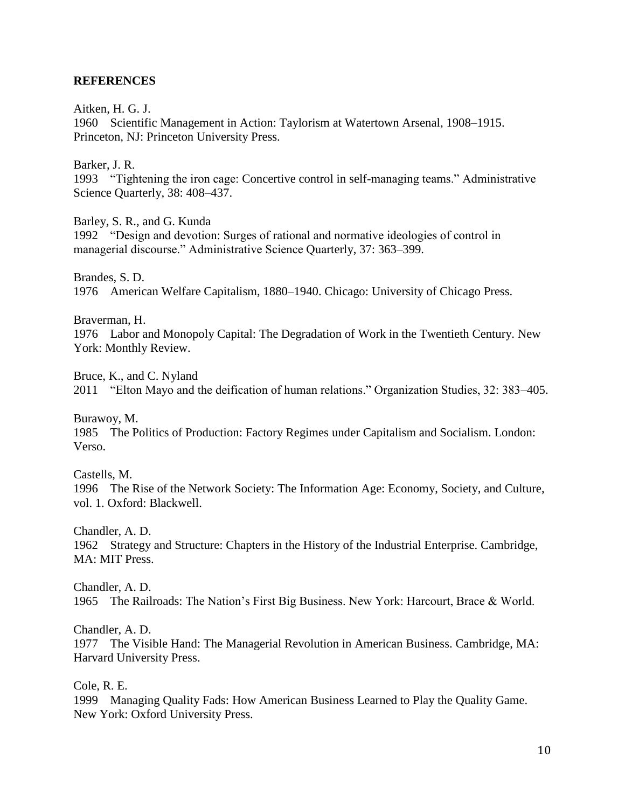# **REFERENCES**

Aitken, H. G. J.

1960 Scientific Management in Action: Taylorism at Watertown Arsenal, 1908–1915. Princeton, NJ: Princeton University Press.

Barker, J. R.

1993 "Tightening the iron cage: Concertive control in self-managing teams." Administrative Science Quarterly, 38: 408–437.

Barley, S. R., and G. Kunda

1992 "Design and devotion: Surges of rational and normative ideologies of control in managerial discourse." Administrative Science Quarterly, 37: 363–399.

Brandes, S. D. 1976 American Welfare Capitalism, 1880–1940. Chicago: University of Chicago Press.

Braverman, H.

1976 Labor and Monopoly Capital: The Degradation of Work in the Twentieth Century. New York: Monthly Review.

Bruce, K., and C. Nyland 2011 "Elton Mayo and the deification of human relations." Organization Studies, 32: 383–405.

Burawoy, M. 1985 The Politics of Production: Factory Regimes under Capitalism and Socialism. London: Verso.

Castells, M.

1996 The Rise of the Network Society: The Information Age: Economy, Society, and Culture, vol. 1. Oxford: Blackwell.

Chandler, A. D.

1962 Strategy and Structure: Chapters in the History of the Industrial Enterprise. Cambridge, MA: MIT Press.

Chandler, A. D. 1965 The Railroads: The Nation's First Big Business. New York: Harcourt, Brace & World.

Chandler, A. D.

1977 The Visible Hand: The Managerial Revolution in American Business. Cambridge, MA: Harvard University Press.

Cole, R. E.

1999 Managing Quality Fads: How American Business Learned to Play the Quality Game. New York: Oxford University Press.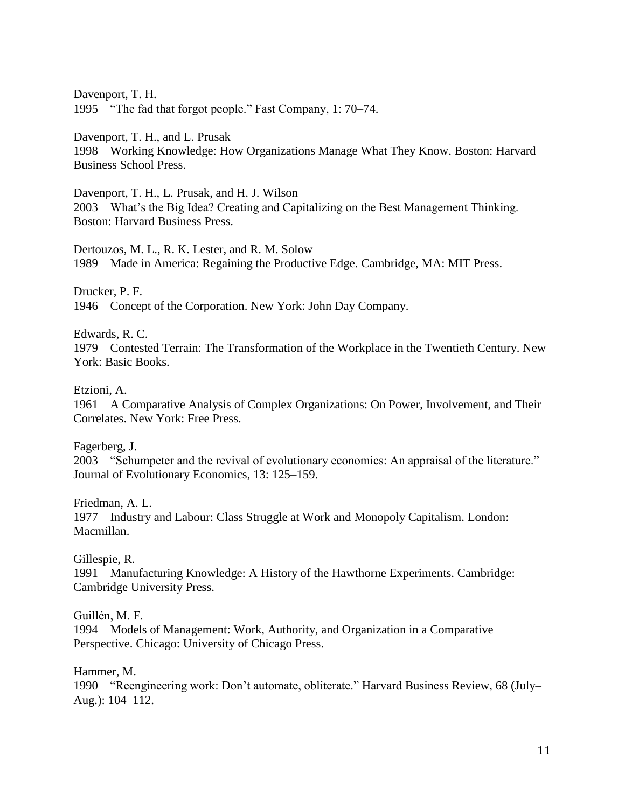Davenport, T. H. 1995 "The fad that forgot people." Fast Company, 1: 70–74.

Davenport, T. H., and L. Prusak

1998 Working Knowledge: How Organizations Manage What They Know. Boston: Harvard Business School Press.

Davenport, T. H., L. Prusak, and H. J. Wilson 2003 What's the Big Idea? Creating and Capitalizing on the Best Management Thinking. Boston: Harvard Business Press.

Dertouzos, M. L., R. K. Lester, and R. M. Solow 1989 Made in America: Regaining the Productive Edge. Cambridge, MA: MIT Press.

Drucker, P. F.

1946 Concept of the Corporation. New York: John Day Company.

Edwards, R. C.

1979 Contested Terrain: The Transformation of the Workplace in the Twentieth Century. New York: Basic Books.

Etzioni, A.

1961 A Comparative Analysis of Complex Organizations: On Power, Involvement, and Their Correlates. New York: Free Press.

Fagerberg, J.

2003 "Schumpeter and the revival of evolutionary economics: An appraisal of the literature." Journal of Evolutionary Economics, 13: 125–159.

Friedman, A. L. 1977 Industry and Labour: Class Struggle at Work and Monopoly Capitalism. London: Macmillan.

Gillespie, R.

1991 Manufacturing Knowledge: A History of the Hawthorne Experiments. Cambridge: Cambridge University Press.

Guillén, M. F.

1994 Models of Management: Work, Authority, and Organization in a Comparative Perspective. Chicago: University of Chicago Press.

Hammer, M.

1990 "Reengineering work: Don't automate, obliterate." Harvard Business Review, 68 (July– Aug.): 104–112.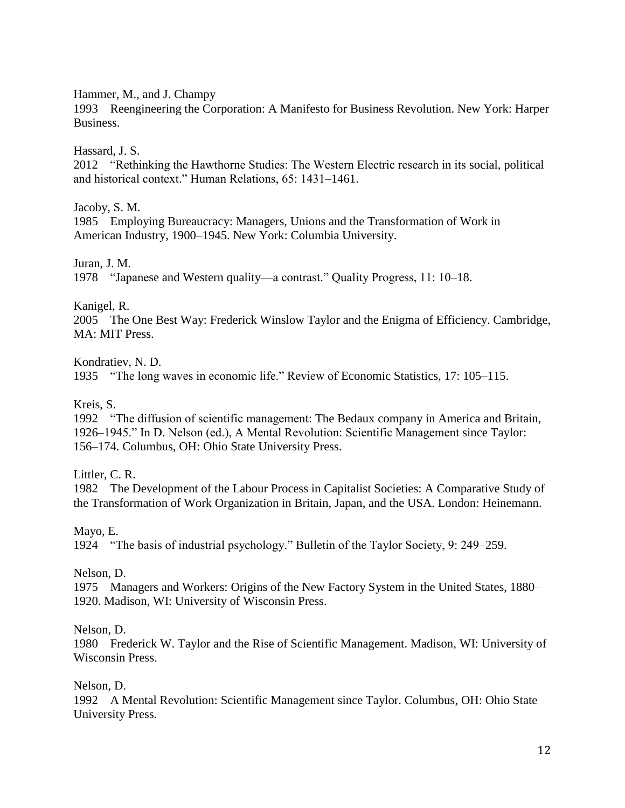Hammer, M., and J. Champy

1993 Reengineering the Corporation: A Manifesto for Business Revolution. New York: Harper Business.

Hassard, J. S.

2012 "Rethinking the Hawthorne Studies: The Western Electric research in its social, political and historical context." Human Relations, 65: 1431–1461.

Jacoby, S. M.

1985 Employing Bureaucracy: Managers, Unions and the Transformation of Work in American Industry, 1900–1945. New York: Columbia University.

Juran, J. M.

1978 "Japanese and Western quality—a contrast." Quality Progress, 11: 10–18.

Kanigel, R.

2005 The One Best Way: Frederick Winslow Taylor and the Enigma of Efficiency. Cambridge, MA: MIT Press.

Kondratiev, N. D.

1935 "The long waves in economic life." Review of Economic Statistics, 17: 105–115.

Kreis, S.

1992 "The diffusion of scientific management: The Bedaux company in America and Britain, 1926–1945." In D. Nelson (ed.), A Mental Revolution: Scientific Management since Taylor: 156–174. Columbus, OH: Ohio State University Press.

Littler, C. R.

1982 The Development of the Labour Process in Capitalist Societies: A Comparative Study of the Transformation of Work Organization in Britain, Japan, and the USA. London: Heinemann.

Mayo, E.

1924 "The basis of industrial psychology." Bulletin of the Taylor Society, 9: 249–259.

Nelson, D.

1975 Managers and Workers: Origins of the New Factory System in the United States, 1880– 1920. Madison, WI: University of Wisconsin Press.

Nelson, D.

1980 Frederick W. Taylor and the Rise of Scientific Management. Madison, WI: University of Wisconsin Press.

Nelson, D.

1992 A Mental Revolution: Scientific Management since Taylor. Columbus, OH: Ohio State University Press.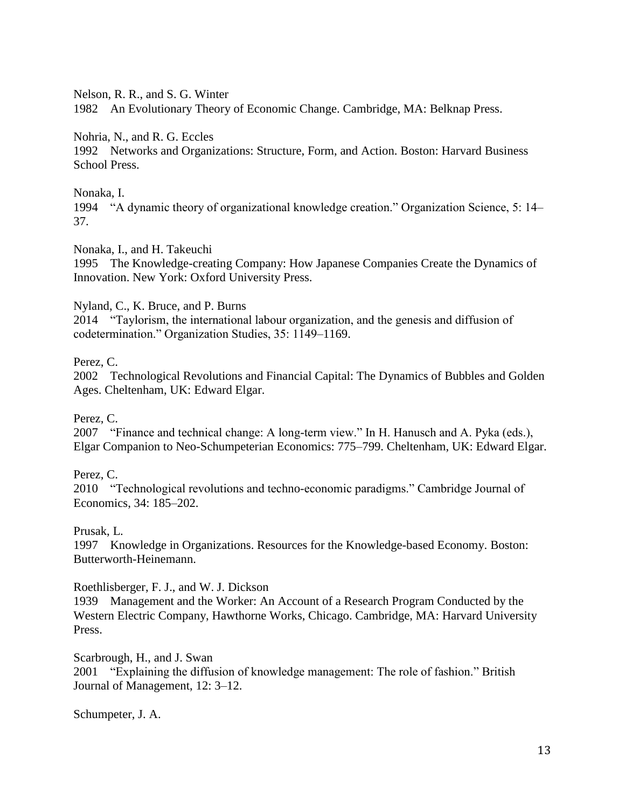Nelson, R. R., and S. G. Winter

1982 An Evolutionary Theory of Economic Change. Cambridge, MA: Belknap Press.

Nohria, N., and R. G. Eccles

1992 Networks and Organizations: Structure, Form, and Action. Boston: Harvard Business School Press.

# Nonaka, I.

1994 "A dynamic theory of organizational knowledge creation." Organization Science, 5: 14– 37.

Nonaka, I., and H. Takeuchi

1995 The Knowledge-creating Company: How Japanese Companies Create the Dynamics of Innovation. New York: Oxford University Press.

Nyland, C., K. Bruce, and P. Burns

2014 "Taylorism, the international labour organization, and the genesis and diffusion of codetermination." Organization Studies, 35: 1149–1169.

# Perez, C.

2002 Technological Revolutions and Financial Capital: The Dynamics of Bubbles and Golden Ages. Cheltenham, UK: Edward Elgar.

Perez, C.

2007 "Finance and technical change: A long-term view." In H. Hanusch and A. Pyka (eds.), Elgar Companion to Neo-Schumpeterian Economics: 775–799. Cheltenham, UK: Edward Elgar.

Perez, C.

2010 "Technological revolutions and techno-economic paradigms." Cambridge Journal of Economics, 34: 185–202.

Prusak, L.

1997 Knowledge in Organizations. Resources for the Knowledge-based Economy. Boston: Butterworth-Heinemann.

Roethlisberger, F. J., and W. J. Dickson

1939 Management and the Worker: An Account of a Research Program Conducted by the Western Electric Company, Hawthorne Works, Chicago. Cambridge, MA: Harvard University Press.

Scarbrough, H., and J. Swan 2001 "Explaining the diffusion of knowledge management: The role of fashion." British Journal of Management, 12: 3–12.

Schumpeter, J. A.